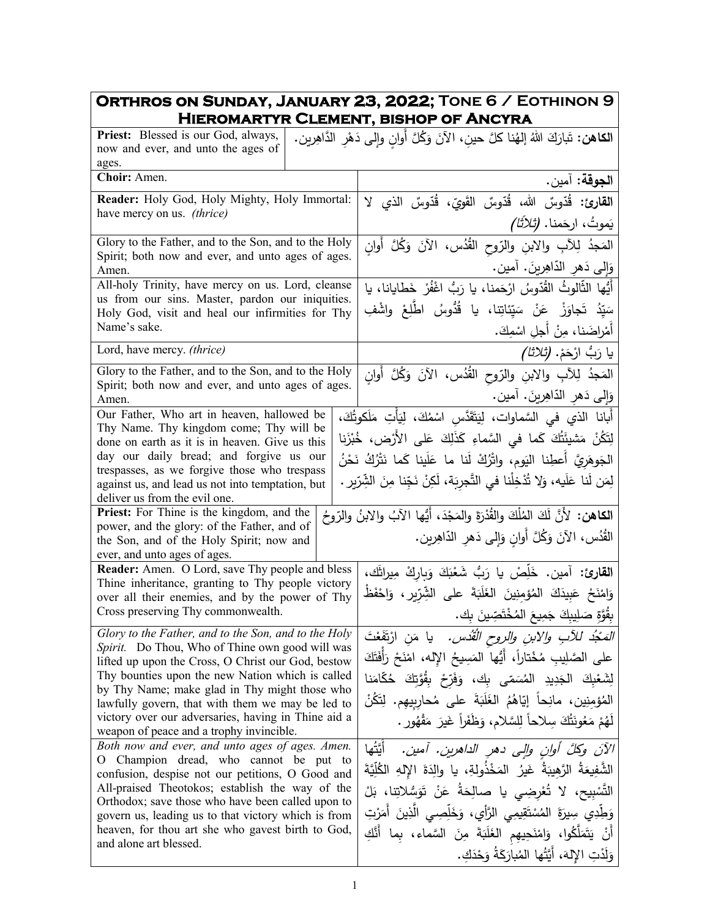| ORTHROS ON SUNDAY, JANUARY 23, 2022; TONE 6 / EOTHINON 9<br><b>HIEROMARTYR CLEMENT, BISHOP OF ANCYRA</b>                                                                                                                                                                                                                                                                                                                  |                                                                                                                                                                                                                                                                                                                                                                                                                                |  |  |
|---------------------------------------------------------------------------------------------------------------------------------------------------------------------------------------------------------------------------------------------------------------------------------------------------------------------------------------------------------------------------------------------------------------------------|--------------------------------------------------------------------------------------------------------------------------------------------------------------------------------------------------------------------------------------------------------------------------------------------------------------------------------------------------------------------------------------------------------------------------------|--|--|
| Priest: Blessed is our God, always,<br>now and ever, and unto the ages of<br>ages.                                                                                                                                                                                                                                                                                                                                        | ا <b>لكاهن:</b> تَبارَكَ اللهُ إلهُنا كلَّ حينِ، الآنَ وَكُلَّ أوانِ وإلى دَهْرِ الدَّاهِرين.                                                                                                                                                                                                                                                                                                                                  |  |  |
| Choir: Amen.                                                                                                                                                                                                                                                                                                                                                                                                              | ا <b>لجوقة:</b> آمين.                                                                                                                                                                                                                                                                                                                                                                                                          |  |  |
| Reader: Holy God, Holy Mighty, Holy Immortal:<br>have mercy on us. <i>(thrice)</i>                                                                                                                                                                                                                                                                                                                                        | ا <b>لقارئ:</b> قُدّوسٌ الله، قُدّوسٌ القَويِّ، قُدّوسٌ الذي لا<br>يَموتُ، ارحَمنا. <i>(ثلاثًا)</i>                                                                                                                                                                                                                                                                                                                            |  |  |
| Glory to the Father, and to the Son, and to the Holy<br>Spirit; both now and ever, and unto ages of ages.<br>Amen.                                                                                                                                                                                                                                                                                                        | المَجدُ لِلآبِ والابنِ والرّوحِ القُدُسِ، الآنَ وَكُلَّ أَوانِ<br>وَإِلَى دَهْرِ الدَّاهِرِينَ. آمين.                                                                                                                                                                                                                                                                                                                          |  |  |
| All-holy Trinity, have mercy on us. Lord, cleanse<br>us from our sins. Master, pardon our iniquities.<br>Holy God, visit and heal our infirmities for Thy<br>Name's sake.                                                                                                                                                                                                                                                 | أَيُّها الثَّالوثُ القُدّوسُ ارْحَمنا، يا رَبُّ اغْفُرْ خَطايانا، يا<br>سَيّدُ تَجاوَزْ عَنْ سَيّئاتِنا، يا قُدُّوسُ اطَّلِعْ واشْفِ<br>أَمْراضَنا، مِنْ أَجْلِ اسْمِكَ.                                                                                                                                                                                                                                                       |  |  |
| Lord, have mercy. (thrice)                                                                                                                                                                                                                                                                                                                                                                                                | يا رَبُّ ارْحَمْ. <i>(ثلاثا)</i>                                                                                                                                                                                                                                                                                                                                                                                               |  |  |
| Glory to the Father, and to the Son, and to the Holy<br>Spirit; both now and ever, and unto ages of ages.<br>Amen.                                                                                                                                                                                                                                                                                                        | المَجدُ لِلآبِ والابنِ والرّوحِ القُدُسِ، الآنَ وَكُلَّ أَوانِ<br>وَإِلَى دَهْرِ الذَّاهِرِينَ. آمين.                                                                                                                                                                                                                                                                                                                          |  |  |
| Our Father, Who art in heaven, hallowed be<br>Thy Name. Thy kingdom come; Thy will be<br>done on earth as it is in heaven. Give us this<br>day our daily bread; and forgive us our<br>trespasses, as we forgive those who trespass<br>against us, and lead us not into temptation, but<br>deliver us from the evil one.                                                                                                   | أَبانا الذي في السَّماوات، لِيَتَقَدَّسِ اسْمُكَ، لِيَأْتِ مَلَكوتُكَ،<br>لِتَكُنْ مَشيئَتُكَ كَما في السَّماءِ كَذَلِكَ عَلى الأَرْض، خُبْزَنا<br>الْجَوهَرِيَّ أَعطِنا اليَومِ، واتْرُكْ لَنا ما عَلَينا كَما نَتْرُكُ نَحْنُ<br>لِمَن لَنا عَلَيه، وَلا تُدْخِلْنا في التَّجرِبَة، لَكِنْ نَجِّنا مِنَ الشِّرِّيرِ .                                                                                                        |  |  |
| <b>Priest:</b> For Thine is the kingdom, and the<br>power, and the glory: of the Father, and of<br>the Son, and of the Holy Spirit; now and<br>ever, and unto ages of ages.                                                                                                                                                                                                                                               | الكاهن: لأَنَّ لَكَ المُلْكَ والقُدْرَةَ والمَجْدَ، أَيُّها الآبُ والابنُ والرّوحُ<br>القُدُس، الآنَ وَكُلَّ أُوانٍ وَإِلَى دَهْرِ الدَّاهِرِينِ.                                                                                                                                                                                                                                                                              |  |  |
| Reader: Amen. O Lord, save Thy people and bless<br>Thine inheritance, granting to Thy people victory<br>over all their enemies, and by the power of Thy<br>Cross preserving Thy commonwealth.                                                                                                                                                                                                                             | القارئ: آمين. خَلِّصْ يا رَبُّ شَعْبَكَ وَبِارِكْ مِيراثَك،<br>وَامْنَحْ عَبِيدَكَ الْمُؤْمِنِينَ الْغَلَبَةَ على الشِّرِّيرِ ، وَاحْفَظْ<br>بِقُوَّةٍ صَلِيبِكَ جَمِيعَ الْمُخْتَصِّينَ بِك.                                                                                                                                                                                                                                  |  |  |
| Glory to the Father, and to the Son, and to the Holy<br>Spirit. Do Thou, Who of Thine own good will was<br>lifted up upon the Cross, O Christ our God, bestow<br>Thy bounties upon the new Nation which is called<br>by Thy Name; make glad in Thy might those who<br>lawfully govern, that with them we may be led to<br>victory over our adversaries, having in Thine aid a<br>weapon of peace and a trophy invincible. | <i>المَجْدُ للأبِ والابنِ والروح الْقُدْس.</i> يا مَنِ ارْتَفَعْتَ<br>على الصَّلِيبِ مُخْتاراً، أَيُّها المَسِيحُ الإِله، امْنَحْ رَأَفَتَكَ<br>لِشَعْبِكَ الْجَدِيدِ الْمُسَمّى بِك، وَفَرّحْ بِقُوَّتِكَ حُكَّامَنا<br>المُؤمِنِين، مانِحاً إيّاهُمُ الغَلَبَةَ على مُحاربِيهم. لِتَكُنْ<br>لَهُمْ مَعُونَتُكَ سِلاحاً لِلسَّلامِ، وَظَفَراً غَيرَ مَقْهُورٍ .                                                               |  |  |
| Both now and ever, and unto ages of ages. Amen.<br>O Champion dread, who cannot be put to<br>confusion, despise not our petitions, O Good and<br>All-praised Theotokos; establish the way of the<br>Orthodox; save those who have been called upon to<br>govern us, leading us to that victory which is from<br>heaven, for thou art she who gavest birth to God,<br>and alone art blessed.                               | الآنَ وكلَّ أوانِ وإلى دهرِ الداهرينِ. آمينِ.<br>أَيَّتُها<br>الشَّفِيعَةُ الرَّهِيبَةُ غَيرُ  المَخْذُولةِ، يا والِدَةَ الإِلهِ  الكُلِّيَّةَ<br>التَّسْبِيح، لا تُعْرِضِي يا صالِحَةُ عَنْ تَوَسُّلاتِنا، بَلْ<br>وَطِّدِي سِيرَةَ المُسْتَقِيمِي الرَّأْيِ، وَخَلِّصِي الَّذِينَ أَمَرْتِ<br>أَنْ يَتَمَلَّكُوا، وَامْنَحِيهِم الغَلَبَةَ مِنَ السَّماء، بِما أَنَّكِ<br>وَلَدْتِ الإِلهَ، أَيَّتُها المُبارَكَةُ وَحْدَكِ. |  |  |
|                                                                                                                                                                                                                                                                                                                                                                                                                           |                                                                                                                                                                                                                                                                                                                                                                                                                                |  |  |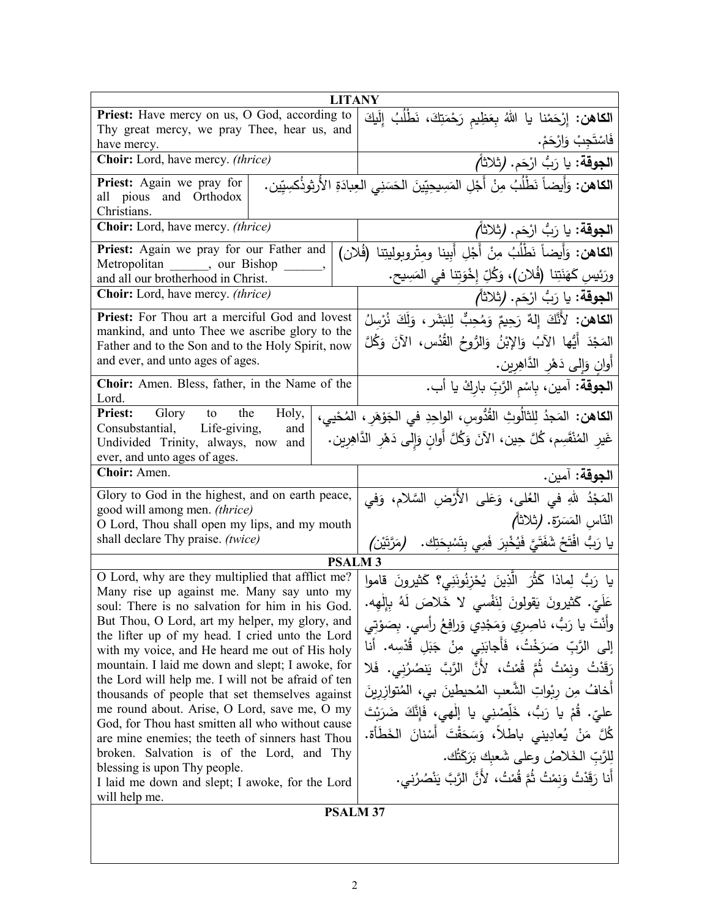| <b>LITANY</b>                                                                                       |                                                                                                              |  |  |
|-----------------------------------------------------------------------------------------------------|--------------------------------------------------------------------------------------------------------------|--|--|
| Priest: Have mercy on us, O God, according to                                                       | الكاهن: إِرْحَمْنا يا اللهُ بِعَظِيمِ رَحْمَتِكَ، نَطْلُبُ إِلَيكَ                                           |  |  |
| Thy great mercy, we pray Thee, hear us, and                                                         | فَاسْتَجِبْ وَارْحَمْ.                                                                                       |  |  |
| have mercy.<br>Choir: Lord, have mercy. (thrice)                                                    | ا <b>لجوقة:</b> يا رَبُّ ارْحَم. (ثلاثاً <i>)</i>                                                            |  |  |
|                                                                                                     |                                                                                                              |  |  |
| Priest: Again we pray for<br>all pious and Orthodox                                                 | ا <b>لكاهن:</b> وَأَيضاً نَطْلُبُ مِنْ أَجْلِ المَسِي <u>حِيِّينَ</u> الحَسَنِي العِبادَةِ الأُرثوذُكسِيّين. |  |  |
| Christians.                                                                                         |                                                                                                              |  |  |
| <b>Choir:</b> Lord, have mercy. <i>(thrice)</i>                                                     | ِ ا <b>لجوقة:</b> يا رَبُّ ارْحَم. <b>(</b> ثلاثاً <i>)</i>                                                  |  |  |
| Priest: Again we pray for our Father and                                                            | ا <b>لكاهن:</b> وَأَيضاً نَطْلُبُ مِنْ أَجْلِ أَبينا ومتْروبوليتِنا (فُلان)                                  |  |  |
| Metropolitan, our Bishop<br>and all our brotherhood in Christ.                                      | ورَئِيسِ كَهَنَتِنا (فُلان)، وَكُلِّ إِخْوَتِنا في المَسِيحِ.                                                |  |  |
| <b>Choir:</b> Lord, have mercy. <i>(thrice)</i>                                                     | ا <b>لجوقة:</b> يا رَبُّ ارْحَم. (ثلاثاً <i>)</i>                                                            |  |  |
| Priest: For Thou art a merciful God and lovest                                                      | ا <b>لْكَاهْن:</b> لأَنَّكَ إِلَهٌ رَحِيمٌ وَمُحِبٍّ لِلْبَشَر <b>ِ ،</b> وَلَكَ نُرْس <i>لُ</i>             |  |  |
| mankind, and unto Thee we ascribe glory to the<br>Father and to the Son and to the Holy Spirit, now | المَجْدَ أَيُّها الآبُ وَالإِبْنُ وَالرُّوحُ القُدُسِ، الآنَ وَكُلَّ                                         |  |  |
| and ever, and unto ages of ages.                                                                    | أُوانِ وَإِلَى دَهْرِ الذَّاهِرِينِ.                                                                         |  |  |
| Choir: Amen. Bless, father, in the Name of the                                                      | ا <b>لجوقة</b> : أمين، بِاسْمِ الرَّبِّ باركْ يا أب.                                                         |  |  |
| Lord.                                                                                               |                                                                                                              |  |  |
| Priest: Glory to the<br>Holy,<br>Consubstantial, Life-giving,<br>and                                | ا <b>لكاهن:</b> المَجدُ لِلثالُوثِ القُدُّوسِ، الواحِدِ في الجَوْهَرِ ، المُحْيي،                            |  |  |
| Undivided Trinity, always, now<br>and                                                               | غَيرِ المُنْقَسِم، كُلَّ حِين، الآنَ وَكُلَّ أُوانِ وَإِلى دَهْرِ الدَّاهِرِينِ.                             |  |  |
| ever, and unto ages of ages.                                                                        |                                                                                                              |  |  |
|                                                                                                     |                                                                                                              |  |  |
| Choir: Amen.                                                                                        | ا <b>لجوقة:</b> آمين.                                                                                        |  |  |
| Glory to God in the highest, and on earth peace,                                                    |                                                                                                              |  |  |
| good will among men. (thrice)                                                                       | المَجْدُ للهِ في العُلى، وَعَلى الأَرْضِ السَّلام، وَفي                                                      |  |  |
| O Lord, Thou shall open my lips, and my mouth<br>shall declare Thy praise. (twice)                  | النّاس المَسَرّة. (ثلاثاً)                                                                                   |  |  |
|                                                                                                     | يا رَبُّ افْتَحْ شَفَتَيَّ فَيُخْبِرَ  فَمِي بِتَسْبِحَتِك.     (مَرَّتَيْن)                                 |  |  |
| <b>PSALM3</b><br>O Lord, why are they multiplied that afflict me?                                   |                                                                                                              |  |  |
| Many rise up against me. Many say unto my                                                           | يا رَبُّ لِماذا كَثُّرَ الَّذِينَ يُحْزِنُونَنِي؟ كَثيرونَ قاموا                                             |  |  |
| soul: There is no salvation for him in his God.                                                     | عَلَيِّ. كَثيرونَ يَقولونَ لِنَفْسي لا خَلاصَ لَهُ بِإِلْهِه.                                                |  |  |
| But Thou, O Lord, art my helper, my glory, and<br>the lifter up of my head. I cried unto the Lord   | وأَنْتَ يا رَبُّ، ناصِرِي وَمَجْدِي وَرَافِعُ رَأْسِي. بِصَوْتِي                                             |  |  |
| with my voice, and He heard me out of His holy                                                      | إِلَى الرَّبِّ صَرَخْتُ، فَأَجابَنِي مِنْ جَبَلِ قُدْسِه. أنا                                                |  |  |
| mountain. I laid me down and slept; I awoke, for                                                    | رَقَدْتُ ونِمْتُ ثُمَّ قُمْتُ، لأنَّ الرَّبَّ يَنصُرُنِي. فَلا                                               |  |  |
| the Lord will help me. I will not be afraid of ten                                                  | أَخافُ مِن رِبْواتِ الشَّعبِ المُحيطينَ بي، المُتوازرينَ                                                     |  |  |
| thousands of people that set themselves against<br>me round about. Arise, O Lord, save me, O my     |                                                                                                              |  |  |
| God, for Thou hast smitten all who without cause                                                    | عليّ. قُمْ يا رَبُّ، خَلِّصْنِي يا إِلْهِي، فَإِنَّكَ ضَرَبْتَ                                               |  |  |
| are mine enemies; the teeth of sinners hast Thou                                                    | ݣُلَّ مَنْ يُعادِيني باطْلاً، وَسَحَقْتَ أَسْنانَ الخَطَأَة.                                                 |  |  |
| broken. Salvation is of the Lord, and Thy                                                           | لِلرَّبِّ الخَلاصُ وعلى شَعبك بَرَكَتُك.                                                                     |  |  |
| blessing is upon Thy people.<br>I laid me down and slept; I awoke, for the Lord                     | أَنا رَقَدْتُ وَنِمْتُ ثُمَّ قُمْتُ، لأَنَّ الرَّبَّ يَنْصُرُني.                                             |  |  |
| will help me.                                                                                       |                                                                                                              |  |  |
| PSALM 37                                                                                            |                                                                                                              |  |  |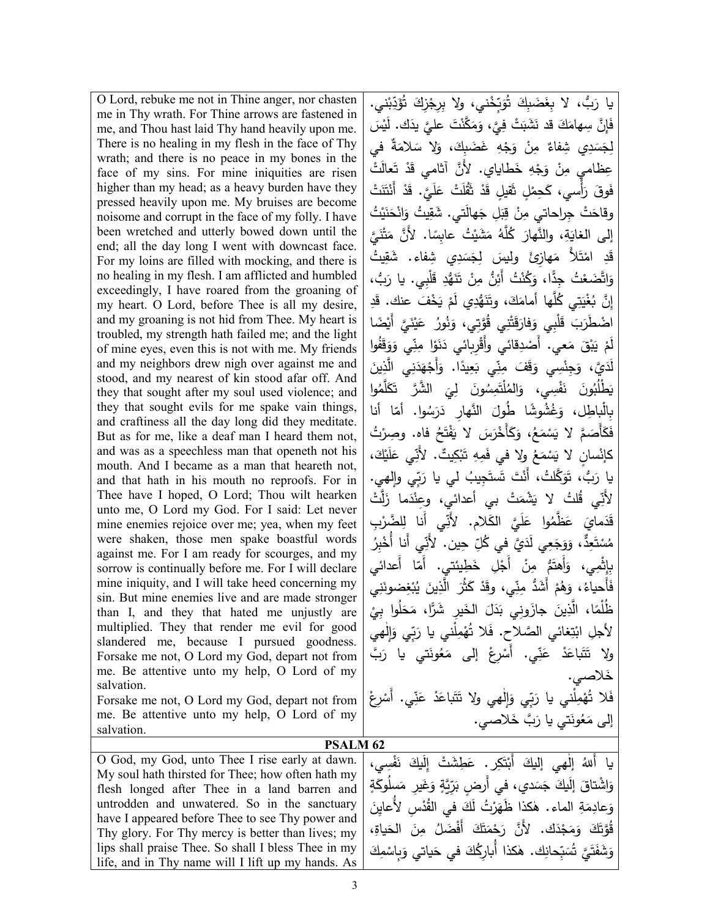| O Lord, rebuke me not in Thine anger, nor chasten                                                        | يا رَبُّ، لا بِغَضَبِكَ تُوَبِّخْني، ولا بِرِجْزِكَ تُؤَدِّبْني.        |
|----------------------------------------------------------------------------------------------------------|-------------------------------------------------------------------------|
| me in Thy wrath. For Thine arrows are fastened in                                                        | فَإِنَّ سِهامَكَ قد نَشَبَتْ فِيَّ، وَمَكَّنْتَ عليَّ يذَك. لَيْسَ      |
| me, and Thou hast laid Thy hand heavily upon me.<br>There is no healing in my flesh in the face of Thy   |                                                                         |
| wrath; and there is no peace in my bones in the                                                          | لِجَسَدِي شِفاءٌ مِنْ وَجْهِ غَضَبِكَ، وَلا سَلامَةٌ في                 |
| face of my sins. For mine iniquities are risen                                                           | عِظامي مِنْ وَجْهِ خَطايايِ. لأَنَّ أثامي قَدْ تَعالَتْ                 |
| higher than my head; as a heavy burden have they                                                         | فَوقَ رَأْسي، كَحِمْلِ ثَقيلِ قَدْ ثَقُلَتْ عَلَيَّ. قَدْ أَنْتَنَتْ    |
| pressed heavily upon me. My bruises are become                                                           |                                                                         |
| noisome and corrupt in the face of my folly. I have                                                      | وقاحَتْ جِراحاتي مِنْ قِبَلِ جَهالَتي. شَقِيتُ وَانْحَنَيْتُ            |
| been wretched and utterly bowed down until the                                                           | إلى الغايَةِ، والنَّهارَ كُلَّهُ مَشَيْتُ عابسًا. لأَنَّ مَتْنَيَّ      |
| end; all the day long I went with downcast face.                                                         |                                                                         |
| For my loins are filled with mocking, and there is                                                       | قَدِ امْتَلاً مَهازِئَ وليسَ لِجَسَدِي شِفاء. شَقِيتُ                   |
| no healing in my flesh. I am afflicted and humbled                                                       | وَاتَّضَعْتُ جِدًّا، وَكُنْتُ أَئِنُّ مِنْ تَنَهُّدِ قَلْبِي. يا رَبُّ، |
| exceedingly, I have roared from the groaning of<br>my heart. O Lord, before Thee is all my desire,       | إِنَّ بُغْيَتِي كُلُّها أَمامَكَ، وتَنَهُّدِي لَمْ يَخْفَ عنك. قَدِ     |
| and my groaning is not hid from Thee. My heart is                                                        |                                                                         |
| troubled, my strength hath failed me; and the light                                                      | اصْطَرَبَ قَلْبِي وَفارَقَتْنِي قُوَّتِي، وَنُورُ عَيْنَيَّ أَيْضًا     |
| of mine eyes, even this is not with me. My friends                                                       | لَمْ يَبْقَ مَعى. أَصْدِقائى وأَقْرِبائى دَنَوْا مِنِّى وَوَقَفُوا      |
| and my neighbors drew nigh over against me and                                                           | لَدَيَّ، وَجِنْسِي وَقَفَ مِنِّي بَعِيدًا. وَأَجْهَدَنِي الَّذِينَ      |
| stood, and my nearest of kin stood afar off. And                                                         |                                                                         |
| they that sought after my soul used violence; and                                                        | يَطْلَبُونَ نَفْسِي، وَالمُلْتَمِسُونَ لِيَ الشَّرَّ تَكَلَّمُوا        |
| they that sought evils for me spake vain things,                                                         | بِالْبِاطِل، وَغُشُوشًا طُولَ النَّهار دَرَسُوا. أمّا أنا               |
| and craftiness all the day long did they meditate.<br>But as for me, like a deaf man I heard them not,   | فَكَأْصَمَّ لا يَسْمَعُ، وَكَأَخْرَسَ لا يَفْتَحُ فاه. وصِرْتُ          |
| and was as a speechless man that openeth not his                                                         |                                                                         |
| mouth. And I became as a man that heareth not,                                                           | كَإِنْسانِ لا يَسْمَعُ ولا في فَمِهِ تَبْكِيتٌ. لأنِّي عَلَيْكَ،        |
| and that hath in his mouth no reproofs. For in                                                           | يا رَبُّ، تَوَكَّلتُ، أَنْتَ تَستَجِيبُ لي يا رَبِّي وإِلهي.            |
| Thee have I hoped, O Lord; Thou wilt hearken                                                             | لأَنِّي قُلتُ لا يَشْمَتْ بي أعدائي، وعِنْدَما زَلَّتْ                  |
| unto me, O Lord my God. For I said: Let never                                                            |                                                                         |
| mine enemies rejoice over me; yea, when my feet                                                          | قَدَمايَ عَظَّمُوا عَلَيَّ الكَلام. لأَنِّي أَنا لِلضَّرْبِ             |
| were shaken, those men spake boastful words                                                              | مُسْتَعِدٌّ، وَوَجَعِي لَدَيَّ في كُلِّ حِين. لأَنِّي أَنا أُخْبِرُ     |
| against me. For I am ready for scourges, and my<br>sorrow is continually before me. For I will declare   | بِإِثْمِي، وَأَهتَمُّ مِنْ أَجْلِ خَطِيئتي. أمّا أعدائي                 |
| mine iniquity, and I will take heed concerning my                                                        |                                                                         |
| sin. But mine enemies live and are made stronger                                                         | فَأَحياءُ، وَهُمْ أَشَدُّ مِنِّي، وقَدْ كَثُرَ الَّذِينَ يُبْغِضونَنِي  |
| than I, and they that hated me unjustly are                                                              | ظُلْمًا، الَّذِينَ جازَونِي بَدَلَ الخَيرِ شَرًّا، مَحَلُوا بِيُ        |
| multiplied. They that render me evil for good                                                            | لأجلِ ابْتِغائي الصَّلاح. فَلا تُهْمِلْني يا رَبِّي وَإِلْهي            |
| slandered me, because I pursued goodness.                                                                |                                                                         |
| Forsake me not, O Lord my God, depart not from                                                           | ولا تَتَباعَدْ عَنِّي. أَسْرِعْ إلى مَعُونَتي يا رَبَّ                  |
| me. Be attentive unto my help, O Lord of my                                                              | خَلاصي.                                                                 |
| salvation.                                                                                               | فَلا تُهْمِلْني يا رَبِّي وَالْهِي ولا تَتَباعَدْ عَنِّي. أَسْرِعْ      |
| Forsake me not, O Lord my God, depart not from<br>me. Be attentive unto my help, O Lord of my            |                                                                         |
| salvation.                                                                                               | إلى مَعُونَتي يا رَبَّ خَلاصي.                                          |
| <b>PSALM 62</b>                                                                                          |                                                                         |
| O God, my God, unto Thee I rise early at dawn.                                                           | يا أَللهُ إِلْهِي إِلَيْكَ أَبْتَكِرٍ. عَطِشَتْ إِلَيْكَ نَفْسِي،       |
| My soul hath thirsted for Thee; how often hath my                                                        |                                                                         |
| flesh longed after Thee in a land barren and                                                             | وَاشْتَاقَ إِلَيْكَ جَسَدي، في أَرضِ بَرِّيَّةٍ وَغَيرِ مَسِلُوكَةٍ     |
| untrodden and unwatered. So in the sanctuary                                                             | وَعادِمَةِ الماء . هٰكذا ظَهَرْتُ لَكَ في القُدْسِ لأَعاينَ             |
| have I appeared before Thee to see Thy power and                                                         | قُوَّتَكَ وَمَجْدَكَ. لأَنَّ رَحْمَتَكَ أَفْضَلُ مِنَ الْحَياةِ،        |
| Thy glory. For Thy mercy is better than lives; my<br>lips shall praise Thee. So shall I bless Thee in my |                                                                         |
| life, and in Thy name will I lift up my hands. As                                                        | وَشَفَتَىَّ شُبَحانِك. هٰكذا أُباركُكَ في حَياتي وَبِاسْمِكَ            |
|                                                                                                          |                                                                         |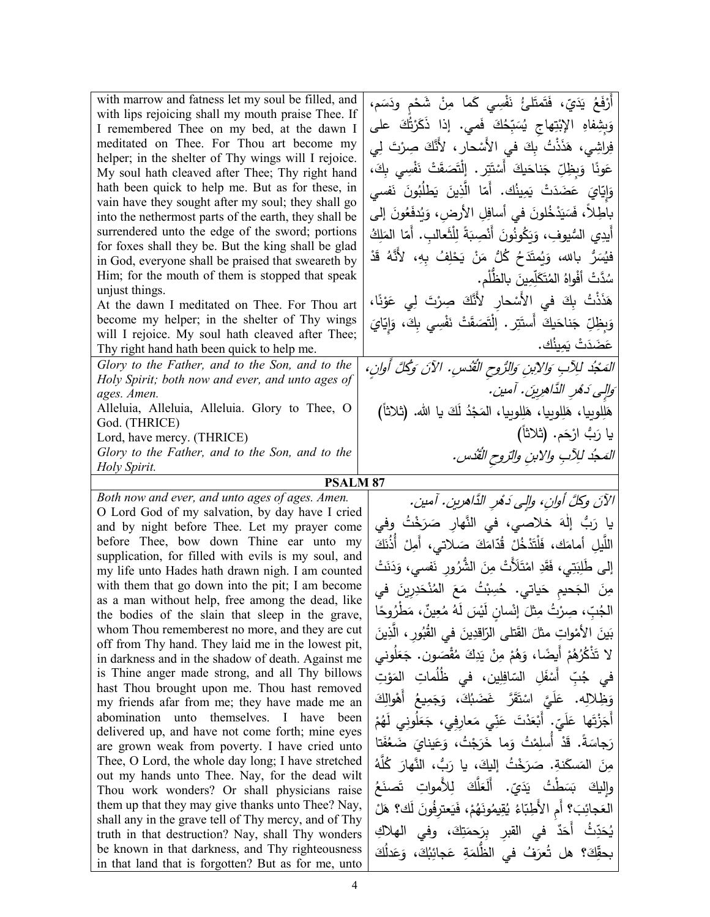| with marrow and fatness let my soul be filled, and<br>with lips rejoicing shall my mouth praise Thee. If<br>I remembered Thee on my bed, at the dawn I<br>meditated on Thee. For Thou art become my<br>helper; in the shelter of Thy wings will I rejoice.<br>My soul hath cleaved after Thee; Thy right hand<br>hath been quick to help me. But as for these, in<br>vain have they sought after my soul; they shall go<br>into the nethermost parts of the earth, they shall be<br>surrendered unto the edge of the sword; portions<br>for foxes shall they be. But the king shall be glad<br>in God, everyone shall be praised that sweareth by<br>Him; for the mouth of them is stopped that speak<br>unjust things.<br>At the dawn I meditated on Thee. For Thou art<br>become my helper; in the shelter of Thy wings<br>will I rejoice. My soul hath cleaved after Thee;<br>Thy right hand hath been quick to help me. | أَرْفَعُ يَدَيِّ، فَتَمتَلَّئُ نَفْسِي كَما مِنْ شَحْمٍ ودَسَمٍ،<br>وَبِشِفاهِ الإِبْتِهاجِ يُسَبِّحُكَ فَمي. إذا ذَكَرْتُكَ على<br>فِراشِي، هَذَذْتُ بِكَ في الأَسْحارِ ، لأَنَّكَ صِرْتَ لِي<br>عَونًا وَبِظِلِّ جَناحَيكَ أَسْتَتِرٍ . إِلْتَصَقَتْ نَفْسِي بِكَ،<br>وَإِيّايَ عَضَدَتْ يَمِينُك. أمّا الَّذِينَ يَطلُبُونَ نَفسى<br>باطِلاً، فَسَيَدْخُلُونَ في أَسافِلِ الأَرضِ، وَيُدفَعُونَ إلى<br>أيدِي السُّيوفِ، وَيَكُونُونَ أَنْصِبَةً لِلْثَعالبِ. أَمّا المَلِكُ<br>فيُسَرُّ بالله، وَيُمتَدَحُ كُلُّ مَنْ يَحْلِفُ بِهِ، لأَنَّهُ قَدْ<br>سُدَّتْ أَفْواهُ المُتَكَلِّمِينَ بِالظَّلْمِ.<br>هَذَذْتُ بِكَ في الأَسْحارِ لأَنَّكَ صِرْتَ لِي عَوْنًا،<br>وَبِظِلِّ جَناحَيكَ أَستَتِرٍ . إِلْتَصَقَتْ نَفْسِي بِكَ، وَإِيّايَ<br>عَضَدَتْ يَمِيثُك. |
|-----------------------------------------------------------------------------------------------------------------------------------------------------------------------------------------------------------------------------------------------------------------------------------------------------------------------------------------------------------------------------------------------------------------------------------------------------------------------------------------------------------------------------------------------------------------------------------------------------------------------------------------------------------------------------------------------------------------------------------------------------------------------------------------------------------------------------------------------------------------------------------------------------------------------------|-------------------------------------------------------------------------------------------------------------------------------------------------------------------------------------------------------------------------------------------------------------------------------------------------------------------------------------------------------------------------------------------------------------------------------------------------------------------------------------------------------------------------------------------------------------------------------------------------------------------------------------------------------------------------------------------------------------------------------------------------------------------|
| Glory to the Father, and to the Son, and to the<br>Holy Spirit; both now and ever, and unto ages of                                                                                                                                                                                                                                                                                                                                                                                                                                                                                                                                                                                                                                                                                                                                                                                                                         | المَحْدُ للِأَبِ وَالِأَبِنِ وَالرُّوحِ الْقُدْسِ. الآنَ وَكُلَّ أُوانِ،                                                                                                                                                                                                                                                                                                                                                                                                                                                                                                                                                                                                                                                                                          |
| ages. Amen.                                                                                                                                                                                                                                                                                                                                                                                                                                                                                                                                                                                                                                                                                                                                                                                                                                                                                                                 | َ وَالِّي دَهْرِ الذَّاهِرِينَ. آمين.                                                                                                                                                                                                                                                                                                                                                                                                                                                                                                                                                                                                                                                                                                                             |
| Alleluia, Alleluia, Alleluia. Glory to Thee, O<br>God. (THRICE)                                                                                                                                                                                                                                                                                                                                                                                                                                                                                                                                                                                                                                                                                                                                                                                                                                                             | هَلِلوبِيا، هَلِلوبِيا، هَلِلوبِيا، المَجْدُ لَكَ يا الله. (ثلاثاً)                                                                                                                                                                                                                                                                                                                                                                                                                                                                                                                                                                                                                                                                                               |
| Lord, have mercy. (THRICE)                                                                                                                                                                                                                                                                                                                                                                                                                                                                                                                                                                                                                                                                                                                                                                                                                                                                                                  | يا رَبُّ ارْحَم. (ثلاثاً)                                                                                                                                                                                                                                                                                                                                                                                                                                                                                                                                                                                                                                                                                                                                         |
| Glory to the Father, and to the Son, and to the                                                                                                                                                                                                                                                                                                                                                                                                                                                                                                                                                                                                                                                                                                                                                                                                                                                                             | المَحِدُ للِآبِ والابنِ والرّوحِ الثُّدُسِ.                                                                                                                                                                                                                                                                                                                                                                                                                                                                                                                                                                                                                                                                                                                       |
| Holy Spirit.<br><b>PSALM 87</b>                                                                                                                                                                                                                                                                                                                                                                                                                                                                                                                                                                                                                                                                                                                                                                                                                                                                                             |                                                                                                                                                                                                                                                                                                                                                                                                                                                                                                                                                                                                                                                                                                                                                                   |
| Both now and ever, and unto ages of ages. Amen.                                                                                                                                                                                                                                                                                                                                                                                                                                                                                                                                                                                                                                                                                                                                                                                                                                                                             | الآنَ وكلَّ أوانِ، وإلى دَهْرِ الدَّاهرينِ. آمينِ.                                                                                                                                                                                                                                                                                                                                                                                                                                                                                                                                                                                                                                                                                                                |
|                                                                                                                                                                                                                                                                                                                                                                                                                                                                                                                                                                                                                                                                                                                                                                                                                                                                                                                             |                                                                                                                                                                                                                                                                                                                                                                                                                                                                                                                                                                                                                                                                                                                                                                   |
| O Lord God of my salvation, by day have I cried                                                                                                                                                                                                                                                                                                                                                                                                                                                                                                                                                                                                                                                                                                                                                                                                                                                                             |                                                                                                                                                                                                                                                                                                                                                                                                                                                                                                                                                                                                                                                                                                                                                                   |
| and by night before Thee. Let my prayer come                                                                                                                                                                                                                                                                                                                                                                                                                                                                                                                                                                                                                                                                                                                                                                                                                                                                                | يا رَبُّ إلٰهَ خلاصي، في النَّهارِ صَرَخْتُ وفي                                                                                                                                                                                                                                                                                                                                                                                                                                                                                                                                                                                                                                                                                                                   |
| before Thee, bow down Thine ear unto my                                                                                                                                                                                                                                                                                                                                                                                                                                                                                                                                                                                                                                                                                                                                                                                                                                                                                     | اللَّيلِ أمامَكَ، فَلْتَذْخُلْ قُدّامَكَ صَلاتي، أَمِلْ أَذُنَكَ                                                                                                                                                                                                                                                                                                                                                                                                                                                                                                                                                                                                                                                                                                  |
| supplication, for filled with evils is my soul, and                                                                                                                                                                                                                                                                                                                                                                                                                                                                                                                                                                                                                                                                                                                                                                                                                                                                         |                                                                                                                                                                                                                                                                                                                                                                                                                                                                                                                                                                                                                                                                                                                                                                   |
| my life unto Hades hath drawn nigh. I am counted                                                                                                                                                                                                                                                                                                                                                                                                                                                                                                                                                                                                                                                                                                                                                                                                                                                                            | إلى طَلِبَتِي، فَقَدِ امْتَلَأَتْ مِنَ الشُّرُورِ نَفسي، وَدَنَتْ                                                                                                                                                                                                                                                                                                                                                                                                                                                                                                                                                                                                                                                                                                 |
| with them that go down into the pit; I am become<br>as a man without help, free among the dead, like                                                                                                                                                                                                                                                                                                                                                                                                                                                                                                                                                                                                                                                                                                                                                                                                                        | مِنَ الْجَحيمِ حَياتي. حُسِبْتُ مَعَ المُنْحَدِرِينَ في                                                                                                                                                                                                                                                                                                                                                                                                                                                                                                                                                                                                                                                                                                           |
| the bodies of the slain that sleep in the grave,                                                                                                                                                                                                                                                                                                                                                                                                                                                                                                                                                                                                                                                                                                                                                                                                                                                                            | الْجُبِّ، صِرْتُ مِثْلَ إِنْسانِ لَيْسَ لَهُ مُعِينٌ، مَطْرُوحًا                                                                                                                                                                                                                                                                                                                                                                                                                                                                                                                                                                                                                                                                                                  |
| whom Thou rememberest no more, and they are cut                                                                                                                                                                                                                                                                                                                                                                                                                                                                                                                                                                                                                                                                                                                                                                                                                                                                             | بَينَ الأَمْواتِ مثلَ القَتلى الرّاقدِينَ في القُبُورِ ، الَّذِينَ                                                                                                                                                                                                                                                                                                                                                                                                                                                                                                                                                                                                                                                                                                |
| off from Thy hand. They laid me in the lowest pit,                                                                                                                                                                                                                                                                                                                                                                                                                                                                                                                                                                                                                                                                                                                                                                                                                                                                          | لا تَذْكُرُهُمْ أَيِضًا، وَهُمْ مِنْ يَذِكَ مُقْصَونٍ. جَعَلُونِي                                                                                                                                                                                                                                                                                                                                                                                                                                                                                                                                                                                                                                                                                                 |
| in darkness and in the shadow of death. Against me<br>is Thine anger made strong, and all Thy billows                                                                                                                                                                                                                                                                                                                                                                                                                                                                                                                                                                                                                                                                                                                                                                                                                       |                                                                                                                                                                                                                                                                                                                                                                                                                                                                                                                                                                                                                                                                                                                                                                   |
| hast Thou brought upon me. Thou hast removed                                                                                                                                                                                                                                                                                                                                                                                                                                                                                                                                                                                                                                                                                                                                                                                                                                                                                | في جُبِّ أَسْفَلِ السّافِلِين، في ظَلَماتِ المَوْتِ                                                                                                                                                                                                                                                                                                                                                                                                                                                                                                                                                                                                                                                                                                               |
| my friends afar from me; they have made me an                                                                                                                                                                                                                                                                                                                                                                                                                                                                                                                                                                                                                                                                                                                                                                                                                                                                               | وَظِلالِه. عَلَيَّ اسْتَقَرَّ غَضَبُكَ، وَجَمِيعُ أَهْوالِكَ                                                                                                                                                                                                                                                                                                                                                                                                                                                                                                                                                                                                                                                                                                      |
| abomination unto themselves. I have been                                                                                                                                                                                                                                                                                                                                                                                                                                                                                                                                                                                                                                                                                                                                                                                                                                                                                    | أَجَزْتَها عَلَيّ. أَبْعَدْتَ عَنِّي مَعارِفِي، جَعَلُونِي لَهُمْ                                                                                                                                                                                                                                                                                                                                                                                                                                                                                                                                                                                                                                                                                                 |
| delivered up, and have not come forth; mine eyes                                                                                                                                                                                                                                                                                                                                                                                                                                                                                                                                                                                                                                                                                                                                                                                                                                                                            |                                                                                                                                                                                                                                                                                                                                                                                                                                                                                                                                                                                                                                                                                                                                                                   |
| are grown weak from poverty. I have cried unto<br>Thee, O Lord, the whole day long; I have stretched                                                                                                                                                                                                                                                                                                                                                                                                                                                                                                                                                                                                                                                                                                                                                                                                                        | رَجاسَةً. قَدْ أَسلِمْتُ وَما خَرَجْتُ، وَعَينايَ ضَعُفَتا                                                                                                                                                                                                                                                                                                                                                                                                                                                                                                                                                                                                                                                                                                        |
| out my hands unto Thee. Nay, for the dead wilt                                                                                                                                                                                                                                                                                                                                                                                                                                                                                                                                                                                                                                                                                                                                                                                                                                                                              | مِنَ المَسكَنةِ. صَرَخْتُ إليكَ، يا رَبُّ، النَّهارَ كُلَّهُ                                                                                                                                                                                                                                                                                                                                                                                                                                                                                                                                                                                                                                                                                                      |
| Thou work wonders? Or shall physicians raise                                                                                                                                                                                                                                                                                                                                                                                                                                                                                                                                                                                                                                                                                                                                                                                                                                                                                | بَسَطْتُ يَدَيِّ. أَلْعَلَّكَ لِلأَمواتِ تَصنَعُ<br>واليك                                                                                                                                                                                                                                                                                                                                                                                                                                                                                                                                                                                                                                                                                                         |
| them up that they may give thanks unto Thee? Nay,                                                                                                                                                                                                                                                                                                                                                                                                                                                                                                                                                                                                                                                                                                                                                                                                                                                                           | العَجائِبَ؟ أم الأطِبّاءُ يُقِيمُونَهُمْ، فَيَعترِفُونَ لَكَ؟ هَلْ                                                                                                                                                                                                                                                                                                                                                                                                                                                                                                                                                                                                                                                                                                |
| shall any in the grave tell of Thy mercy, and of Thy                                                                                                                                                                                                                                                                                                                                                                                                                                                                                                                                                                                                                                                                                                                                                                                                                                                                        |                                                                                                                                                                                                                                                                                                                                                                                                                                                                                                                                                                                                                                                                                                                                                                   |
| truth in that destruction? Nay, shall Thy wonders<br>be known in that darkness, and Thy righteousness                                                                                                                                                                                                                                                                                                                                                                                                                                                                                                                                                                                                                                                                                                                                                                                                                       | يُحَدِّثُ أَحَدٌ في القبرِ بِرَحمَتِكَ، وفي الهلاكِ<br>بِحقِّكَ؟ هل تُعرَفُ في الظَّلمَةِ عَجائِبُكَ، وَعَدلُكَ                                                                                                                                                                                                                                                                                                                                                                                                                                                                                                                                                                                                                                                   |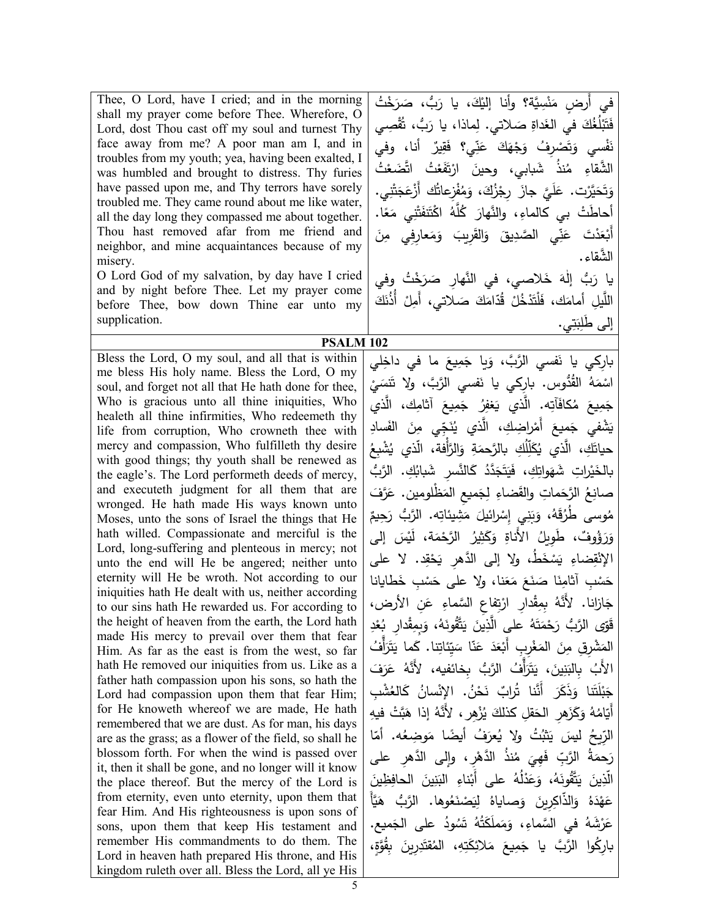| Thee, O Lord, have I cried; and in the morning<br>shall my prayer come before Thee. Wherefore, O<br>Lord, dost Thou cast off my soul and turnest Thy<br>face away from me? A poor man am I, and in<br>troubles from my youth; yea, having been exalted, I<br>was humbled and brought to distress. Thy furies<br>have passed upon me, and Thy terrors have sorely<br>troubled me. They came round about me like water,<br>all the day long they compassed me about together.<br>Thou hast removed afar from me friend and<br>neighbor, and mine acquaintances because of my<br>misery.<br>O Lord God of my salvation, by day have I cried<br>and by night before Thee. Let my prayer come<br>before Thee, bow down Thine ear unto my<br>supplication.<br><b>PSALM 102</b><br>Bless the Lord, O my soul, and all that is within<br>me bless His holy name. Bless the Lord, O my<br>soul, and forget not all that He hath done for thee,                                                                                                                                                                                                                                                                                                                                                                                                                                                                                                                                                                                                                                                                                                                                                                                                                       | في أرضٍ مَنْسِيَّة؟ وأنا إلَيْكَ، يا رَبُّ، صَرَخْتُ<br>فَتَبْلُغُكَ في الغَداةِ صَلاتي. لِماذا، يا رَبُّ، تُقْصِي<br>نَفْسى وَتَصْرِفُ وَجْهَكَ عَنِّى؟ْ فَقِيرٌ أَنا، وفى<br>الشَّقاءِ مُنذُ شَبابي، وحينَ ارْتَفَعْتُ اتَّضَعْتُ<br>وَتَحَيَّرْت. عَلَيَّ جازَ رِجْزُكَ، وَمُفْزِعاتُك أَزْعَجَتْنِي.<br>أَحاطَتْ بي كالماءِ، والنَّهارَ كُلَّهُ اكْتَنَفَتْنِي مَعًا.<br>أَبْعَدْتَ عَنِّي الصَّدِيقَ وَالقَرِيبَ وَمَعارِفِي مِنَ<br>الشَّقاءِ.<br>يا رَبُّ إلٰهَ خَلاصي، في النَّهارِ صَرَخْتُ وفي<br>اللَّيلِ أمامَكَ، فَلْتَدْخُلْ قُدّامَكَ صَلاتي، أَمِلْ أَذُنَكَ<br>إلى طلِبَتِي.<br>باركي يا نَفسي الرَّبَّ، وَيا جَمِيعَ ما في داخِلي<br>اسْمَهُ القُدُّوسِ. باركي يا نَفسي الرَّبَّ، ولا تَنسَىْ                                                                                                                                                                                                                                                                                                                                                                                                                                                                                                                                                                                                                                                                                                                                                       |
|-------------------------------------------------------------------------------------------------------------------------------------------------------------------------------------------------------------------------------------------------------------------------------------------------------------------------------------------------------------------------------------------------------------------------------------------------------------------------------------------------------------------------------------------------------------------------------------------------------------------------------------------------------------------------------------------------------------------------------------------------------------------------------------------------------------------------------------------------------------------------------------------------------------------------------------------------------------------------------------------------------------------------------------------------------------------------------------------------------------------------------------------------------------------------------------------------------------------------------------------------------------------------------------------------------------------------------------------------------------------------------------------------------------------------------------------------------------------------------------------------------------------------------------------------------------------------------------------------------------------------------------------------------------------------------------------------------------------------------------------------------------|-----------------------------------------------------------------------------------------------------------------------------------------------------------------------------------------------------------------------------------------------------------------------------------------------------------------------------------------------------------------------------------------------------------------------------------------------------------------------------------------------------------------------------------------------------------------------------------------------------------------------------------------------------------------------------------------------------------------------------------------------------------------------------------------------------------------------------------------------------------------------------------------------------------------------------------------------------------------------------------------------------------------------------------------------------------------------------------------------------------------------------------------------------------------------------------------------------------------------------------------------------------------------------------------------------------------------------------------------------------------------------------------------------------------------------------------------------------------------|
| Who is gracious unto all thine iniquities, Who<br>healeth all thine infirmities, Who redeemeth thy<br>life from corruption, Who crowneth thee with<br>mercy and compassion, Who fulfilleth thy desire<br>with good things; thy youth shall be renewed as<br>the eagle's. The Lord performeth deeds of mercy,<br>and executeth judgment for all them that are<br>wronged. He hath made His ways known unto<br>Moses, unto the sons of Israel the things that He<br>hath willed. Compassionate and merciful is the<br>Lord, long-suffering and plenteous in mercy; not<br>unto the end will He be angered; neither unto<br>eternity will He be wroth. Not according to our<br>iniquities hath He dealt with us, neither according<br>to our sins hath He rewarded us. For according to<br>the height of heaven from the earth, the Lord hath<br>made His mercy to prevail over them that fear<br>Him. As far as the east is from the west, so far<br>hath He removed our iniquities from us. Like as a<br>father hath compassion upon his sons, so hath the<br>Lord had compassion upon them that fear Him;<br>for He knoweth whereof we are made, He hath<br>remembered that we are dust. As for man, his days<br>are as the grass; as a flower of the field, so shall he<br>blossom forth. For when the wind is passed over<br>it, then it shall be gone, and no longer will it know<br>the place thereof. But the mercy of the Lord is<br>from eternity, even unto eternity, upon them that<br>fear Him. And His righteousness is upon sons of<br>sons, upon them that keep His testament and<br>remember His commandments to do them. The<br>Lord in heaven hath prepared His throne, and His<br>kingdom ruleth over all. Bless the Lord, all ye His<br>5 | جَمِيعَ مُكافَآتِه. الَّذي يَغفِرُ جَمِيعَ آثامِك، الَّذي<br>يَشْفي جَميعَ أَمْراضِكِ، الَّذي يُنَجِّى مِنَ الفَسادِ<br>حياتَكِ، الَّذ <i>ي</i> يُكَلِّلُكِ بالرَّحمَةِ وَالرَّأْفة، الَّذ <i>ي</i> يُشْبِعُ<br>بالخَيْراتِ شَهَواتِكِ، فَيَتَجَدَّدُ كَالنَّسِ شَبابُكِ. الرَّبُ<br>صانِعُ الرَّحَماتِ والقَضاءِ لِجَميعِ المَظْلومينِ. عَرَّفَ<br>مُوسى طَرُقَهُ، وَبَنِي إِسْرائيلَ مَشِيئاتِه. الرَّبُّ رَحِيمٌ<br>وَرَؤُوفٌ، طَوِيلُ الأَناةِ وَكَثِيرُ الرَّحْمَة، لَيْسَ إلى<br>الإِنْقِضاءِ يَسْخَطُ، ولا إلى الدَّهر يَحْقِد. لا على<br>حَسْبِ أَثَامِنَا صَنَعَ مَعَنا، ولا على حَسْبِ خَطايانا<br>جَازانا. لأَنَّهُ بِمِقْدارِ ارْتِفاعِ السَّماءِ عَنِ الأرض،<br>قَوّى الرَّبُّ رَحْمَتَهُ على الَّذِينَ يَتَّقُونَهُ، وَبِمِقْدار بُعْدِ<br>المَشْرِقِ مِنَ المَغْرِبِ أَبْعَدَ عَنّا سَيّئاتِنا. كَما يَتَرَأْفُ<br>الأَبُ بِالبَنِينَ، يَتَرَأَفُ الرَّبُّ بِخائفيه، لأَنَّهُ عَرَفَ<br>جَبْلَتَنا وَذَكَرَ أَنَّنا تُرابٌ نَحْنُ. الإِنْسانُ كَالغُشْب<br>أَيّامُهُ وَكَزَهِرِ الْحَقلِ كذلكَ يُزْهِرِ ، لأَنَّهُ إذا هَبَّتْ فيهِ<br>الرَّبِحُ لَيسَ يَتْبُتُ ولا يُعرَفُ أَيضًا مَوضِعُه. أمّا<br>رَحمَةُ الرَّبِّ فَهِيَ مُنذُ الدَّهْرِ ، وإلى الدَّهر على<br>الَّذِينَ يَتَّقُونَهُ، وَعَذْلُهُ على أَبْناءِ البَنِينَ الحافِظِينَ<br>وَالذَاكِرِينَ وَصاياهُ لِيَصْنَعُوها.<br>الرَّبُّ هَيَّأَ<br>عَهْدَهُ<br>عَرْشَهُ في السَّماءِ، وَمَملَكَتُهُ شَمُودُ على الجَميع.<br>باركُوا الرَّبَّ يا جَمِيعَ مَلائِكَتِهِ، المُقتَدِرِينَ بِقَوَّةٍ، |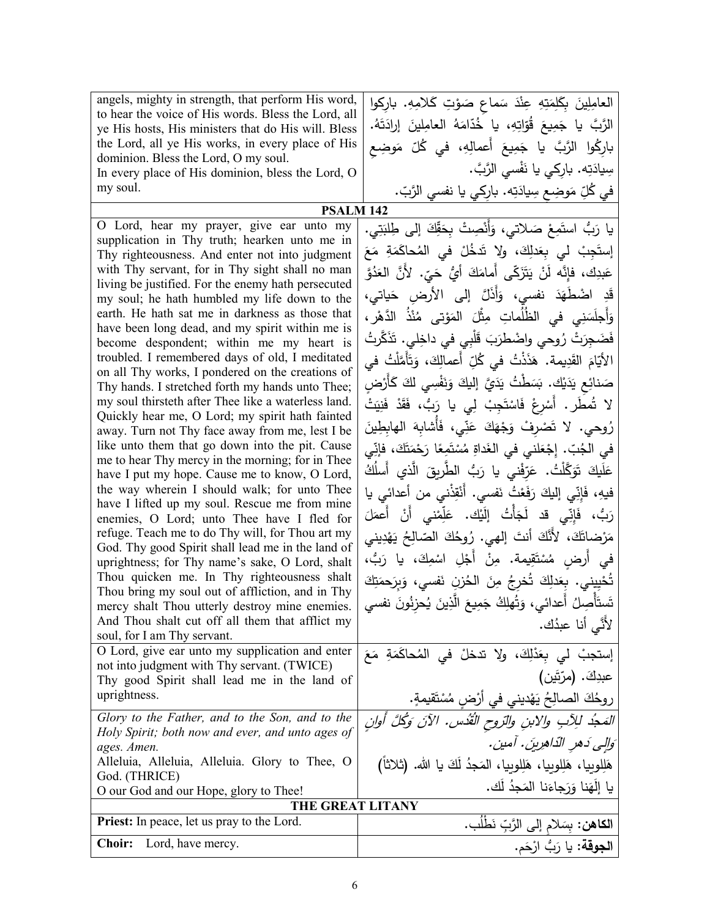| angels, mighty in strength, that perform His word,                                                         | العامِلِينَ بِكَلِمَتِهِ عِنْدَ سَماعٍ صَوْتِ كَلامِهِ. بارِكوا         |
|------------------------------------------------------------------------------------------------------------|-------------------------------------------------------------------------|
| to hear the voice of His words. Bless the Lord, all<br>ye His hosts, His ministers that do His will. Bless | الرَّبَّ يا جَمِيعَ قُوّاتِهِ، يا خُدّامَهُ العامِلينَ إرادَتَهُ.       |
| the Lord, all ye His works, in every place of His                                                          | بارِكُوا الرَّبَّ يا جَمِيعَ أَعمالِهِ، في كُلّ مَوضِع                  |
| dominion. Bless the Lord, O my soul.                                                                       | سِيادَتِه. باركي يا نَفْسى الرَّبَّ.                                    |
| In every place of His dominion, bless the Lord, O<br>my soul.                                              |                                                                         |
|                                                                                                            | في كُلِّ مَوضِعٍ سِيادَتِه. بارِكي يا نفسي الرَّبّ.                     |
| <b>PSALM 142</b>                                                                                           |                                                                         |
| O Lord, hear my prayer, give ear unto my<br>supplication in Thy truth; hearken unto me in                  | يا رَبُّ استَمِعْ صَلاتي، وَأَنْصِتْ بِحَقِّكَ إلى طِلبَتِي.            |
| Thy righteousness. And enter not into judgment                                                             | إِستَجِبْ لَى بِعَدلِكَ، ولا تَدَخُلْ في الْمُحاكَمَةِ مَعَ             |
| with Thy servant, for in Thy sight shall no man                                                            | عَبدِك، فإِنَّه لَنْ يَتَزَكَّى أَمامَكَ أَيُّ حَيّ. لأَنَّ العَدُوَّ   |
| living be justified. For the enemy hath persecuted<br>my soul; he hath humbled my life down to the         | قَدِ اصْطَهَدَ نفسي، وَأَذَلَّ إلى الأَرضِ حَياتي،                      |
| earth. He hath sat me in darkness as those that                                                            | وَأَجلَسَنِي في الظُلُماتِ مِثْلَ المَوْتي مُنْذُ الدَّهْرِ ،           |
| have been long dead, and my spirit within me is                                                            | فَضَجِرَتْ رُوحى واضْطرَبَ قَلْبِي في داخِلي. تَذَكَّرتُ                |
| become despondent; within me my heart is<br>troubled. I remembered days of old, I meditated                |                                                                         |
| on all Thy works, I pondered on the creations of                                                           | الأَيّامَ القَدِيمة. هَذَذْتُ في كُلِّ أعمالِكَ، وَتَأَمَّلْتُ في       |
| Thy hands. I stretched forth my hands unto Thee;                                                           | صَنائِعِ يَدَيْك. بَسَطْتُ يَدَيَّ إِليكَ وَنَفْسِي لَكَ كَأَرْضِ       |
| my soul thirsteth after Thee like a waterless land.<br>Quickly hear me, O Lord; my spirit hath fainted     | لا تُمطَّر . أَسْرِعْ فَاسْتَجِبْ لِي يا رَبُّ، فَقَدْ فَنِيَتْ         |
| away. Turn not Thy face away from me, lest I be                                                            | رُوحي. لا تَصْرِفْ وَجْهَكَ عَنِّي، فَأَشابِهَ الهابِطِينَ              |
| like unto them that go down into the pit. Cause                                                            | في الجُبِّ. إِجْعَلني في الغَداةِ مُسْتَمِعًا رَحْمَتَكَ، فإنِّي        |
| me to hear Thy mercy in the morning; for in Thee<br>have I put my hope. Cause me to know, O Lord,          | عَلَيكَ تَوَكَّلْتُ. عَرِّفْني يا رَبُّ الطَّرِيقَ الَّذي أَسلُكُ       |
| the way wherein I should walk; for unto Thee                                                               | فيهِ، فَإِنِّي إليكَ رَفَعْتُ نَفسي. أَنْقِذْني من أعدائي يا            |
| have I lifted up my soul. Rescue me from mine<br>enemies, O Lord; unto Thee have I fled for                | رَبُّ، فَإِنِّي قد لَجَأْتُ إِلَيْكَ. عَلِّمْني أَنْ أَعمَلَ            |
| refuge. Teach me to do Thy will, for Thou art my                                                           | مَرْضاتَكَ، لأَنَّكَ أَنتَ إلهي. رُوحُكَ الصّالِحُ يَهْدِيني            |
| God. Thy good Spirit shall lead me in the land of<br>uprightness; for Thy name's sake, O Lord, shalt       | في أرضٍ مُسْتَقِيمة. مِنْ أَجْلِ اسْمِكَ، يا رَبُّ،                     |
| Thou quicken me. In Thy righteousness shalt                                                                | تُحْيِيني. بِعَدلِكَ تُخرِجُ مِنَ الْحُزنِ نَفسي، وَبِرَحمَتِكَ         |
| Thou bring my soul out of affliction, and in Thy                                                           | تَستَأْصِلُ أَعدائي، وَتُهلِكُ جَمِيعَ الَّذِينَ يُحزِنُونَ نفسي        |
| mercy shalt Thou utterly destroy mine enemies.<br>And Thou shalt cut off all them that afflict my          | لأنَّى أنا عبدُك.                                                       |
| soul, for I am Thy servant.                                                                                |                                                                         |
| O Lord, give ear unto my supplication and enter<br>not into judgment with Thy servant. (TWICE)             | إستجبْ لي بِعَدْلِكَ، ولا تدخلْ في المُحاكَمَةِ مَعَ                    |
| Thy good Spirit shall lead me in the land of                                                               | عبدِكَ. (مرّتَين)                                                       |
| uprightness.                                                                                               | روحُكَ الصالِحُ يَهْديني في أَرْضِ مُسْتَقيمةٍ.                         |
| Glory to the Father, and to the Son, and to the                                                            | المَجْدُ لِلِأَبِ وِالِأَبْنِ وِالرَوحِ الْقُدْسِ. الآنَ وَكُلَّ أُولِن |
| Holy Spirit; both now and ever, and unto ages of<br>ages. Amen.                                            | وَالِي دَهر الدّاهِرِينَ. آمين.                                         |
| Alleluia, Alleluia, Alleluia. Glory to Thee, O                                                             | هَلِلوبيا، هَلِلوبيا، هَلِلوبيا، المَجدُ لَكَ يا الله. (ثلاثاً)         |
| God. (THRICE)<br>O our God and our Hope, glory to Thee!                                                    | يا إِلْهَنا وَرَجاءَنا المَجِدُ لَك.                                    |
| <b>THE GREAT LITANY</b>                                                                                    |                                                                         |
| Priest: In peace, let us pray to the Lord.                                                                 | ا <b>لكاهن:</b> بِسَلامِ إِلى الرَّبِّ نَطْلُب.                         |
| <b>Choir:</b><br>Lord, have mercy.                                                                         | الجوقة: يا رَبُّ ارْحَم.                                                |
|                                                                                                            |                                                                         |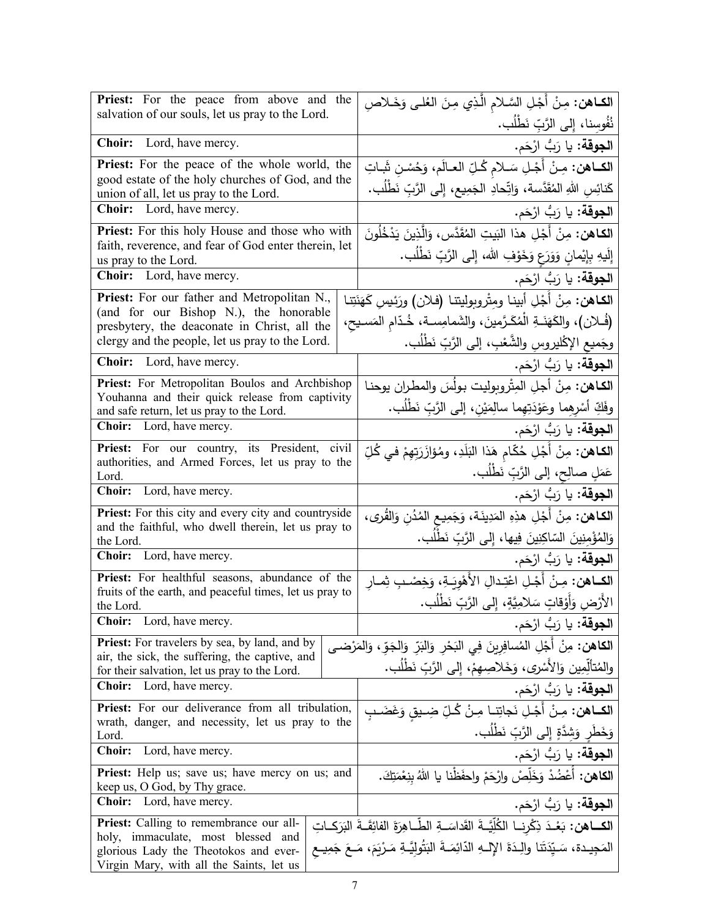| Priest: For the peace from above and the<br>salvation of our souls, let us pray to the Lord.          | ا <b>لكــاهن:</b> مِـنْ أَجْـلِ السَّـلام الَّـذِي مِـنَ العُلـى وَخَـلاصِ                           |  |  |
|-------------------------------------------------------------------------------------------------------|------------------------------------------------------------------------------------------------------|--|--|
| Choir: Lord, have mercy.                                                                              | نُفُوسِنا، إِلى الرَّبِّ نَطْلُب.<br>ا <b>لجوقة:</b> يا رَبُّ ارْحَم.                                |  |  |
| <b>Priest:</b> For the peace of the whole world, the                                                  |                                                                                                      |  |  |
| good estate of the holy churches of God, and the                                                      | ا <b>لكــاهن:</b> مِـنْ أَجْـلِ سَــلام كُـلِّ العـالَم، وَحُسْـن شَبـاتِ                            |  |  |
| union of all, let us pray to the Lord.                                                                | كَنائِسِ اللهِ المُقَدَّسة، وَاتِّحادِ الجَمِيعِ، إِلى الرَّبِّ نَطْلُب.                             |  |  |
| Choir: Lord, have mercy.                                                                              | ا <b>لجوقة:</b> يا رَبُّ ارْحَم.                                                                     |  |  |
| Priest: For this holy House and those who with                                                        | ا <b>لكـاهن:</b> مِنْ أَجْلِ هذا البَيتِ المُقَدَّسِ، وَالَّذِينَ يَدْخُلُونَ                        |  |  |
| faith, reverence, and fear of God enter therein, let<br>us pray to the Lord.                          | إِلَيهِ بِإِيْمانِ وَوَرَعٍ وَخَوْفِ الله، إِلى الرَّبِّ نَطْلُب.                                    |  |  |
| <b>Choir:</b> Lord, have mercy.                                                                       | ا <b>لجوقة:</b> يا رَبُّ ارْحَم.                                                                     |  |  |
| Priest: For our father and Metropolitan N.,                                                           | الكاهن: مِنْ أَجْلِ أبينا ومِتْروبوليتنا (فلان) ورَئِيسِ كَهَنَتِنا                                  |  |  |
| (and for our Bishop N.), the honorable                                                                |                                                                                                      |  |  |
| presbytery, the deaconate in Christ, all the                                                          | (فُـلان)، والكَهَنَــةِ الْمُكَـرَّمينَ، والشَمامِســة، خُـدّام المَسـيح،                            |  |  |
| clergy and the people, let us pray to the Lord.                                                       | وجَميعِ الإكْليروسِ والشَّعْبِ، إلى الرَّبِّ نَطْلُبٍ.                                               |  |  |
| Choir: Lord, have mercy.                                                                              | ا <b>لجوقة:</b> يا رَبُّ ارْحَم.                                                                     |  |  |
| Priest: For Metropolitan Boulos and Archbishop<br>Youhanna and their quick release from captivity     | الكاهن: مِنْ أجلِ المِتْروبوليت بولُسَ والمطران يوحنا                                                |  |  |
| and safe return, let us pray to the Lord.                                                             | وفَكِّ أَسْرِهِما وعَوْدَتِهِما سالِمَيْنِ، إلى الرَّبِّ نَطْلُبٍ.                                   |  |  |
| Choir: Lord, have mercy.                                                                              | ا <b>لجوقة:</b> يا رَبُّ ارْحَم.                                                                     |  |  |
| Priest: For our country, its President, civil                                                         | ا <b>لكـاهن:</b> مِنْ أَجْلِ حُكّام هَذا البَلَدِ، ومُؤازَرَتِهِمْ في كُلِّ                          |  |  |
| authorities, and Armed Forces, let us pray to the<br>Lord.                                            | عَمَلٍ صالِحٍ، إلى الرَّبِّ نَطْلُبٍ.                                                                |  |  |
| Choir: Lord, have mercy.                                                                              | ا <b>لجوقة:</b> يا رَبُّ ارْحَم.                                                                     |  |  |
| Priest: For this city and every city and countryside                                                  | ا <b>لكـاهن:</b> مِنْ أَجْلِ هذِهِ المَدِينَـة، وَجَمِيـعِ المُدُن وَالقُرى،                         |  |  |
| and the faithful, who dwell therein, let us pray to<br>the Lord.                                      | وَالِمُؤْمِنِينَ السّاكِنِينَ فِيها، إِلى الرَّبِّ نَطْلُب.                                          |  |  |
| <b>Choir:</b><br>Lord, have mercy.                                                                    | ا <b>لجوقة:</b> يا رَبُّ ارْحَم.                                                                     |  |  |
| Priest: For healthful seasons, abundance of the                                                       | ا <b>لكــاهن:</b> مِـنْ أَجْـلِ اعْتِـدالِ الأَهْوِيَـةِ، وَخِصْـبِ ثِمــار                          |  |  |
| fruits of the earth, and peaceful times, let us pray to                                               | الأَرْضِ وَأَوْقَاتٍ سَلامِيَّةٍ، إِلى الرَّبِّ نَطْلُب.                                             |  |  |
| the Lord.<br><b>Choir:</b> Lord, have mercy.                                                          | ا <b>لجوقة:</b> يا رَبُّ ارْحَم.                                                                     |  |  |
| <b>Priest:</b> For travelers by sea, by land, and by                                                  | الكاهن: مِنْ أَجْلِ المُسافِرِينَ فِي البَحْرِ وَالنِرِّ وَالجَوِّ، وَالمَرْضـى                      |  |  |
| air, the sick, the suffering, the captive, and                                                        |                                                                                                      |  |  |
| for their salvation, let us pray to the Lord.                                                         | والمُتألِّمِين وَالأَسْرِي، وَخَلاصِهِمْ، إِلَى الرَّبِّ نَطْلُبٍ.                                   |  |  |
| <b>Choir:</b> Lord, have mercy.                                                                       | ا <b>لجوقة:</b> يا رَبُّ ارْحَم.                                                                     |  |  |
| Priest: For our deliverance from all tribulation,<br>wrath, danger, and necessity, let us pray to the | <b>الكــاهن:</b> مِـنْ أَجْـلِ نَجاتِنـا مِـنْ كُـلِّ ضِـيقٍ وَغَضَــبِ                              |  |  |
| Lord.                                                                                                 | وَخَطَرٍ وَشَدَّةٍ إِلَى الرَّبِّ نَطْلَبٍ.                                                          |  |  |
| <b>Choir:</b><br>Lord, have mercy.                                                                    | ا <b>لجوقة:</b> يا رَبُّ ارْحَم.                                                                     |  |  |
| <b>Priest:</b> Help us; save us; have mercy on us; and                                                | ا <b>لكاهن:</b> أَعْضُدْ وَخَلِّصْ وارْحَمْ واحفَظْنا يا اللهُ بنِعْمَتِكَ.                          |  |  |
| keep us, O God, by Thy grace.<br>Lord, have mercy.<br>Choir:                                          | ا <b>لجوقة:</b> يا رَبُّ ارْحَم.                                                                     |  |  |
| Priest: Calling to remembrance our all-                                                               | الكــاهن: بَعْـدَ ذِكْرِنــا الكُلِّيَّــةَ القَداسَــةِ الطّــاهِرَةَ الفائِقَــةَ البَرَكــاتِ     |  |  |
| holy, immaculate, most blessed and                                                                    |                                                                                                      |  |  |
| glorious Lady the Theotokos and ever-<br>Virgin Mary, with all the Saints, let us                     | المَجِيدة، سَـيّدَتَنا والِـدَةَ الإِلــهِ الدّائِمَــةَ البَتُولِيَّــةِ مَـرْبَمَ، مَــعَ جَمِيــع |  |  |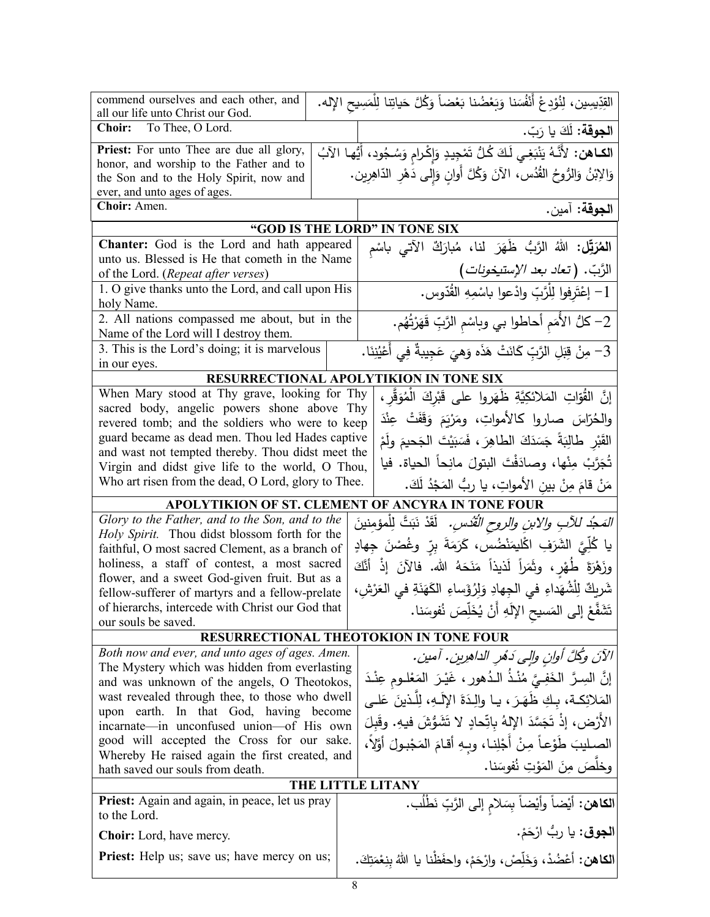| all our life unto Christ our God.                                                                                 | commend ourselves and each other, and<br>القِدِّيسِين، لِنُوْدِعْ أَنْفُسَنا وَبَعْضُنا بَعْضاً وَكُلَّ حَياتِنا لِلْمَسِيحِ الإِله. |                                                                                                                                                                            |  |
|-------------------------------------------------------------------------------------------------------------------|--------------------------------------------------------------------------------------------------------------------------------------|----------------------------------------------------------------------------------------------------------------------------------------------------------------------------|--|
| Choir: To Thee, O Lord.                                                                                           |                                                                                                                                      |                                                                                                                                                                            |  |
|                                                                                                                   |                                                                                                                                      | ا <b>لجوقة:</b> لَكَ يا رَبّ.                                                                                                                                              |  |
| Priest: For unto Thee are due all glory,                                                                          |                                                                                                                                      | الكـاهن: لأَنَّـهُ يَنْبَغِـي لَكَ كُلُّ تَمْجِيدٍ وَإِكْرامٍ وَسُـجُود، أَيُّها الآبُ<br>وَالِإِبْنُ وَالرُّوحُ القُدُس، الآنَ وَكُلَّ أَوانٍ وَإِلَى دَهْرِ الدّاهِرِين. |  |
| honor, and worship to the Father and to                                                                           |                                                                                                                                      |                                                                                                                                                                            |  |
| the Son and to the Holy Spirit, now and                                                                           |                                                                                                                                      |                                                                                                                                                                            |  |
| ever, and unto ages of ages.                                                                                      |                                                                                                                                      |                                                                                                                                                                            |  |
| Choir: Amen.                                                                                                      |                                                                                                                                      | ا <b>لجوقة:</b> آمين.                                                                                                                                                      |  |
|                                                                                                                   |                                                                                                                                      | "GOD IS THE LORD" IN TONE SIX                                                                                                                                              |  |
| Chanter: God is the Lord and hath appeared                                                                        |                                                                                                                                      | المُعْرَقِيل: اللهُ الرَّبُّ ظَهَرَ لَّذَا، مُبارَكٌ الآتي باسْم                                                                                                           |  |
| unto us. Blessed is He that cometh in the Name                                                                    |                                                                                                                                      |                                                                                                                                                                            |  |
| of the Lord. (Repeat after verses)                                                                                |                                                                                                                                      | الرَّبّ. (تع <i>اد بعد الإستيخونات</i> )                                                                                                                                   |  |
| 1. O give thanks unto the Lord, and call upon His                                                                 |                                                                                                                                      | 1– إعْتَرفوا لِلْرَّبِّ وإدْعوا باسْمِهِ القُدّوسِ.                                                                                                                        |  |
| holy Name.                                                                                                        |                                                                                                                                      |                                                                                                                                                                            |  |
| 2. All nations compassed me about, but in the                                                                     |                                                                                                                                      | 2– كلُّ الأُمَم أحاطوا بي وباسْم الرَّبِّ قَهَرْتُهُم.                                                                                                                     |  |
| Name of the Lord will I destroy them.                                                                             |                                                                                                                                      |                                                                                                                                                                            |  |
| 3. This is the Lord's doing; it is marvelous                                                                      |                                                                                                                                      | 3– مِنْ قِبَلِ الرَّبِّ كَانَتْ هَذَه وَهِيَ عَجِيبةٌ فِي أَعْيُنِنَا.                                                                                                     |  |
| in our eyes.                                                                                                      |                                                                                                                                      |                                                                                                                                                                            |  |
|                                                                                                                   |                                                                                                                                      | RESURRECTIONAL APOLYTIKION IN TONE SIX                                                                                                                                     |  |
| When Mary stood at Thy grave, looking for Thy                                                                     |                                                                                                                                      | إِنَّ القُوّاتِ المَلائكِيَّةِ ظَهَروا على قَبْرِكَ الْمُوَقَّرِ ،                                                                                                         |  |
| sacred body, angelic powers shone above Thy<br>revered tomb; and the soldiers who were to keep                    |                                                                                                                                      | والحُرّاسَ صاروا كالأُمواتِ، ومَرْبَمَ وَقَفَتْ عِنْدَ                                                                                                                     |  |
| guard became as dead men. Thou led Hades captive                                                                  |                                                                                                                                      |                                                                                                                                                                            |  |
| and wast not tempted thereby. Thou didst meet the                                                                 |                                                                                                                                      | القَبْرِ طَالِبَةً جَسَدَكَ الطاهِرَ ، فَسَبَيْتَ الْجَحيمَ ولَمْ                                                                                                          |  |
| Virgin and didst give life to the world, O Thou,                                                                  |                                                                                                                                      | تُجَرَّبْ مِنْها، وصادَفْتَ البتولَ مانِحاً الحياة. فيا                                                                                                                    |  |
| Who art risen from the dead, O Lord, glory to Thee.                                                               |                                                                                                                                      | مَنْ قامَ مِنْ بينِ الأمواتِ، يا رِبُّ المَجْدُ لَكَ.                                                                                                                      |  |
|                                                                                                                   |                                                                                                                                      |                                                                                                                                                                            |  |
|                                                                                                                   |                                                                                                                                      | APOLYTIKION OF ST. CLEMENT OF ANCYRA IN TONE FOUR                                                                                                                          |  |
| Glory to the Father, and to the Son, and to the                                                                   |                                                                                                                                      | الصَجُد للآبِ وللاب <i>نِ والروح الْقُدْسِ.</i> ۚ لَقَدْ نَبَتَّ لِلْمؤمِنينَ                                                                                              |  |
| Holy Spirit. Thou didst blossom forth for the                                                                     |                                                                                                                                      | يا كُلِّيَّ الشَّرَفِ اكْليمَنْضُس، كَرَمَةَ بِرِّ وغُصْنَ جِهادٍ                                                                                                          |  |
| faithful, O most sacred Clement, as a branch of<br>holiness, a staff of contest, a most sacred                    |                                                                                                                                      |                                                                                                                                                                            |  |
| flower, and a sweet God-given fruit. But as a                                                                     |                                                                                                                                      | وزَهْرَةَ طَهْرٍ، وثَمَراً لَذيذاً مَنَحَهُ الله. فالآنَ إذْ أَنَّكَ                                                                                                       |  |
| fellow-sufferer of martyrs and a fellow-prelate                                                                   |                                                                                                                                      | شَرِيكٌ لِلْشُهَداءِ في الجِهادِ وَلِرُؤَساءِ الكَهَنَةِ في العَرْشِ،                                                                                                      |  |
| of hierarchs, intercede with Christ our God that                                                                  |                                                                                                                                      |                                                                                                                                                                            |  |
| our souls be saved.                                                                                               |                                                                                                                                      | تَشَفَّعْ إلى المَسيح الإِلَهِ أَنْ يُخَلِّصَ نُفوسَنا.                                                                                                                    |  |
|                                                                                                                   |                                                                                                                                      | <b>RESURRECTIONAL THEOTOKION IN TONE FOUR</b>                                                                                                                              |  |
| Both now and ever, and unto ages of ages. Amen.                                                                   |                                                                                                                                      | الآنَ وكُلَّ أُوانِ وإلى دَهْرِ الداهرِينِ. آمينِ.                                                                                                                         |  |
| The Mystery which was hidden from everlasting                                                                     |                                                                                                                                      |                                                                                                                                                                            |  |
| and was unknown of the angels, O Theotokos,                                                                       |                                                                                                                                      | إِنَّ السِنَّ الْخَفِيَّ مُنْذُ الْـدُهورِ ، غَيْـرَ المَعْلـومِ عِنْـدَ                                                                                                   |  |
| wast revealed through thee, to those who dwell                                                                    |                                                                                                                                      | المَلائِكة، بـكِ ظَهَرَ ، يـا والِـدَةَ الإِلَـهِ، لِلَّـذينَ عَلــى                                                                                                       |  |
| upon earth. In that God, having become                                                                            |                                                                                                                                      |                                                                                                                                                                            |  |
| الأَرْضِ، إِذْ تَجَسَّدَ الإِلهُ بِاتِّحادٍ لا تَشَوُّشَ فيهِ. وقَبلَ<br>incarnate—in unconfused union—of His own |                                                                                                                                      |                                                                                                                                                                            |  |
| good will accepted the Cross for our sake.                                                                        |                                                                                                                                      | الصليبَ طَوْعـاً مِنْ أَجْلِنـا، وبِهِ أقـامَ المَجْبولَ أوَّلاً،                                                                                                          |  |
| Whereby He raised again the first created, and                                                                    |                                                                                                                                      | وخلَصَ مِنَ المَوْتِ نُفوسَنا.                                                                                                                                             |  |
| hath saved our souls from death.                                                                                  |                                                                                                                                      |                                                                                                                                                                            |  |
|                                                                                                                   |                                                                                                                                      | THE LITTLE LITANY                                                                                                                                                          |  |
| <b>Priest:</b> Again and again, in peace, let us pray<br>to the Lord.                                             |                                                                                                                                      | ا <b>لكاهن:</b> أَيْضاً وأَيْضاً بِسَلامِ إلى الرَّبِّ نَطْلُب.                                                                                                            |  |
|                                                                                                                   |                                                                                                                                      |                                                                                                                                                                            |  |
| <b>Choir:</b> Lord, have mercy.                                                                                   |                                                                                                                                      | ا <b>لجوق</b> : يا ربُّ ارْحَمْ.                                                                                                                                           |  |
| <b>Priest:</b> Help us; save us; have mercy on us;                                                                |                                                                                                                                      | الكاهن: أَعْضُدْ، وَخَلِّصْ، وارْحَمْ، واحفَظْنا يا اللهُ بِنِعْمَتِكَ.                                                                                                    |  |
|                                                                                                                   |                                                                                                                                      |                                                                                                                                                                            |  |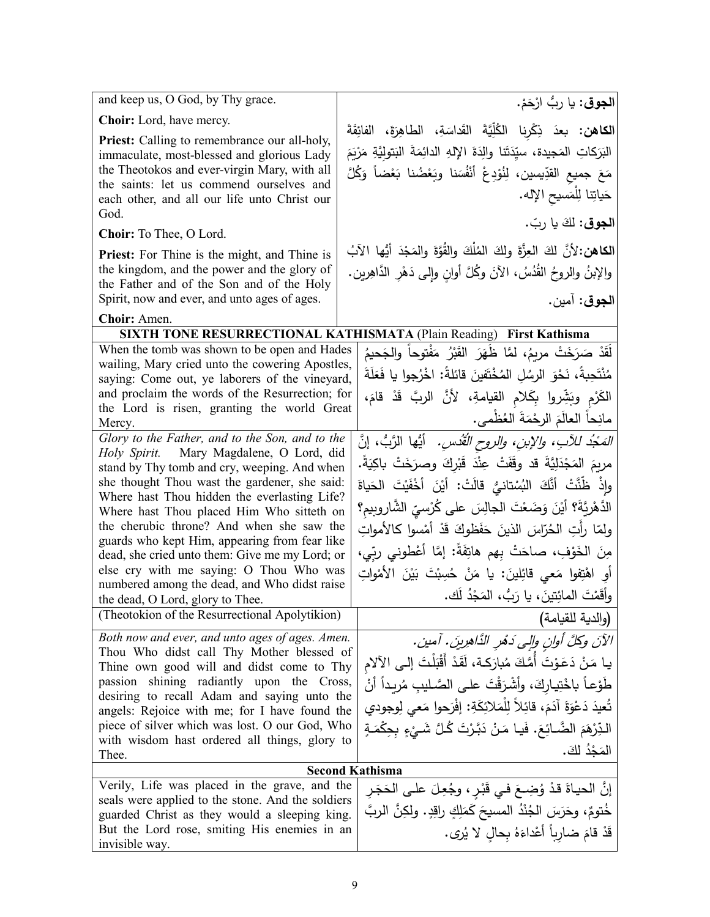| ا <b>لجوق</b> : يا ربُّ ارْحَمْ.                                                                                                                                                                                                                                                                                                                                                                                                                                                                             |  |  |
|--------------------------------------------------------------------------------------------------------------------------------------------------------------------------------------------------------------------------------------------------------------------------------------------------------------------------------------------------------------------------------------------------------------------------------------------------------------------------------------------------------------|--|--|
| ا <b>لكاهن: بع</b> دَ ذِكْرِنا الكُلِّيَّةَ القَداسَةِ، الطاهِرَةَ، الفائِقَةَ                                                                                                                                                                                                                                                                                                                                                                                                                               |  |  |
| البَرَكاتِ المَجيدة، سيِّدَتَنا والِدَةَ الإِلهِ الدائِمَةَ البَتوليَّةِ مَرْيَمَ<br>مَعَ جميع القدِّيسين، لِنُوْدِعْ أَنْفُسَنا وبَعْضُنا بَعْضاً وَكُلَّ<br>حَياتِنا لِلْمَسيحِ الإِله.                                                                                                                                                                                                                                                                                                                    |  |  |
| ا <b>لجوق:</b> لكَ يا ربّ.                                                                                                                                                                                                                                                                                                                                                                                                                                                                                   |  |  |
|                                                                                                                                                                                                                                                                                                                                                                                                                                                                                                              |  |  |
| الكاهن:لأنَّ لكَ العِزَّةَ ولكَ المُلْكَ والقُوَّةَ والمَجْدَ أَيُّها الآبُ<br>والإبنُ والروحُ القُدُسُ، الآنَ وكُلَّ أوانِ وإلى دَهْرِ الدَّاهِرين.<br>ا <b>لجوق</b> : آمين.                                                                                                                                                                                                                                                                                                                                |  |  |
|                                                                                                                                                                                                                                                                                                                                                                                                                                                                                                              |  |  |
| SIXTH TONE RESURRECTIONAL KATHISMATA (Plain Reading) First Kathisma                                                                                                                                                                                                                                                                                                                                                                                                                                          |  |  |
| When the tomb was shown to be open and Hades<br>لَقَدْ صَرَخَتْ مريمُ، لمَّا ظَهَرَ  القَبْرُ  مَفْتوحاً  والجَحيمُ<br>wailing, Mary cried unto the cowering Apostles,<br>مُنْتَحِبةً، نَحْوَ الرسُلِ المُخْتَفِينَ قائلةً: اخْرُجوا يا فَعَلَةَ<br>saying: Come out, ye laborers of the vineyard,<br>and proclaim the words of the Resurrection; for<br>الكَرْمِ وبَشِّروا بكَلامِ القيامةِ، لأنَّ الربَّ قَدْ قامَ،<br>the Lord is risen, granting the world Great<br>مانِحاً العالَمَ الرحْمَةَ العُظْمى. |  |  |
| <i>المَخْذ للآبِ، والإبنِ، والروح القُدْسِ.</i> أيُّها الزَّبُّ، إنَّ<br>Glory to the Father, and to the Son, and to the                                                                                                                                                                                                                                                                                                                                                                                     |  |  |
| Holy Spirit. Mary Magdalene, O Lord, did<br>مريمَ المَجْدَلِيَّةَ قد وقَفَتْ عِنْدَ قَبْرِكَ وصرَخَتْ باكِيَةً.<br>stand by Thy tomb and cry, weeping. And when                                                                                                                                                                                                                                                                                                                                              |  |  |
| she thought Thou wast the gardener, she said:<br>وإِذْ ظَنَّتْ أَنَّكَ الْبُسْتانيُّ قالَتْ: أَيْنَ أَخْفَيْتَ الحَياةَ                                                                                                                                                                                                                                                                                                                                                                                      |  |  |
| الدَّهْرِيَّةَ؟ أَيْنَ وَضَعْتَ الْجالِسَ على كُرْسيِّ الشَّاروبِيمِ؟                                                                                                                                                                                                                                                                                                                                                                                                                                        |  |  |
| ولمّا رأتِ الحُرّاسَ الذينَ حَفَظوكَ قَدْ أَمْسوا كالأمواتِ                                                                                                                                                                                                                                                                                                                                                                                                                                                  |  |  |
| مِنَ الْخَوْفِ، صاحَتْ بِهم هاتِفَةً: إِمَّا أَعْطُوني ربِّي،                                                                                                                                                                                                                                                                                                                                                                                                                                                |  |  |
| أَوِ اهْتِفوا مَعي قائِلينَ: يا مَنْ حُسِبْتَ بَيْنَ الأَمْواتِ                                                                                                                                                                                                                                                                                                                                                                                                                                              |  |  |
| وأقَمْتَ المائِتينَ، يا رَبُّ، المَجْدُ لَك.                                                                                                                                                                                                                                                                                                                                                                                                                                                                 |  |  |
| (Theotokion of the Resurrectional Apolytikion)<br>(والدية للقيامة)                                                                                                                                                                                                                                                                                                                                                                                                                                           |  |  |
| Both now and ever, and unto ages of ages. Amen.<br>الآنَ وكلَّ أوانِ وإلى دَهْرِ الذَّاهِرِينَ. آمينَ.                                                                                                                                                                                                                                                                                                                                                                                                       |  |  |
| Thou Who didst call Thy Mother blessed of<br>يـا مَنْ دَعَوْتَ أَمَّكَ مُبارَكة، لَقَدْ أَقْبَلْتَ إلـى الآلام<br>Thine own good will and didst come to Thy                                                                                                                                                                                                                                                                                                                                                  |  |  |
| passion shining radiantly upon the Cross,<br>طَوْعاً باخْتِيارِكَ، وأشْرَقْتَ على الصَّليب مُرِيداً أنْ                                                                                                                                                                                                                                                                                                                                                                                                      |  |  |
| desiring to recall Adam and saying unto the<br>تُعيدَ دَعْوَةَ آدَمَ، قائِلاً لِلْمَلائِكَةِ: إفْرَحوا مَعى لِوجودي<br>angels: Rejoice with me; for I have found the                                                                                                                                                                                                                                                                                                                                         |  |  |
| piece of silver which was lost. O our God, Who<br>الدِّرْهَمَ الضَّـائِعَ. فَيـا مَـنْ دَبَّرْتَ كُـلَّ شَـيْءِ بِحِكْمَـةٍ                                                                                                                                                                                                                                                                                                                                                                                  |  |  |
| with wisdom hast ordered all things, glory to<br>المَجْدُ لَكَ.                                                                                                                                                                                                                                                                                                                                                                                                                                              |  |  |
| <b>Second Kathisma</b>                                                                                                                                                                                                                                                                                                                                                                                                                                                                                       |  |  |
| Verily, Life was placed in the grave, and the<br>إِنَّ الحياةَ قَدْ وُضِعَ في قَبْرٍ ، وجُعِلَ على الْحَجَرِ                                                                                                                                                                                                                                                                                                                                                                                                 |  |  |
| seals were applied to the stone. And the soldiers<br>خُتومٌ، وحَرَسَ الجُنْدُ المسيحَ كَمَلِكٍ راقِدٍ. ولكِنَّ الربَّ<br>guarded Christ as they would a sleeping king.                                                                                                                                                                                                                                                                                                                                       |  |  |
| But the Lord rose, smiting His enemies in an<br>قَدْ قامَ ضارباً أعْداءَهُ بِحالِ لا يُرِي.                                                                                                                                                                                                                                                                                                                                                                                                                  |  |  |
| Where hast Thou hidden the everlasting Life?<br>Where hast Thou placed Him Who sitteth on<br>the cherubic throne? And when she saw the<br>guards who kept Him, appearing from fear like<br>dead, she cried unto them: Give me my Lord; or<br>else cry with me saying: O Thou Who was<br>numbered among the dead, and Who didst raise                                                                                                                                                                         |  |  |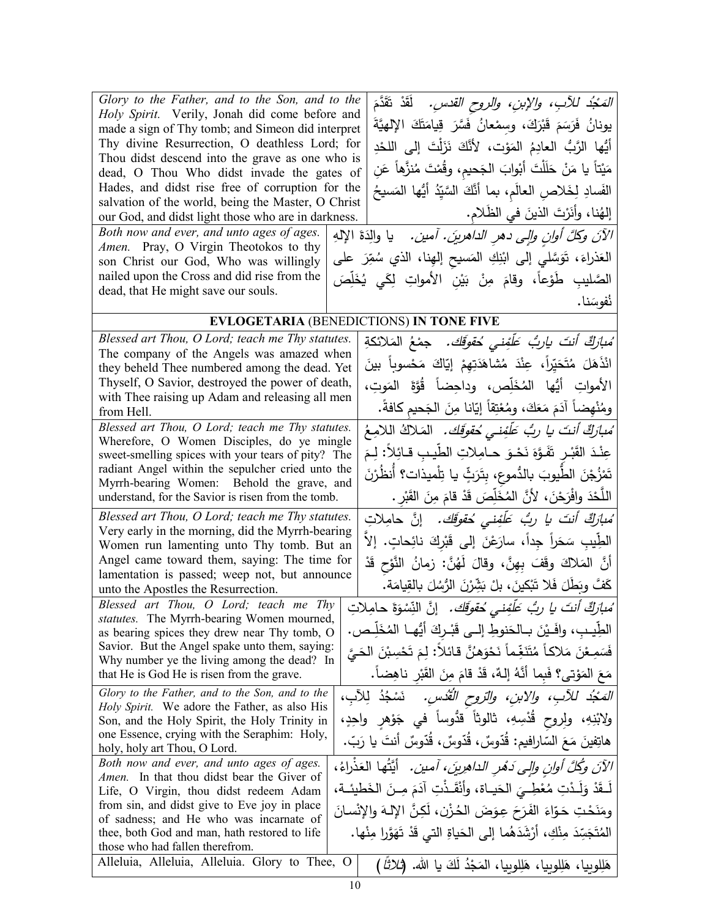| Glory to the Father, and to the Son, and to the<br>Holy Spirit. Verily, Jonah did come before and<br>made a sign of Thy tomb; and Simeon did interpret<br>Thy divine Resurrection, O deathless Lord; for<br>Thou didst descend into the grave as one who is<br>dead, O Thou Who didst invade the gates of<br>Hades, and didst rise free of corruption for the<br>salvation of the world, being the Master, O Christ<br>our God, and didst light those who are in darkness.<br>Both now and ever, and unto ages of ages.<br>Amen. Pray, O Virgin Theotokos to thy<br>son Christ our God, Who was willingly<br>nailed upon the Cross and did rise from the<br>dead, that He might save our souls. | المَجْدُ للأَبِ، والإبنِ، والروح القدسِ. ۖ لَقَدْ نَقَدَّمَ<br>يونانُ فَرَسَمَ قَبْرَكَ، وسمْعانُ فَسَّرَ قِيامَتَكَ الإلهيَّةَ<br>أَيُّها الرَّبُّ العادِمُ المَوْت، لأَنَّكَ نَزَلْتَ إلى اللحْدِ<br>مَيْتاً يا مَنْ حَلَلْتَ أَبْوابَ الجَحيم، وقُمْتَ مُنزَّهاً عَن<br>الفَسادِ لِخَلاصِ العالَمِ، بما أَنَّكَ السَّيِّدُ أَيُّها المَسيحُ<br>إلهُنا، وأَنَرْتَ الذينَ في الظَلام.<br><i>الآنَ وكلَّ أوانِ وإلى دهرِ الداهرينَ. آمين.</i> يا والِدَة الإِلهِ<br>العَذراءَ، تَوَسَّلي إلى ابْنِكِ المَسيحِ إلهِنا، الذي سُمِّرَ على<br>الصَّليبِ طَوْعاً، وقامَ مِنْ بَيْنِ الأمواتِ لِكَي يُخَلِّصَ<br>نُفوسَنا. |
|-------------------------------------------------------------------------------------------------------------------------------------------------------------------------------------------------------------------------------------------------------------------------------------------------------------------------------------------------------------------------------------------------------------------------------------------------------------------------------------------------------------------------------------------------------------------------------------------------------------------------------------------------------------------------------------------------|----------------------------------------------------------------------------------------------------------------------------------------------------------------------------------------------------------------------------------------------------------------------------------------------------------------------------------------------------------------------------------------------------------------------------------------------------------------------------------------------------------------------------------------------------------------------------------------------------------------------|
|                                                                                                                                                                                                                                                                                                                                                                                                                                                                                                                                                                                                                                                                                                 | <b>EVLOGETARIA (BENEDICTIONS) IN TONE FIVE</b>                                                                                                                                                                                                                                                                                                                                                                                                                                                                                                                                                                       |
| Blessed art Thou, O Lord; teach me Thy statutes.<br>The company of the Angels was amazed when<br>they beheld Thee numbered among the dead. Yet<br>Thyself, O Savior, destroyed the power of death,<br>with Thee raising up Adam and releasing all men<br>from Hell.                                                                                                                                                                                                                                                                                                                                                                                                                             | مُ <i>بارَكٌ أنتَ ياربُ عَلَّفِني حُقوقَك.</i> جمْعُ المَلائكةِ<br>انْذَهَلَ مُتَحَيِّراً، عِنْدَ مُشاهَدَتِهِمْ إيّاكَ مَحْسوباً بينَ<br>الأمواتِ أَيُّها المُخَلِّص، وداحِضاً قُوَّةَ المَوتِ،<br>ومُنْهِضاً آدَمَ مَعَكَ، ومُعْتِقاً إيّانا مِنَ الجَحيم كافةً.                                                                                                                                                                                                                                                                                                                                                   |
| Blessed art Thou, O Lord; teach me Thy statutes.<br>Wherefore, O Women Disciples, do ye mingle<br>sweet-smelling spices with your tears of pity? The<br>radiant Angel within the sepulcher cried unto the<br>Myrrh-bearing Women: Behold the grave, and<br>understand, for the Savior is risen from the tomb.                                                                                                                                                                                                                                                                                                                                                                                   | مُ <i>بارَكٌ أنتَ يا ربُّ عَلَّفِنى حُقوقَك.</i> المَلاكُ اللامِعُ<br>عِنْدَ القَبْـرِ تَفَـوَّهَ نَحْـوَ حـامِلاتِ الطَّيـبِ قـائِلاً: لِـمَ<br>تَمْزُجْنَ الطَّيوبَ بالدُّموعِ، بِتَرَثِّ يا تِلْميذات؟ أنظُرْنَ<br>اللَّحْدَ وافْرَحْنَ، لأَنَّ المُخَلِّصَ قَدْ قامَ مِنَ القَبْرِ .                                                                                                                                                                                                                                                                                                                             |
| Blessed art Thou, O Lord; teach me Thy statutes.<br>Very early in the morning, did the Myrrh-bearing<br>Women run lamenting unto Thy tomb. But an<br>Angel came toward them, saying: The time for<br>lamentation is passed; weep not, but announce<br>unto the Apostles the Resurrection.<br>Blessed art Thou, O Lord; teach me Thy                                                                                                                                                                                                                                                                                                                                                             | ُ <i>مْبارَكٌ أَنتَ يا ربُّ عَلَّفِني حُقوقَكَ.</i> إنَّ حامِلاتِ<br>الطِّيبِ سَحَراً جِداً، سارَعْنَ إلى قَبْرِكَ نائِحاتٍ. إلاّ<br>أَنَّ  المَلاكَ  وقَفَ  بِهِنَّ،  وقالَ  لَهُنَّ:  زمانُ  النَّوْحِ  قَدْ<br>كَفَّ وبَطَلَ فَلا تَبْكينَ، بلْ بَشِّرْنَ الرُّسُلَ بِالقِيامَةِ.<br>ُ <i>مْبِأَرَكٌ أَنتَ يا ربُّ عَلَّفِني مُقوقَك.</i> إنَّ النِّسْوَةَ حامِلاتِ                                                                                                                                                                                                                                               |
| <i>statutes.</i> The Myrrh-bearing Women mourned,<br>as bearing spices they drew near Thy tomb, O<br>Savior. But the Angel spake unto them, saying:<br>Why number ye the living among the dead? In<br>that He is God He is risen from the grave.                                                                                                                                                                                                                                                                                                                                                                                                                                                | الطِّيبِ، وإِفَـيْنَ بِـالْحَنوطِ إِلــى قَبْـرِكَ أَيُّهـا الْمُخَلِّـص.<br>فَسَمِعْنَ مَلاكاً مُتَنَغِّماً نَحْوَهنٌ قائلاً: لِمَ تَحْسِبْنَ الْحَيَّ<br>مَعَ المَوْتِي؟ فَبِما أَنَّهُ إِلَٰهٌ، قَدْ قَامَ مِنَ الْقَبْرِ ناهِضاً.                                                                                                                                                                                                                                                                                                                                                                                |
| Glory to the Father, and to the Son, and to the<br><i>Holy Spirit.</i> We adore the Father, as also His<br>Son, and the Holy Spirit, the Holy Trinity in<br>one Essence, crying with the Seraphim: Holy,<br>holy, holy art Thou, O Lord.                                                                                                                                                                                                                                                                                                                                                                                                                                                        | الْمَجْدُ للآبِ، والابنِ، والتروحِ الْقُدْسِ. ۚ نَسْجُدُ لِلآبِ،<br>ولِابْنِهِ، ولروح قُدْسِهِ، ثالوثاً قدُّوساً في جَوْهر واحِدٍ،<br>هاتِفينَ مَعَ السّارافيم: قُدّوسٌ، قُدّوسٌ، قُدّوسٌ أنتَ يا رَبّ.                                                                                                                                                                                                                                                                                                                                                                                                              |
| Both now and ever, and unto ages of ages.<br><i>Amen.</i> In that thou didst bear the Giver of<br>Life, O Virgin, thou didst redeem Adam<br>from sin, and didst give to Eve joy in place<br>of sadness; and He who was incarnate of<br>thee, both God and man, hath restored to life<br>those who had fallen therefrom.                                                                                                                                                                                                                                                                                                                                                                         | الآنَ وَكُلَّ أَوَانٍ وَإِلَى دَهْرِ الدَاهِرِينَ، أَمين. ۖ أَيَّتُهَا الْعَذْرَاءُ،<br>لَـقَدْ وَلَـدْتِ مُعْطِــىَ الحَيــاة، وأَنْقَـذْتِ آدَمَ مِــنَ الخَطيئــة،<br>ومَنَحْتِ حَوّاءَ الفَرَحَ عِوَضَ الحُزْنِ، لَكِنَّ الإِلـهَ والإِنْسانَ<br>الْمُتَجَسِّدَ مِنْكِ، أَرْشَدَهُما إِلَى الْحَياةِ الَّتِي قَدْ تَهَوَّرِا مِنْها.                                                                                                                                                                                                                                                                             |
| Alleluia, Alleluia, Alleluia. Glory to Thee, O                                                                                                                                                                                                                                                                                                                                                                                                                                                                                                                                                                                                                                                  | هَلِلوبِيا، هَلِلوبِيا، هَلِلوبيا، المَجْدُ لَكَ يا الله. (ثلاثًا )                                                                                                                                                                                                                                                                                                                                                                                                                                                                                                                                                  |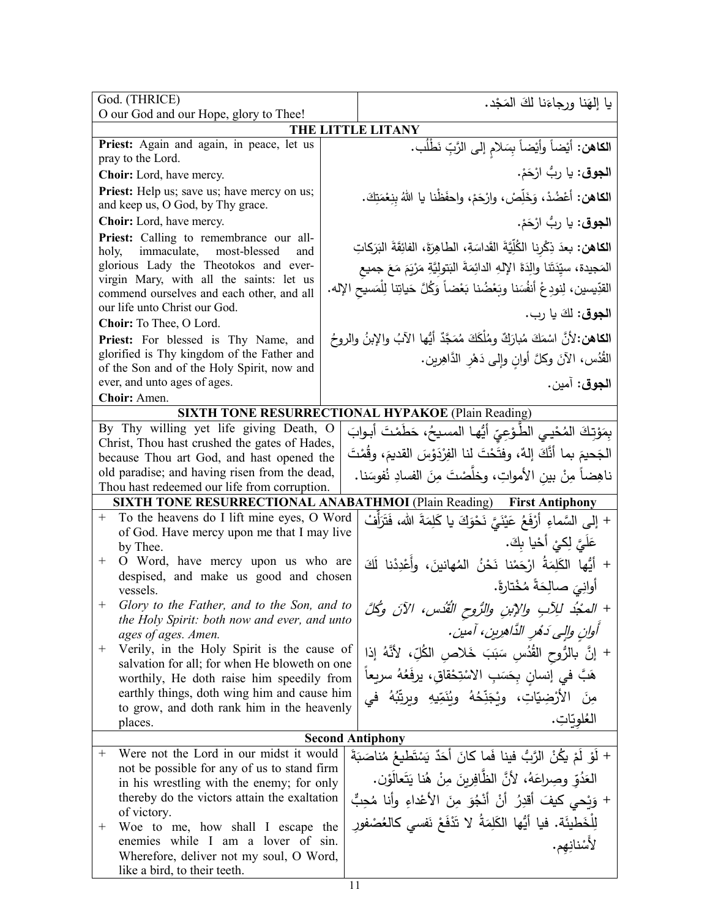| God. (THRICE)                                                                              |                                               | يا إلهَنا ورجاءَنا لكَ المَجْد.                                                                    |  |  |
|--------------------------------------------------------------------------------------------|-----------------------------------------------|----------------------------------------------------------------------------------------------------|--|--|
| O our God and our Hope, glory to Thee!                                                     |                                               |                                                                                                    |  |  |
| THE LITTLE LITANY                                                                          |                                               |                                                                                                    |  |  |
| Priest: Again and again, in peace, let us<br>pray to the Lord.                             |                                               | الكاهن: أيْضاً وأَيْضاً بِسَلامِ إلى الرَّبِّ نَطْلُب.                                             |  |  |
| Choir: Lord, have mercy.                                                                   |                                               | ا <b>لجوق</b> : يا ربُّ ارْحَمْ.                                                                   |  |  |
| Priest: Help us; save us; have mercy on us;<br>and keep us, O God, by Thy grace.           |                                               | ا <b>لكاهن:</b> أعْضُدْ، وَخَلِّصْ، وارْحَمْ، واحفَظْنا يا اللهُ بِنِعْمَتِكَ.                     |  |  |
| Choir: Lord, have mercy.                                                                   |                                               | ا <b>لجوق</b> : يا ربُّ ارْحَمْ.                                                                   |  |  |
| Priest: Calling to remembrance our all-                                                    |                                               |                                                                                                    |  |  |
| immaculate,<br>most-blessed<br>holy,<br>and                                                |                                               | ا <b>لكاهن:</b> بعدَ ذِكْرِنا الكُلِّيَّةَ القَداسَةِ، الطاهِرَةَ، الفائِقَةَ البَرَكاتِ           |  |  |
| glorious Lady the Theotokos and ever-                                                      |                                               | المَجيدة، سيِّدَتَنا والِدَةَ الإِلهِ الدائِمَةَ البَتولِيَّةِ مَرْيَمَ مَعَ جميع                  |  |  |
| virgin Mary, with all the saints: let us                                                   |                                               | القدِّيسين، لِنودِعْ أنفُسَنا وبَعْضُنا بَعْضاً وَكُلَّ حَياتِنا لِلْمَسيحِ الإله.                 |  |  |
| commend ourselves and each other, and all<br>our life unto Christ our God.                 |                                               |                                                                                                    |  |  |
| Choir: To Thee, O Lord.                                                                    |                                               | ا <b>لجوق</b> : لكَ يا رب.                                                                         |  |  |
| Priest: For blessed is Thy Name, and                                                       |                                               | الكاهن:لأنَّ اسْمَكَ مُبارَكٌ ومُلْكَكَ مُمَجَّدٌ أَيُّها الآبُ والإِبنُ والروحُ                   |  |  |
| glorified is Thy kingdom of the Father and                                                 |                                               |                                                                                                    |  |  |
| of the Son and of the Holy Spirit, now and                                                 |                                               | الْقُدُس، الآنَ وكلَّ أُوانٍ وإِلَى دَهْرِ الدَّاهِرِينِ.                                          |  |  |
| ever, and unto ages of ages.                                                               |                                               | ا <b>لجوق</b> : آمين.                                                                              |  |  |
| Choir: Amen.                                                                               |                                               |                                                                                                    |  |  |
|                                                                                            |                                               | <b>SIXTH TONE RESURRECTIONAL HYPAKOE (Plain Reading)</b>                                           |  |  |
| By Thy willing yet life giving Death, O                                                    |                                               | بِمَوْتِكَ المُحْيـى الطّـوْعِيّ أيُّهـا المسيحُ، حَطَمْتَ أبـوابَ                                 |  |  |
| Christ, Thou hast crushed the gates of Hades,                                              |                                               | الجَحيمَ بما أَنَّكَ إِلهٌ، وفتَحْتَ لَنا الفِرْدَوْسَ القديمَ، وقُمْتَ                            |  |  |
| because Thou art God, and hast opened the<br>old paradise; and having risen from the dead, |                                               |                                                                                                    |  |  |
| Thou hast redeemed our life from corruption.                                               |                                               | ناهِضاً مِنْ بينِ الأمواتِ، وخلَّصْتَ مِنَ الفسادِ نُفوسَنا.                                       |  |  |
|                                                                                            |                                               | SIXTH TONE RESURRECTIONAL ANABATHMOI (Plain Reading) First Antiphony                               |  |  |
| To the heavens do I lift mine eyes, O Word<br>$+$                                          |                                               | + إلى السَّماءِ أَرْفَعُ عَيْنَيَّ نَحْوَكَ يا كَلِمَةَ الله، فَتَرَأَفْ                           |  |  |
| of God. Have mercy upon me that I may live                                                 |                                               |                                                                                                    |  |  |
| by Thee.                                                                                   |                                               | عَلَيَّ لِكيُّ أَحْيا بِكَ.                                                                        |  |  |
| O Word, have mercy upon us who are<br>$+$<br>despised, and make us good and chosen         |                                               | + أَيُّها الكَلِمَةُ ارْحَمْنا نَحْنُ المُهانينَ، وأَعْدِدْنا لَكَ                                 |  |  |
| vessels.                                                                                   |                                               | أُوانِيَ صالِحَةً مُخْتارةً.                                                                       |  |  |
|                                                                                            | + Glory to the Father, and to the Son, and to |                                                                                                    |  |  |
| the Holy Spirit: both now and ever, and unto<br>ages of ages. Amen.                        |                                               | + المجْدُ للِآبِ والإبنِ والرُوحِ الْقُدُسِ، الآنَ وكُلَّ<br>أوان والى دَمُر الدَّاهِرِينِ، آمينِ. |  |  |
| Verily, in the Holy Spirit is the cause of<br>$^{+}$                                       |                                               | + إنَّ بالرُّوحِ القُدُسِ سَبَبَ خَلاصِ الكُلِّ، لأنَّهُ إذا                                       |  |  |
| salvation for all; for when He bloweth on one<br>worthily, He doth raise him speedily from |                                               | هَبَّ في إنسانٍ بِحَسَبِ الاسْتِحْقاقِ، يرفَعُهُ سريعاً                                            |  |  |
| earthly things, doth wing him and cause him                                                |                                               | مِنَ الأَرْضِيّاتِ، ويُجَنِّحُهُ ويُنَمِّيهِ ويرتِّبُهُ في                                         |  |  |
| to grow, and doth rank him in the heavenly                                                 |                                               |                                                                                                    |  |  |
| places.                                                                                    |                                               | العُلويّاتِ.                                                                                       |  |  |
|                                                                                            |                                               | <b>Second Antiphony</b>                                                                            |  |  |
| Were not the Lord in our midst it would<br>$^+$                                            |                                               | + لَوْ لَمْ يكُنْ الرَّبُ فينا فَما كانَ أَحَدٌ يَسْتَطْيعُ مُناصَبَةَ                             |  |  |
| not be possible for any of us to stand firm<br>in his wrestling with the enemy; for only   |                                               | العَدُقِّ وصِراعَهُ، لأَنَّ الظَّافِرِينَ مِنْ هُنا يَتَعالَوْنِ.                                  |  |  |
| thereby do the victors attain the exaltation<br>of victory.                                |                                               | + وَيْحي كيفَ أقدِرُ أَنْ أَنْجُوَ مِنَ الأَعْداءِ وأنا مُحِبٌّ                                    |  |  |
| Woe to me, how shall I escape the<br>$^+$                                                  |                                               | لِلْخَطْيِئَة. فيا أَيُّها الْكَلِمَةُ لا تَذْفَعْ نَفْسى كالْعُصْفْورِ                            |  |  |
| enemies while I am a lover of sin.                                                         |                                               | لأسْنانِهم.                                                                                        |  |  |
| Wherefore, deliver not my soul, O Word,<br>like a bird, to their teeth.                    |                                               |                                                                                                    |  |  |
|                                                                                            |                                               |                                                                                                    |  |  |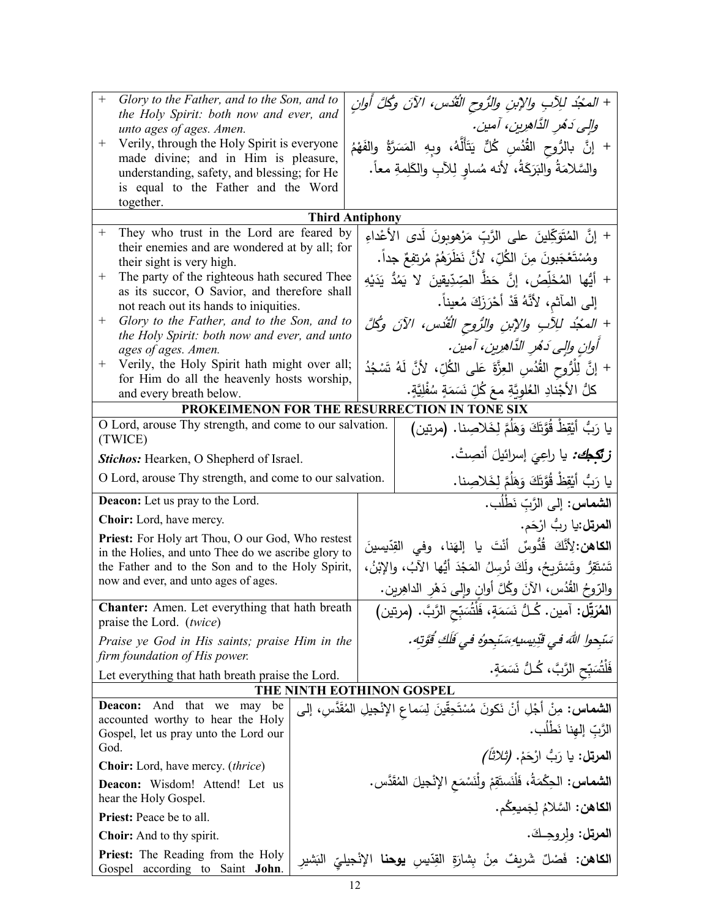| $+$                                  | Glory to the Father, and to the Son, and to<br>the Holy Spirit: both now and ever, and                          |  |                                                              | + المجْدُ للِأَبِ والإبنِ والرُّوحِ الْقُدْسِ، الآنَ وكُلَّ أُولِنِ                          |  |
|--------------------------------------|-----------------------------------------------------------------------------------------------------------------|--|--------------------------------------------------------------|----------------------------------------------------------------------------------------------|--|
|                                      | unto ages of ages. Amen.                                                                                        |  |                                                              | والِي دَهُرِ الدَّاهِرِينِ، آمينِ.                                                           |  |
| $^{+}$                               | Verily, through the Holy Spirit is everyone                                                                     |  |                                                              | + إنَّ بالرُّوحِ القُدُسِ كُلٍّ يَتَأَلَّهُ، وبِهِ الْمَسَرَّةُ والفَهْمُ                    |  |
|                                      | made divine; and in Him is pleasure,                                                                            |  |                                                              | والسَّلامَةُ والبَرَكَةُ، لأنه مُساوٍ لِلأَبِ والكَلِمةِ معاً.                               |  |
|                                      | understanding, safety, and blessing; for He<br>is equal to the Father and the Word                              |  |                                                              |                                                                                              |  |
|                                      | together.                                                                                                       |  |                                                              |                                                                                              |  |
|                                      |                                                                                                                 |  | <b>Third Antiphony</b>                                       |                                                                                              |  |
| $+$                                  | They who trust in the Lord are feared by<br>their enemies and are wondered at by all; for                       |  |                                                              | + إنَّ المُتَوَكِّلِينَ على الرَّبِّ مَرْهوبونَ لَدى الأعْداءِ                               |  |
|                                      | their sight is very high.                                                                                       |  |                                                              | ومُسْتَعْجَبونَ مِنَ الكُلِّ، لأَنَّ نَظَرَهُمْ مُرتِفِعٌ جداً.                              |  |
| $^+$                                 | The party of the righteous hath secured Thee                                                                    |  |                                                              | + أَيُّها المُخَلِّصُ، إنَّ حَظٌّ الصِّدِّيقِينَ لا يَمُدُّ يَدَيْهِ                         |  |
|                                      | as its succor, O Savior, and therefore shall<br>not reach out its hands to iniquities.                          |  |                                                              | إلى المآثم، لأنَّهُ قَدْ أَحْرَزَكَ مُعيناً.                                                 |  |
| $^{+}$                               | Glory to the Father, and to the Son, and to                                                                     |  |                                                              | + المدْجُد للِأَبِ والإبنِ والرُّوحِ الْقُدْسِ، الآنَ وكُلَّ                                 |  |
|                                      | the Holy Spirit: both now and ever, and unto<br>ages of ages. Amen.                                             |  |                                                              | أوان والي دَهُر الدَّاهِرِينِ، آمينِ.                                                        |  |
| $^{+}$                               | Verily, the Holy Spirit hath might over all;                                                                    |  |                                                              | + إنَّ لِلْرُوحِ القُدُسِ العِزَّةِ عَلى الكُلِّ، لأنَّ لَهُ تَسْجُدُ                        |  |
|                                      | for Him do all the heavenly hosts worship,                                                                      |  |                                                              |                                                                                              |  |
|                                      | and every breath below.                                                                                         |  |                                                              | كلُّ الأجْنادِ العُلويَّةِ معَ كُلِّ نَسَمَةٍ سُفْلِيَّةٍ.                                   |  |
|                                      | O Lord, arouse Thy strength, and come to our salvation.                                                         |  |                                                              | PROKEIMENON FOR THE RESURRECTION IN TONE SIX                                                 |  |
|                                      | (TWICE)                                                                                                         |  |                                                              | يا رَبُ أَيْقِظْ قُوَّتَكَ وَهَلَمَّ لِخَلاصِنا. (مرتين)                                     |  |
|                                      | Stichos: Hearken, O Shepherd of Israel.                                                                         |  |                                                              | <b>زتيمبك:</b> يا راعِيَ إسرائيلَ أنصِتْ.                                                    |  |
|                                      | O Lord, arouse Thy strength, and come to our salvation.                                                         |  |                                                              | يا رَبُّ أَيْقِظْ قُوَّتَكَ وَهَلُمَّ لِخَلاصِنا.                                            |  |
|                                      | <b>Deacon:</b> Let us pray to the Lord.                                                                         |  |                                                              | ا <b>لشماس:</b> إلى الرَّبِّ نَطْلُب.                                                        |  |
|                                      | Choir: Lord, have mercy.                                                                                        |  |                                                              | ا <b>لمرتل:</b> يا ربُّ ارْحَم.                                                              |  |
|                                      | <b>Priest:</b> For Holy art Thou, O our God, Who restest<br>in the Holies, and unto Thee do we ascribe glory to |  |                                                              | ا <b>لكاهن:</b> لِأَنَّكَ قُدُّوسٌ أَنْتَ يا إِلهَنا، وفي القِدِّيسينَ                       |  |
|                                      | the Father and to the Son and to the Holy Spirit,                                                               |  |                                                              | تَسْتَقِرُّ وتَسْتَرِيحُ، ولَكَ نُرسِلُ المَجْدَ أَيُّها الآبُ، والإِبْنُ،                   |  |
| now and ever, and unto ages of ages. |                                                                                                                 |  | والرّوحُ القُدُس، الآنَ وكُلَّ أوانٍ وإِلى دَهْرِ الداهِرين. |                                                                                              |  |
|                                      | Chanter: Amen. Let everything that hath breath                                                                  |  |                                                              | المُرَبِّل: آمين. كُـلُّ نَسَمَةٍ، فَلْتُسَبِّحِ الرَّبَّ. (مرتين)                           |  |
|                                      | praise the Lord. <i>(twice)</i>                                                                                 |  |                                                              |                                                                                              |  |
|                                      | Praise ye God in His saints; praise Him in the                                                                  |  |                                                              | سَبْحوا اللهَ في قَدِيسِيهِ سَبْحوهُ في فَلَكِ قُوَّتِه .                                    |  |
|                                      | firm foundation of His power.<br>Let everything that hath breath praise the Lord.                               |  |                                                              | فَلْثُسَبِّحِ الرَّبَّ، كُـلُّ نَسَمَةٍ.                                                     |  |
|                                      |                                                                                                                 |  |                                                              | THE NINTH EOTHINON GOSPEL                                                                    |  |
|                                      | <b>Deacon:</b> And that we may<br>be                                                                            |  |                                                              | ا <b>لشماس:</b> مِنْ أَجْلِ أَنْ نَكونَ مُسْتَحِقِّينَ لِسَماعِ الإِنْجِيلِ المُقَدَّسِ، إلى |  |
|                                      | accounted worthy to hear the Holy<br>Gospel, let us pray unto the Lord our                                      |  |                                                              | الرَّبِّ إلهِنا نَطْلُب.                                                                     |  |
| God.                                 |                                                                                                                 |  |                                                              |                                                                                              |  |
|                                      | <b>Choir:</b> Lord, have mercy. <i>(thrice)</i>                                                                 |  |                                                              | ِ ا <b>لمرتل:</b> يا رَبُّ ارْحَمْ. <i>(تْلاثاً)</i>                                         |  |
|                                      | Deacon: Wisdom! Attend! Let us<br>hear the Holy Gospel.                                                         |  |                                                              | ا <b>لشماس:</b> الحِكْمَةُ، فَلْنَستَقِمْ ولْنَسْمَعِ الإِنْجيلَ المُقَدَّس.                 |  |
|                                      | Priest: Peace be to all.                                                                                        |  |                                                              | ا <b>لكاهن:</b> السَّلامُ لِجَميعِكُم.                                                       |  |
|                                      | <b>Choir:</b> And to thy spirit.                                                                                |  |                                                              | ا <b>لمرتل:</b> ولروحِكَ.                                                                    |  |
|                                      | <b>Priest:</b> The Reading from the Holy                                                                        |  |                                                              |                                                                                              |  |
|                                      | Gospel according to Saint John.                                                                                 |  |                                                              | ا <b>لكاهن:</b> فَصْلٌ شَرِيفٌ مِنْ بِشارَةِ القِدّيسِ <b>يوحنا</b> الإِنْجِيلِيّ البَشيرِ   |  |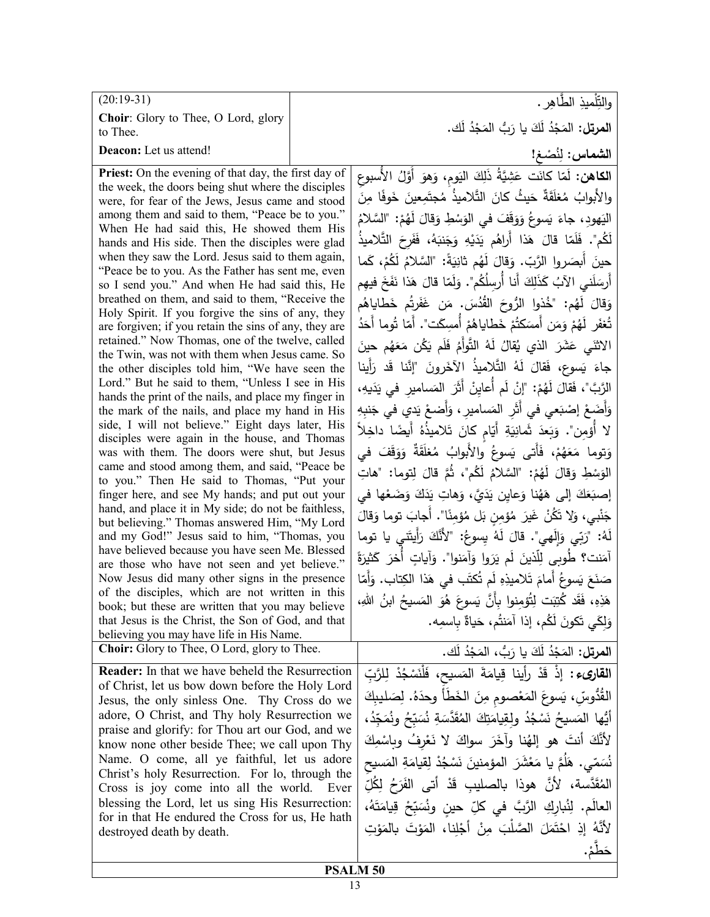| $(20:19-31)$                                                                                                                                                                                                                                                                                                                                                                                                                                                                                                                                                                                                                                                                                                                                                                                                                                                                                                                                                                                                                                                                                                                                                                                                                                                                                                                                                                                                                                                                                                                                                                                                                                                                                                                                                                                                                                                    | والتِّلْميذِ الطَّاهِرِ .                                                                                                                                                                                                                                                                                                                                                                                                                                                                                                                                                                                                                                                                                                                                                                                                                                                                                                                                                                                                                                                                                                                                                                                                                                                                                                                                                                                                                                                                                                                                                                                                                                                                                 |
|-----------------------------------------------------------------------------------------------------------------------------------------------------------------------------------------------------------------------------------------------------------------------------------------------------------------------------------------------------------------------------------------------------------------------------------------------------------------------------------------------------------------------------------------------------------------------------------------------------------------------------------------------------------------------------------------------------------------------------------------------------------------------------------------------------------------------------------------------------------------------------------------------------------------------------------------------------------------------------------------------------------------------------------------------------------------------------------------------------------------------------------------------------------------------------------------------------------------------------------------------------------------------------------------------------------------------------------------------------------------------------------------------------------------------------------------------------------------------------------------------------------------------------------------------------------------------------------------------------------------------------------------------------------------------------------------------------------------------------------------------------------------------------------------------------------------------------------------------------------------|-----------------------------------------------------------------------------------------------------------------------------------------------------------------------------------------------------------------------------------------------------------------------------------------------------------------------------------------------------------------------------------------------------------------------------------------------------------------------------------------------------------------------------------------------------------------------------------------------------------------------------------------------------------------------------------------------------------------------------------------------------------------------------------------------------------------------------------------------------------------------------------------------------------------------------------------------------------------------------------------------------------------------------------------------------------------------------------------------------------------------------------------------------------------------------------------------------------------------------------------------------------------------------------------------------------------------------------------------------------------------------------------------------------------------------------------------------------------------------------------------------------------------------------------------------------------------------------------------------------------------------------------------------------------------------------------------------------|
| Choir: Glory to Thee, O Lord, glory<br>to Thee.                                                                                                                                                                                                                                                                                                                                                                                                                                                                                                                                                                                                                                                                                                                                                                                                                                                                                                                                                                                                                                                                                                                                                                                                                                                                                                                                                                                                                                                                                                                                                                                                                                                                                                                                                                                                                 | ا <b>لمرتل:</b> المَجْدُ لَكَ يا رَبُّ المَجْدُ لَك.                                                                                                                                                                                                                                                                                                                                                                                                                                                                                                                                                                                                                                                                                                                                                                                                                                                                                                                                                                                                                                                                                                                                                                                                                                                                                                                                                                                                                                                                                                                                                                                                                                                      |
| Deacon: Let us attend!                                                                                                                                                                                                                                                                                                                                                                                                                                                                                                                                                                                                                                                                                                                                                                                                                                                                                                                                                                                                                                                                                                                                                                                                                                                                                                                                                                                                                                                                                                                                                                                                                                                                                                                                                                                                                                          | الشماس: لِنُصْغ!                                                                                                                                                                                                                                                                                                                                                                                                                                                                                                                                                                                                                                                                                                                                                                                                                                                                                                                                                                                                                                                                                                                                                                                                                                                                                                                                                                                                                                                                                                                                                                                                                                                                                          |
| Priest: On the evening of that day, the first day of<br>the week, the doors being shut where the disciples<br>were, for fear of the Jews, Jesus came and stood<br>among them and said to them, "Peace be to you."<br>When He had said this, He showed them His<br>hands and His side. Then the disciples were glad<br>when they saw the Lord. Jesus said to them again,<br>"Peace be to you. As the Father has sent me, even<br>so I send you." And when He had said this, He<br>breathed on them, and said to them, "Receive the<br>Holy Spirit. If you forgive the sins of any, they<br>are forgiven; if you retain the sins of any, they are<br>retained." Now Thomas, one of the twelve, called<br>the Twin, was not with them when Jesus came. So<br>the other disciples told him, "We have seen the<br>Lord." But he said to them, "Unless I see in His<br>hands the print of the nails, and place my finger in<br>the mark of the nails, and place my hand in His<br>side, I will not believe." Eight days later, His<br>disciples were again in the house, and Thomas<br>was with them. The doors were shut, but Jesus<br>came and stood among them, and said, "Peace be<br>to you." Then He said to Thomas, "Put your<br>finger here, and see My hands; and put out your<br>hand, and place it in My side; do not be faithless,<br>but believing." Thomas answered Him, "My Lord<br>and my God!" Jesus said to him, "Thomas, you<br>have believed because you have seen Me. Blessed<br>are those who have not seen and yet believe."<br>Now Jesus did many other signs in the presence<br>of the disciples, which are not written in this<br>book; but these are written that you may believe<br>that Jesus is the Christ, the Son of God, and that<br>believing you may have life in His Name.<br><b>Choir:</b> Glory to Thee, O Lord, glory to Thee. | ا <b>لكاهن:</b> لَمّا كانَت عَشِيَّةُ ذَلِكَ اليَومِ، وَهوَ أَوَّلُ الأَسبوعِ<br>والأَبوابُ مُغلَقَةٌ حَيثُ كانَ التَّلاميذُ مُجتَمِعينَ خَوفًا مِنَ<br>اليَهودِ، جاءَ يَسوعُ وَوَقَفَ في الوَسْطِ وَقالَ لَهُمْ: "السَّلامُ<br>لَكُم". فَلَمّا قالَ هَذا أَراهُم يَدَيْهِ وَجَنبَهُ، فَفَرحَ التَّلاميذُ<br>حينَ أَبِصَروا الرَّبِّ. وَقالَ لَهُم ثَانِيَةً: "السَّلامُ لَكُمْ، كَما<br>أَرِسَلَني الآبُ كَذَلِكَ أَنا أَرِسِلُكُم". وَلَمّا قالَ هَذا نَفَخَ فيهِم<br>وَقَالَ لَهُم: "خُذوا الرُّوحَ القُدُسَ. مَن غَفَرتُم خَطاياهُم<br>تُغفَر لَهُمْ وَمَن أَمسَكتُمْ خَطاياهُمْ أَمسِكَت". أَمّا تُوما أَحَدُ<br>الاثَّنَى عَشَرَ  الذي يُقالُ لَهُ  التَّوأَمُ  فَلَم  يَكُن  مَعَهُم  حينَ<br>جاءَ يَسوع، فَقالَ لَهُ التَّلاميذُ الآخَرونَ "إنَّنا قَد رَأينا<br>الرَّبَّ"، فَقالَ لَهُمْ: "إنْ لَم أَعايِنْ أَثَرَ  المَسامير  في يَدَيهِ،<br>وَأَضَعْ إِصْبَعي في أَثَرِ المَساميرِ ، وَأَضعْ يَدي في جَنبِهِ<br>لا أَوْمِن". وَبَعدَ ثَمانِيَةِ أَيّام كانَ تَلاميذُهُ أَيضًا داخِلاً<br>وَتوما مَعَهُمْ، فَأَتى يَسوعُ والأَبوابُ مُغلَقَةٌ وَوَقَفَ في<br>الوَسْطِ وَقالَ لَهُمْ: "السَّلامُ لَكُم"، ثُمَّ قالَ لِتوما: "هاتِ<br>إصبَعَكَ إلى هَهُنا وَعايِن يَدَيَّ، وَهاتِ يَدَكَ وَضَعْها في<br>جَنْبي، وَلا تَكُنْ غَيرَ مُؤمِنٍ بَل مُؤمِنًا". أجابَ توما وَقالَ<br>لَهُ: "رَبِّي وَإِلَهِي". قالَ لَهُ يِسوعُ: "لأَنَّكَ رَأِيتَنِي يا توما<br>آمَنت؟ طُوبِي لِلَّذينَ لَم يَرَوا وَآمَنوا". وَآياتٍ أَخرَ كَثيرَةً<br>صَنَعَ يَسوعُ أَمامَ تَلاميذِهِ لَم تُكتَب في هَذا الكِتاب. وَأَمّا<br>هَذِهِ، فَقَد كُتِبَت لِتُؤمِنوا بِأَنَّ يَسوعَ هُوَ المَسيحُ ابنُ اللهِ،<br>وَلِكَي تَكونَ لَكُم، إذا آمَنتُم، حَياةٌ بِاسمِه.<br>ا <b>لمرتل:</b> المَجْدُ لَكَ يا رَبُّ، المَجْدُ لَك. |
| <b>Reader:</b> In that we have beheld the Resurrection                                                                                                                                                                                                                                                                                                                                                                                                                                                                                                                                                                                                                                                                                                                                                                                                                                                                                                                                                                                                                                                                                                                                                                                                                                                                                                                                                                                                                                                                                                                                                                                                                                                                                                                                                                                                          | ا <b>لقارىء</b> : إذْ قَدْ رأينا قِيامَةَ المَسيح، فَلْنَسْجُدْ لِلرَّبِّ                                                                                                                                                                                                                                                                                                                                                                                                                                                                                                                                                                                                                                                                                                                                                                                                                                                                                                                                                                                                                                                                                                                                                                                                                                                                                                                                                                                                                                                                                                                                                                                                                                 |
| of Christ, let us bow down before the Holy Lord<br>Jesus, the only sinless One. Thy Cross do we<br>adore, O Christ, and Thy holy Resurrection we<br>praise and glorify: for Thou art our God, and we<br>know none other beside Thee; we call upon Thy<br>Name. O come, all ye faithful, let us adore<br>Christ's holy Resurrection. For lo, through the<br>Cross is joy come into all the world.<br>blessing the Lord, let us sing His Resurrection:<br>for in that He endured the Cross for us, He hath<br>destroyed death by death.                                                                                                                                                                                                                                                                                                                                                                                                                                                                                                                                                                                                                                                                                                                                                                                                                                                                                                                                                                                                                                                                                                                                                                                                                                                                                                                           | الْقُدُوسِّ، يَسوعَ المَعْصومِ مِنَ الْخَطَأُ وحدَهُ. لِصَليبِكَ<br>أَيُّها المَسيحُ نَسْجُدُ ولقِيامَتِكَ المُقَدَّسَةِ نُسَبِّحُ ونُمَجِّدُ،<br>لأَنَّكَ أَنتَ هو إلهُنا وآخَرَ سواكَ لا نَعْرِفُ وبِاسْمِكَ<br>نُسَمّي. هَلُمَّ يا مَعْشَرَ المؤمنينَ نَسْجُدْ لِقِيامَةِ المَسيح<br>المُقَدَّسة، لأَنَّ هوذا بالصليبِ قَدْ أَتى الفَرَحُ لِكُلِّ<br>Ever<br>العالَم. لِنُبارِكِ الرَّبَّ في كلِّ حينٍ ونُسَبِّحْ قِيامَتَهُ،<br>لأَنَّهُ إِذِ احْتَمَلَ الصَّلْبَ مِنْ أَجْلِنا، المَوْتَ بِالمَوْتِ<br>حَطُمْ.                                                                                                                                                                                                                                                                                                                                                                                                                                                                                                                                                                                                                                                                                                                                                                                                                                                                                                                                                                                                                                                                                                                                                                                       |
|                                                                                                                                                                                                                                                                                                                                                                                                                                                                                                                                                                                                                                                                                                                                                                                                                                                                                                                                                                                                                                                                                                                                                                                                                                                                                                                                                                                                                                                                                                                                                                                                                                                                                                                                                                                                                                                                 | <b>PSALM 50</b>                                                                                                                                                                                                                                                                                                                                                                                                                                                                                                                                                                                                                                                                                                                                                                                                                                                                                                                                                                                                                                                                                                                                                                                                                                                                                                                                                                                                                                                                                                                                                                                                                                                                                           |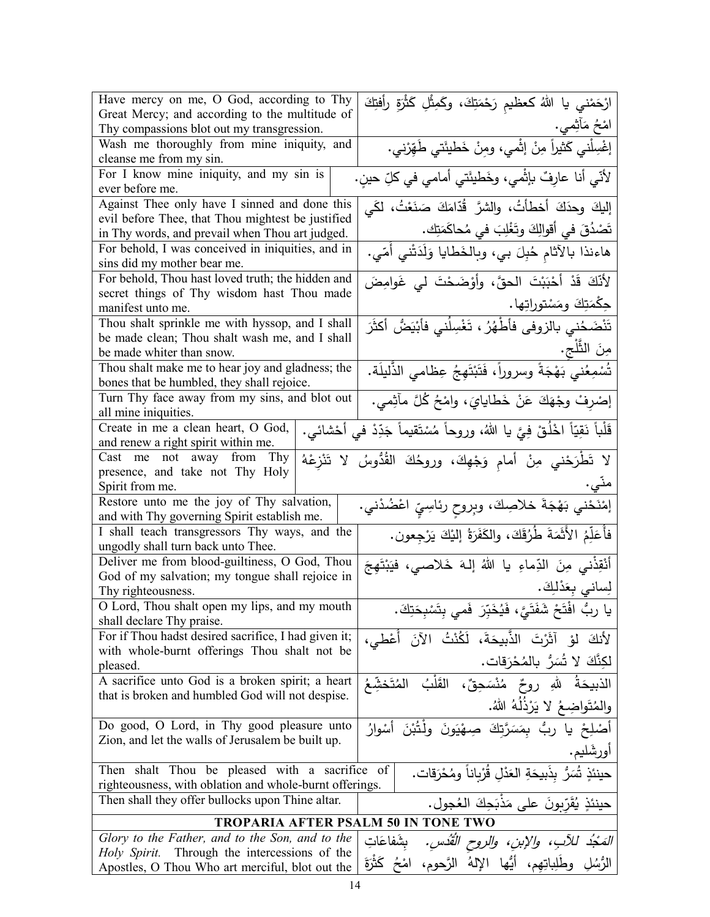| Have mercy on me, O God, according to Thy                                                                 | ارْحَمْني يا اللهُ كعظيمِ رَحْمَتِكَ، وكَمِثْلِ كَثْرَةِ رأفتِكَ                 |
|-----------------------------------------------------------------------------------------------------------|----------------------------------------------------------------------------------|
| Great Mercy; and according to the multitude of                                                            |                                                                                  |
| Thy compassions blot out my transgression.                                                                | امْحُ مَأَثِمي.                                                                  |
| Wash me thoroughly from mine iniquity, and<br>cleanse me from my sin.                                     | إغْسِلْني كَثْيراً مِنْ إثْمي، ومِنْ خَطيئَتي طَهِّرْني.                         |
| For I know mine iniquity, and my sin is                                                                   | لأنّي أنا عارِفٌ بإثْمي، وخَطيئَتي أمامي في كلِّ حينِ.                           |
| ever before me.                                                                                           |                                                                                  |
| Against Thee only have I sinned and done this                                                             | إليكَ وحدَكَ أخطأتُ، والشرَّ قُدّامَكَ صَنَعْتُ، لكَي                            |
| evil before Thee, that Thou mightest be justified                                                         |                                                                                  |
| in Thy words, and prevail when Thou art judged.                                                           | تَصْدُقَ في أقوالِكَ وتَغْلِبَ في مُحاكَمَتِك.                                   |
| For behold, I was conceived in iniquities, and in                                                         | هاءنذا بالآثام حُبِلَ بي، وبالخَطايا وَلَدَتْني أُمّي.                           |
| sins did my mother bear me.                                                                               |                                                                                  |
| For behold, Thou hast loved truth; the hidden and                                                         | لِأَنَّكَ قَدْ أَحْبَبْتَ الْحقَّ، وأَوْضَحْتَ لَي غَوامِضَ                      |
| secret things of Thy wisdom hast Thou made<br>manifest unto me.                                           | جِكْمَتِكَ ومَسْتوراتِها.                                                        |
| Thou shalt sprinkle me with hyssop, and I shall                                                           |                                                                                  |
| be made clean; Thou shalt wash me, and I shall                                                            | تَنْضَحُني بالزوفى فأطْهُرُ ، تَغْسِلُني فأَبْيَضُ أكثَرَ                        |
| be made whiter than snow.                                                                                 | مِنَ الثَّلَج.                                                                   |
| Thou shalt make me to hear joy and gladness; the                                                          | تُسْمِعُني بَهْجَةً وسروراً، فَتَبْتَهِجُ عِظامي الذَّليلَة.                     |
| bones that be humbled, they shall rejoice.                                                                |                                                                                  |
| Turn Thy face away from my sins, and blot out                                                             | إِصْرِفْ وِجْهَكَ عَنْ خَطَايايَ، وامْحُ كُلَّ مأْثِمي.                          |
| all mine iniquities.                                                                                      |                                                                                  |
| Create in me a clean heart, O God,<br>and renew a right spirit within me.                                 | قَلْباً نَقِيّاً اخْلُقْ فِيَّ يا اللهُ، وروحاً مُسْتَقيماً جَدِّدْ في أَحْشائي. |
| Cast me not away from Thy                                                                                 | لا تَطْرَحْني مِنْ أمامٍ وَجْهِكَ، وروحُكَ القُدُوسُ لا تَنْزِعْهُ               |
| presence, and take not Thy Holy                                                                           |                                                                                  |
| Spirit from me.                                                                                           |                                                                                  |
| Restore unto me the joy of Thy salvation,                                                                 | إمْنَحْني بَهْجَةَ خلاصِكَ، وبِروحِ رئاسِيِّ اعْضُدْني.                          |
| and with Thy governing Spirit establish me.                                                               |                                                                                  |
| I shall teach transgressors Thy ways, and the                                                             | فأُعَلِّمُ الأَثَمَةَ طُرُقَكَ، والكَفَرَةُ إليْكَ يَرْجِعون.                    |
| ungodly shall turn back unto Thee.                                                                        |                                                                                  |
| Deliver me from blood-guiltiness, O God, Thou                                                             | أَنْقِذْني مِنَ الدِّماءِ يا اللهُ إلهَ خَلاصي، فيَبْتَهِجَ                      |
| God of my salvation; my tongue shall rejoice in                                                           | لِساني بِعَدْلِكَ.                                                               |
| Thy righteousness.                                                                                        |                                                                                  |
| O Lord, Thou shalt open my lips, and my mouth<br>shall declare Thy praise.                                | يا ربُّ افْتَحْ شَفَتَيَّ، فَيُخَبِّرَ فَمي بِتَسْبِحَتِكَ.                      |
| For if Thou hadst desired sacrifice, I had given it;                                                      | لأنكَ لوْ آثَرْتَ الذَّبِيحَةَ، لَكُنْتُ الآنَ أُعْطى،                           |
| with whole-burnt offerings Thou shalt not be                                                              |                                                                                  |
| pleased.                                                                                                  | لكِنَّكَ لا تُسَرُّ بالمُحْرَقات.                                                |
| A sacrifice unto God is a broken spirit; a heart                                                          | الذبيحَةُ اللهِ روحٌ مُنْسَحِقٌ، القَلْبُ المُتَخشِّعُ                           |
| that is broken and humbled God will not despise.                                                          | والمُتَواضِعُ لا يَرْذُلُهُ اللهُ.                                               |
| Do good, O Lord, in Thy good pleasure unto                                                                | أَصْلِحْ يا ربُّ بمَسَرَّتكَ صِهْيَونَ ولْذُبْنَ أَسْوارُ                        |
| Zion, and let the walls of Jerusalem be built up.                                                         |                                                                                  |
|                                                                                                           | أورشَليم.                                                                        |
| Then shalt Thou be pleased with a sacrifice of<br>righteousness, with oblation and whole-burnt offerings. | حينئذٍ تُسَرُّ بذَبيحَةِ العَدْلِ قُرْباناً ومُحْرَقات.                          |
| Then shall they offer bullocks upon Thine altar.                                                          | حينئذٍ يُقَرِّبونَ على مَذْبَحِكَ العُجول.                                       |
| <b>TROPARIA AFTER PSALM 50 IN TONE TWO</b>                                                                |                                                                                  |
| Glory to the Father, and to the Son, and to the                                                           |                                                                                  |
| Holy Spirit. Through the intercessions of the                                                             | <i>المَجْدُ للأبِ، والإبنِ، والروحِ الْقُدْسِ.</i> بِشَفاعَاتِ                   |
| Apostles, O Thou Who art merciful, blot out the                                                           | الرُّسُلِ وطَلِباتِهِم، أَيُّها الإِلهُ الرَّحوم، امْحُ كَثْرَةَ                 |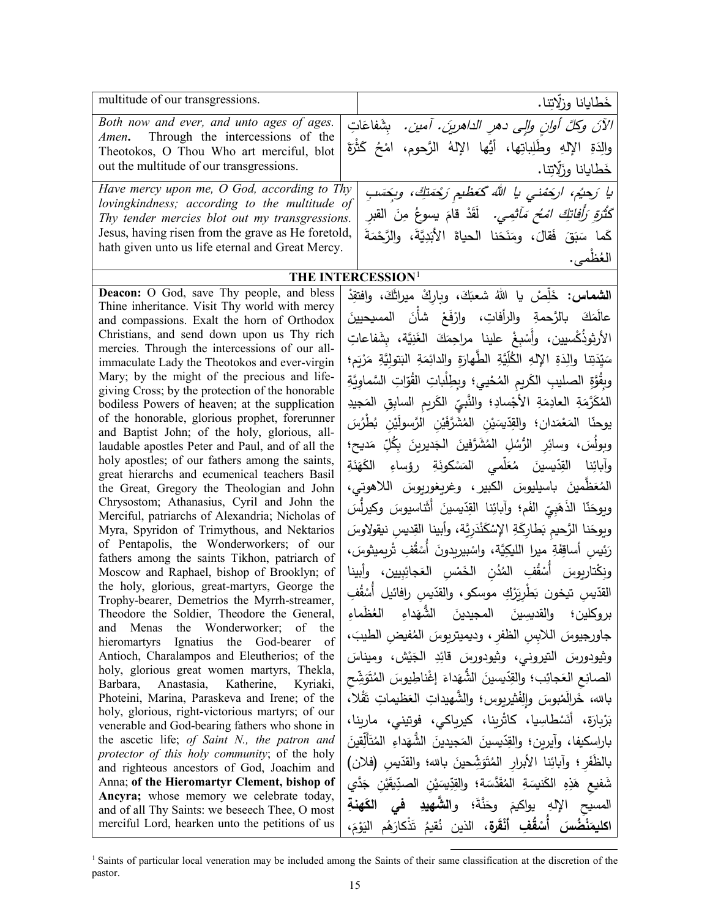| multitude of our transgressions.                                                                       | خَطايانا وزلَاتِنا.                                                                   |  |  |
|--------------------------------------------------------------------------------------------------------|---------------------------------------------------------------------------------------|--|--|
| Both now and ever, and unto ages of ages.                                                              | الآنَ وكلَّ أُولِنِ وإلِى دهرِ الداهرينَ. آمين. ۖ بِشَفاعَاتِ                         |  |  |
| Amen. Through the intercessions of the<br>Theotokos, O Thou Who art merciful, blot                     | والِدَةِ الإِلهِ وطَلِباتِها، أَيُّها الإِلهُ الرَّحوم، امْحُ كَثْرَةَ                |  |  |
| out the multitude of our transgressions.                                                               | خَطايانا وزَلَاتِنا.                                                                  |  |  |
| Have mercy upon me, $O$ God, according to Thy                                                          | يا رَحيُم، اركِمْني يا اللهُ كَعَظْيم رَحْمَتِكَ، وبَحَسَبِ                           |  |  |
| lovingkindness; according to the multitude of                                                          |                                                                                       |  |  |
| Thy tender mercies blot out my transgressions.                                                         | كَ <i>نُّرَةِ رَأَفاتِكَ امْحُ مَأْتِمِى.</i> لَقَدْ قامَ يسوعُ مِنَ  القبر           |  |  |
| Jesus, having risen from the grave as He foretold,<br>hath given unto us life eternal and Great Mercy. | كَما سَبَقَ فَقَالَ، ومَنَحَنا الحياةَ الأَبَدِيَّةَ، والرَّحْمَةَ                    |  |  |
|                                                                                                        | العُظْمى.                                                                             |  |  |
|                                                                                                        | THE INTERCESSION <sup>1</sup>                                                         |  |  |
| <b>Deacon:</b> O God, save Thy people, and bless<br>Thine inheritance. Visit Thy world with mercy      | <b>الشماس:</b> خَلِّصْ يا اللهُ شعبَكَ، وبارِكْ ميراثَكَ، وافتقِدْ                    |  |  |
| and compassions. Exalt the horn of Orthodox                                                            | عالَمَكَ بالرَّحمةِ والرأفاتِ، وارْفَعْ شأنَ المسيحيينَ                               |  |  |
| Christians, and send down upon us Thy rich                                                             | الأرثوذُكْسيين، وأَسْبغْ علينا مراحِمَكَ الغَنِيَّة، بشَفاعاتِ                        |  |  |
| mercies. Through the intercessions of our all-<br>immaculate Lady the Theotokos and ever-virgin        | سَيّدَتِنا والِدَةِ الإِلهِ الكُلِّيّةِ الطّهارَةِ والدائِمَةِ البَتوليَّةِ مَرْيَمٍ؛ |  |  |
| Mary; by the might of the precious and life-                                                           | وبِقُوَّةِ الصليبِ الكَريمِ المُحْييِ؛ وبطِلْباتِ القُوّاتِ السَّماوِيَّةِ            |  |  |
| giving Cross; by the protection of the honorable                                                       | المُكَرَّمَةِ العادِمَةِ الأجْسادِ؛ والنَّبيِّ الكَريمِ السابِقِ المَجيدِ             |  |  |
| bodiless Powers of heaven; at the supplication<br>of the honorable, glorious prophet, forerunner       |                                                                                       |  |  |
| and Baptist John; of the holy, glorious, all-                                                          | يوحنّا المَعْمَدان؛ والقِدّيسَيْن المُشَرَّفَيْن الرَّسولَيْن بُطْرُسَ                |  |  |
| laudable apostles Peter and Paul, and of all the                                                       | وبولُسَ، وسائِر الرُّسُلِ المُشَرَّفينَ الْجَديرينَ بِكُلِّ مَديح؛                    |  |  |
| holy apostles; of our fathers among the saints,<br>great hierarchs and ecumenical teachers Basil       | وآبائِنا القِدّيسينَ مُعَلّمي المَسْكونَةِ رؤساءِ الكَهَنَةِ                          |  |  |
| the Great, Gregory the Theologian and John                                                             | الْمُعَظّْمِينَ بِاسِيلِيوسَ الكبيرِ، وغريغوريوسَ اللاهوتي،                           |  |  |
| Chrysostom; Athanasius, Cyril and John the<br>Merciful, patriarchs of Alexandria; Nicholas of          | ويوحَنّا الذَهَبِيّ الفَم؛ وأبائِنا القِدّيسينَ أثَناسيوسَ وكيرلِّسَ                  |  |  |
| Myra, Spyridon of Trimythous, and Nektarios                                                            | ويوحَنا الرَّحيم بَطارِكَةِ الإسْكَنْدَرِيَّة، وأبينا القِديسِ نيقولِاوسَ             |  |  |
| of Pentapolis, the Wonderworkers; of our<br>fathers among the saints Tikhon, patriarch of              | رَئِيسِ أَساقِفَةِ ميرا الليكِيَّة، واسْبيريدونَ أَسْقُفِ تْريميثوسَ،                 |  |  |
| Moscow and Raphael, bishop of Brooklyn; of                                                             | ونِكْتاريوسَ أَسْقُفِ المُدُنِ الخَمْسِ العَجائِبِيين، وأبينا                         |  |  |
| the holy, glorious, great-martyrs, George the                                                          | القدّيسِ تيخون بَطْرِيَرْكِ موسكو ، والقدّيسِ رافائيل أَسْقُفِ                        |  |  |
| Trophy-bearer, Demetrios the Myrrh-streamer,<br>Theodore the Soldier, Theodore the General,            | العُظماء<br>بروكلين؛ والقديسِينَ المجيدينَ الشَّهَداءِ                                |  |  |
| Menas<br>the Wonderworker;<br>and<br>of<br>the                                                         | جاورجيوسَ اللابس الظفر ، وديميتريوسَ المُفيض الطيبَ،                                  |  |  |
| hieromartyrs Ignatius the God-bearer of<br>Antioch, Charalampos and Eleutherios; of the                | وثيودورسَ التيروني، وثيودورسَ قائِدِ الْجَيْش، وميناسَ                                |  |  |
| holy, glorious great women martyrs, Thekla,                                                            | الصانِع العَجائِب؛ والقِدّيسينَ الشُّهَداءَ إغْناطِيوسَ المُتَوَشِّح                  |  |  |
| Katherine,<br>Barbara,<br>Anastasia,<br>Kyriaki,<br>Photeini, Marina, Paraskeva and Irene; of the      | بالله، خَرالَمْبوسَ والِفْثيريوس؛ والشَّهيداتِ العَظيماتِ تَقْلا،                     |  |  |
| holy, glorious, right-victorious martyrs; of our                                                       | بَرْبِارَة، أَنَسْطَاسِيا، كاتْرِينا، كيرياكي، فوتيني، مارينا،                        |  |  |
| venerable and God-bearing fathers who shone in                                                         |                                                                                       |  |  |
| the ascetic life; of Saint N., the patron and<br>protector of this holy community; of the holy         | باراسكيفا، وآيرين؛ والقِدّيسينَ المَجيدينَ الشَّهَداءِ المُتَأَلِّقِينَ               |  |  |
| and righteous ancestors of God, Joachim and                                                            | بالظَّفَرِ؛ وأبائِنا الأبرار المُتَوَشِّحينَ بالله؛ والقدّيس (فلان)                   |  |  |
| Anna; of the Hieromartyr Clement, bishop of<br>Ancyra; whose memory we celebrate today,                | شَفيع هَذِهِ الكَنيسَةِ المُقَدَّسَة؛ والقِدِّيسَيْنِ الصدِّيقَيْنِ جَدَّي            |  |  |
| and of all Thy Saints: we beseech Thee, O most                                                         | المسيح الإِلهِ   يواكيمَ   وحَنَّةَ؛    و <b>الشَّهيدِ    في    الكَهنةِ</b>          |  |  |
| merciful Lord, hearken unto the petitions of us                                                        | ا <b>كليمَنْضُسَ   أُسْقُفِ   أنْقَرة،</b> الذين   نُقيمُ   تَذْكارَهُم   اليَوْمَ،   |  |  |

<span id="page-14-0"></span><sup>1</sup> Saints of particular local veneration may be included among the Saints of their same classification at the discretion of the pastor.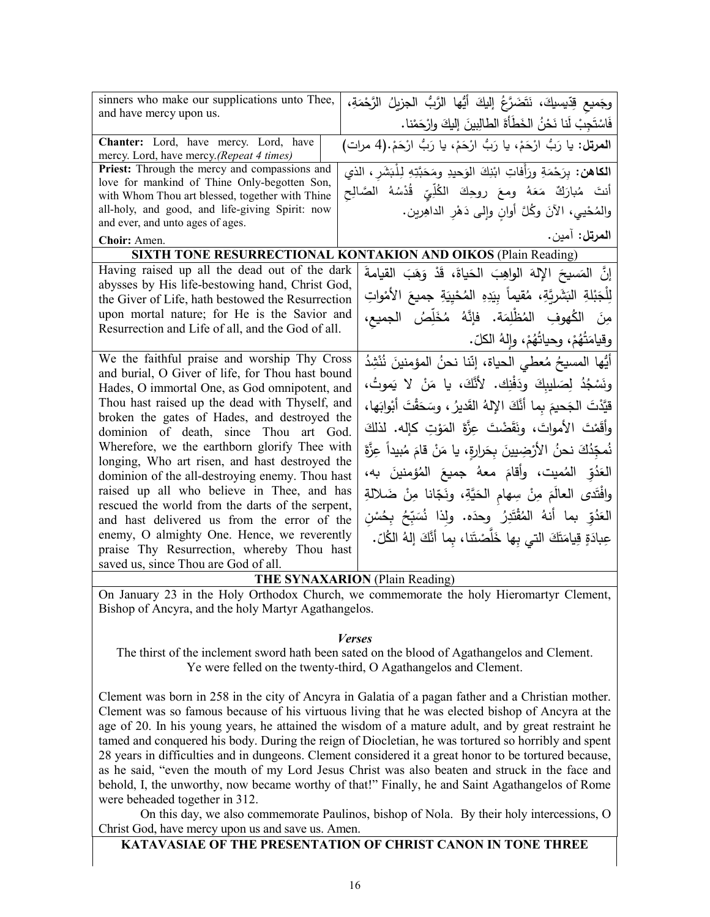| sinners who make our supplications unto Thee,<br>and have mercy upon us.                             |  | وجَميع قِدّيسيكَ، نَتَضَرَّعُ إِليكَ أَيُّها الرَّبُّ الجزيلُ الرَّحْمَةِ،           |
|------------------------------------------------------------------------------------------------------|--|--------------------------------------------------------------------------------------|
|                                                                                                      |  | فَاسْتَجِبْ لَنا نَحْنُ الخَطَأَةَ الطالِبينَ إليكَ وارْحَمْنا.                      |
| Chanter: Lord, have mercy. Lord, have<br>mercy. Lord, have mercy. (Repeat 4 times)                   |  | ا <b>لمرتل:</b> يا رَبُّ ارْحَمْ، يا رَبُّ ارْحَمْ، يا رَبُّ ارْحَمْ.(4 مرات)        |
| Priest: Through the mercy and compassions and                                                        |  | ا <b>لكاهن:</b> بِرَحْمَةِ ورَأَفاتِ ابْنِكَ الوَحيدِ ومَحَبَّتِهِ لِلْبَشَرِ ، الذي |
| love for mankind of Thine Only-begotten Son,<br>with Whom Thou art blessed, together with Thine      |  | أنتَ   مُبارَكٌ   مَعَهُ   ومعَ   روحِكَ   الكُلِّيِّ    قُدْسُهُ   الصَّالِح        |
| all-holy, and good, and life-giving Spirit: now<br>and ever, and unto ages of ages.                  |  | والمُحْيي، الآنَ وكُلَّ أوانِ وإلى دَهْرِ الداهِرين.                                 |
| Choir: Amen.                                                                                         |  | ا <b>لمرتل:</b> آمين.                                                                |
|                                                                                                      |  | <b>SIXTH TONE RESURRECTIONAL KONTAKION AND OIKOS (Plain Reading)</b>                 |
| Having raised up all the dead out of the dark                                                        |  | إِنَّ المَسيحَ الإِلهَ الواهِبَ الحَياةَ، قَدْ وَهَبَ القيامةَ                       |
| abysses by His life-bestowing hand, Christ God,<br>the Giver of Life, hath bestowed the Resurrection |  | لِلْجَبْلةِ البَشَرِيَّةِ، مُقيماً بِيَدِهِ المُحْيِيَةِ جميعَ الأمْواتِ             |
| upon mortal nature; for He is the Savior and                                                         |  | مِنَ الكُهوفِ المُظْلِمَة. فإنَّهُ مُخَلِّصُ الجميع،                                 |
| Resurrection and Life of all, and the God of all.                                                    |  |                                                                                      |
|                                                                                                      |  | وقيامَتُهُمْ، وحياتُهُمْ، وإلهُ الكلِّ.                                              |
| We the faithful praise and worship Thy Cross                                                         |  | أَيُّها المسيحُ مُعطى الحياة، إنّنا نحنُ المؤمنينَ نُنْشِدُ                          |
| and burial, O Giver of life, for Thou hast bound<br>Hades, O immortal One, as God omnipotent, and    |  | ونَسْجُدُ لِصَلِيبِكَ وِدَفْنِك. لِأَنَّكَ، يا مَنْ لا يَموتُ،                       |
| Thou hast raised up the dead with Thyself, and                                                       |  | قيَّدْتَ الْجَحيمَ بما أَنَّكَ الإِلْهُ القَديرُ ، وسَحَقْتَ أَبْوابَها،             |
| broken the gates of Hades, and destroyed the                                                         |  | وأَقَمْتَ الأُمواتَ، ونَقَضْتَ عِزَّةَ المَوْتِ كإله. لذلكَ                          |
| dominion of death, since Thou art God.<br>Wherefore, we the earthborn glorify Thee with              |  |                                                                                      |
| longing, Who art risen, and hast destroyed the                                                       |  | نُمجِّدُكَ نحنُ الأَرْضِيينَ بِحَرارةٍ، يا مَنْ قامَ مُبِيداً عِزَّةَ                |
| dominion of the all-destroying enemy. Thou hast                                                      |  | العَدُوّ المُميت، وأقامَ معهُ جميعَ المُؤمِنينَ به،                                  |
| raised up all who believe in Thee, and has                                                           |  | وافْتَدى العالَمَ مِنْ سِهام الحَيَّةِ، ونَجّانا مِنْ ضَلالةِ                        |
| rescued the world from the darts of the serpent,<br>and hast delivered us from the error of the      |  | العَدُوِّ بما أنهُ المُقْتَدِرُ وحدَه. ولِذا نُسَبِّحُ بِحُسْنِ                      |
| enemy, O almighty One. Hence, we reverently                                                          |  | عِبادَةٍ قِيامَتَكَ التي بِها خَلَّصْتَنا، بِما أَنَّكَ إلهُ الكُلِّ.                |
| praise Thy Resurrection, whereby Thou hast                                                           |  |                                                                                      |
| saved us, since Thou are God of all.                                                                 |  |                                                                                      |
|                                                                                                      |  | THE CVMAVADION $(Dlsin Dcos dinc)$                                                   |

**THE SYNAXARION** (Plain Reading)

On January 23 in the Holy Orthodox Church, we commemorate the holy Hieromartyr Clement, Bishop of Ancyra, and the holy Martyr Agathangelos.

## *Verses*

The thirst of the inclement sword hath been sated on the blood of Agathangelos and Clement. Ye were felled on the twenty-third, O Agathangelos and Clement.

Clement was born in 258 in the city of Ancyra in Galatia of a pagan father and a Christian mother. Clement was so famous because of his virtuous living that he was elected bishop of Ancyra at the age of 20. In his young years, he attained the wisdom of a mature adult, and by great restraint he tamed and conquered his body. During the reign of Diocletian, he was tortured so horribly and spent 28 years in difficulties and in dungeons. Clement considered it a great honor to be tortured because, as he said, "even the mouth of my Lord Jesus Christ was also beaten and struck in the face and behold, I, the unworthy, now became worthy of that!" Finally, he and Saint Agathangelos of Rome were beheaded together in 312.

On this day, we also commemorate Paulinos, bishop of Nola. By their holy intercessions, O Christ God, have mercy upon us and save us. Amen.

## **KATAVASIAE OF THE PRESENTATION OF CHRIST CANON IN TONE THREE**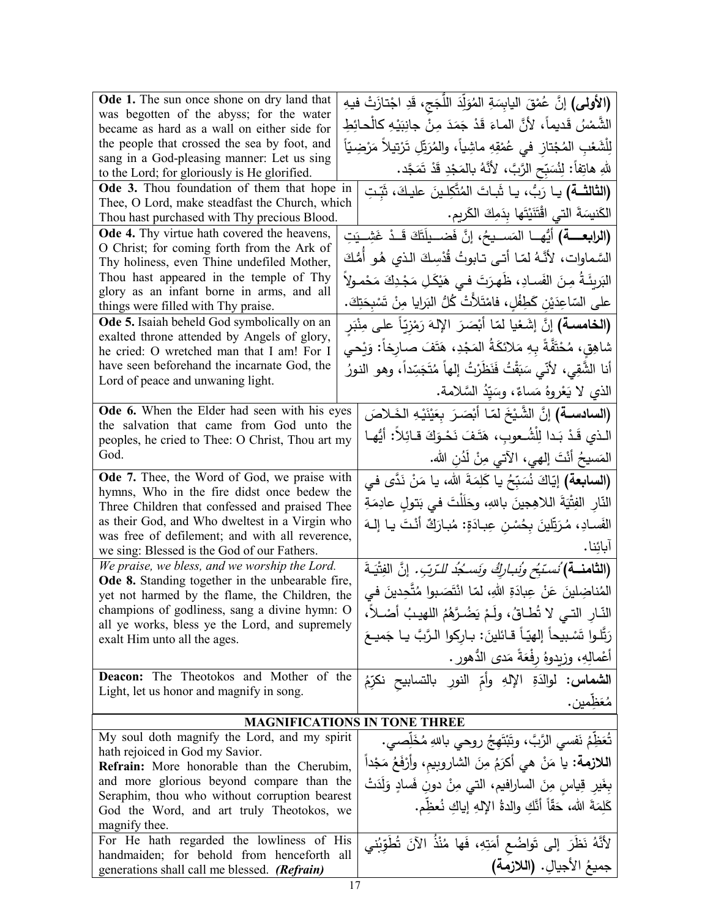| <b>Ode 1.</b> The sun once shone on dry land that                                                                                               |  | (الأولى) إنَّ عُمْقَ اليابِسَةِ المُوَلِّدَ اللَّجَجِ، قَدِ اجْتازَتْ فيهِ         |  |  |
|-------------------------------------------------------------------------------------------------------------------------------------------------|--|------------------------------------------------------------------------------------|--|--|
| was begotten of the abyss; for the water                                                                                                        |  |                                                                                    |  |  |
| became as hard as a wall on either side for                                                                                                     |  | الشَّمْسُ قَديماً، لأنَّ المـاءَ قَدْ جَمَدَ مِنْ جانِبَيْهِ كالْحائِطِ            |  |  |
| the people that crossed the sea by foot, and                                                                                                    |  | لِلْشَعْبِ المُجْتازِ في عُمْقِهِ ماشِياً، والمُرَتِّلِ تَرْتِيلاً مَرْضِيّاً      |  |  |
| sang in a God-pleasing manner: Let us sing<br>to the Lord; for gloriously is He glorified.                                                      |  | للهِ هاتِفاً : لِنُسَبِّحِ الرَّبَّ، لأنَّهُ بالمَجْدِ قَدْ تَمَجَّد.              |  |  |
| Ode 3. Thou foundation of them that hope in                                                                                                     |  | <b>(الثالثــة)</b> يـا رَبُّ، يـا ثَبـاتَ المُتَّكِلـينَ عليـكَ، ثَبِّـتِ          |  |  |
| Thee, O Lord, make steadfast the Church, which                                                                                                  |  |                                                                                    |  |  |
| Thou hast purchased with Thy precious Blood.                                                                                                    |  | الكَنيسَةَ التي اقْتَنَيْتَها بِدَمِكَ الكَريمِ.                                   |  |  |
| Ode 4. Thy virtue hath covered the heavens,                                                                                                     |  | (ا <b>لرابعــــة)</b> أَيُّهـــا المَســيحُ، إنَّ فَضـــيلَتَكَ قَــدْ غَشِــيَتِ  |  |  |
| O Christ; for coming forth from the Ark of<br>Thy holiness, even Thine undefiled Mother,                                                        |  | السَّماوات، لأنَّهُ لمّا أتـى تـابوتُ قُدْسِكَ الـذي هُو أمُّكَ                    |  |  |
| Thou hast appeared in the temple of Thy                                                                                                         |  | البَرِيئَةُ مِنَ الفَسادِ، ظَهرَتَ فـى هَيْكَلِ مَجْدِكَ مَحْمـولاً                |  |  |
| glory as an infant borne in arms, and all                                                                                                       |  |                                                                                    |  |  |
| things were filled with Thy praise.                                                                                                             |  | على السّاعِدَيْنِ كَطِفْلٍ، فامْتَلاَتْ كُلُّ البَرايا مِنْ تَسْبِحَتِكَ.          |  |  |
| Ode 5. Isaiah beheld God symbolically on an                                                                                                     |  | (ا <b>لخامسة)</b> إنَّ إشَعْيا لمّا أَبْصَرَ الإلهَ رَمْزِيَّاً على مِنْبَرِ       |  |  |
| exalted throne attended by Angels of glory,                                                                                                     |  | شاهِق، مُحْتَقَّةً بِهِ مَلائكَةُ المَجْدِ، هَتَفَ صارِخاً: وَيْحى                 |  |  |
| he cried: O wretched man that I am! For I<br>have seen beforehand the incarnate God, the                                                        |  |                                                                                    |  |  |
| Lord of peace and unwaning light.                                                                                                               |  | أَنا الشَّقِي، لأَنِّي سَبَقْتُ فَنَظَّرْتُ إِلهاً مُتَجَسِّداً، وهو النورُ        |  |  |
|                                                                                                                                                 |  | الذي لا يَعْرُوهُ مَساءٌ، وسَيِّدُ السَّلامة.                                      |  |  |
| Ode 6. When the Elder had seen with his eyes                                                                                                    |  | (السادســة) إِنَّ الشَّيْخَ لَمّا أَبْصَـرَ بِعَيْنَيْهِ الْخَـلاصَ                |  |  |
| the salvation that came from God unto the                                                                                                       |  | الـذي قَـدْ بَـدا لِلْشُـعوب، هَتَـفَ نَحْـوَكَ قـائِلاً: أَيُّهـا                 |  |  |
| peoples, he cried to Thee: O Christ, Thou art my<br>God.                                                                                        |  | المَسيحُ أَنْتَ إلهي، الآتي مِنْ لَدُنِ الله.                                      |  |  |
|                                                                                                                                                 |  |                                                                                    |  |  |
| Ode 7. Thee, the Word of God, we praise with                                                                                                    |  | (ا <b>لسابعة)</b> إيّاكَ نُسَبّحُ يا كَلِمَةَ الله، يا مَنْ نَدَّى في              |  |  |
| hymns, Who in the fire didst once bedew the<br>Three Children that confessed and praised Thee<br>as their God, and Who dweltest in a Virgin who |  | النّار الفِتْيَةَ اللاهِجينَ باللهِ، وحَلَلْتَ فـى بَتولِ عادِمَةِ                 |  |  |
|                                                                                                                                                 |  | الفَسادِ، مُرَبِّلينَ بِحُسْنِ عِبادَةٍ: مُبارَكٌ أَنْتَ يا إلـهَ                  |  |  |
| was free of defilement; and with all reverence,                                                                                                 |  |                                                                                    |  |  |
| we sing: Blessed is the God of our Fathers.                                                                                                     |  | أبائِنا.                                                                           |  |  |
| We praise, we bless, and we worship the Lord.                                                                                                   |  | (ا <b>لثامنــة)</b> نُسبّبُح <i>ونُنباركُ ونَســُجُد للـتربّ.</i> إنَّ الفِثْيَـةَ |  |  |
| Ode 8. Standing together in the unbearable fire,                                                                                                |  | المُناضِلينَ عَنْ عِبادَةِ اللهِ، لمّا انْتَصَبوا مُتَّحِدينَ في                   |  |  |
| yet not harmed by the flame, the Children, the<br>champions of godliness, sang a divine hymn: O                                                 |  | النَّـارِ التـي لا تُطـاقُ، ولَـمْ يَضُـرَّهُمُ اللهيـبُ أَصْـلاً،                 |  |  |
| all ye works, bless ye the Lord, and supremely                                                                                                  |  |                                                                                    |  |  |
| exalt Him unto all the ages.                                                                                                                    |  | رَتَّلـوا تَسْبِيحاً إلهيّـاً قـائلينَ: بـاركوا الـرَّبَّ يـا جَميـعَ              |  |  |
|                                                                                                                                                 |  | أَعْمالِهِ، وزيدوهُ رفْعَةً مَدى الدُّهورِ .                                       |  |  |
| Deacon: The Theotokos and Mother of the                                                                                                         |  | ا <b>لشماس:</b> لوالدَةِ الإِلهِ وأمِّ النورِ بالتسابيح نكرِّمُ                    |  |  |
| Light, let us honor and magnify in song.                                                                                                        |  | مُعَظَّمين.                                                                        |  |  |
|                                                                                                                                                 |  | <b>MAGNIFICATIONS IN TONE THREE</b>                                                |  |  |
| My soul doth magnify the Lord, and my spirit                                                                                                    |  | تُعَظِّمُ نَفْسَى الرَّبَّ، وتَبْتَهِجُ روحي باللهِ مُخَلِّصـي.                    |  |  |
| hath rejoiced in God my Savior.                                                                                                                 |  |                                                                                    |  |  |
| <b>Refrain:</b> More honorable than the Cherubim,                                                                                               |  | اللازمة: يا مَنْ هي أكرَمُ مِنَ الشاروبيم، وأَرْفَعُ مَجْداً                       |  |  |
| and more glorious beyond compare than the                                                                                                       |  | بِغَيرِ قِياسٍ مِنَ الساراِفيمِ، التي مِنْ دونِ فَسادٍ وَلِدَتْ                    |  |  |
| Seraphim, thou who without corruption bearest                                                                                                   |  | كَلِمَةَ الله، حَقًّا أَنَّكِ والدةُ الإِلهِ إياكِ نُعظِّم.                        |  |  |
| God the Word, and art truly Theotokos, we<br>magnify thee.                                                                                      |  |                                                                                    |  |  |
| For He hath regarded the lowliness of His                                                                                                       |  |                                                                                    |  |  |
| handmaiden; for behold from henceforth all                                                                                                      |  | لأَنَّهُ نَظَرَ إلى تَواضُعٍ أَمَتِهِ، فَها مُنْذُ الآنَ تُطَوِّبُني               |  |  |
| generations shall call me blessed. (Refrain)                                                                                                    |  | جميعُ الأجيالِ. (اللازمة)                                                          |  |  |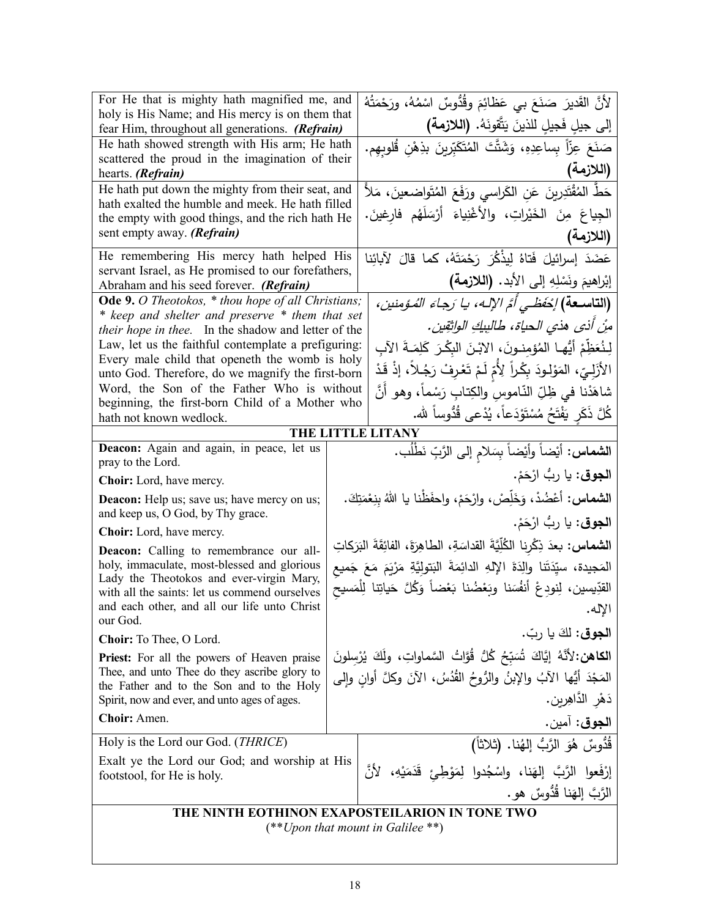| For He that is mighty hath magnified me, and                                                           |  | لأنَّ القَديرَ  صَنَعَ بي عَظائِمَ وقُدُّوسٌ  اسْمُهُ، ورَحْمَتُهُ                       |  |  |
|--------------------------------------------------------------------------------------------------------|--|------------------------------------------------------------------------------------------|--|--|
| holy is His Name; and His mercy is on them that<br>fear Him, throughout all generations. (Refrain)     |  | إلى جيلٍ فَجيلٍ للذينَ يَتَّقونَهُ. (اللازمة)                                            |  |  |
| He hath showed strength with His arm; He hath                                                          |  | صَنَعَ عِزّاً بِساعِدِهِ، وَشَتَّتَ المُتَكَبِّرِينَ بذِهْنِ قُلوبِهِم.                  |  |  |
| scattered the proud in the imagination of their                                                        |  | (اللازمة)                                                                                |  |  |
| hearts. (Refrain)<br>He hath put down the mighty from their seat, and                                  |  | حَطَّ المُقْتَدِرِينَ عَنِ الكَراسي ورَفَعَ المُتَواضعينَ، مَلأً                         |  |  |
| hath exalted the humble and meek. He hath filled                                                       |  |                                                                                          |  |  |
| the empty with good things, and the rich hath He                                                       |  | الجِياعَ مِنَ الخَيْراتِ، والأَغْنِياءَ أَرْسَلَهُم فارغينَ.                             |  |  |
| sent empty away. (Refrain)                                                                             |  | (اللازمة)                                                                                |  |  |
| He remembering His mercy hath helped His                                                               |  | عَضَدَ إسرائيلَ فَتاهُ لِيذْكُرَ رَحْمَتَهُ، كما قالَ لآبائِنا                           |  |  |
| servant Israel, as He promised to our forefathers,<br>Abraham and his seed forever. (Refrain)          |  | إبْراهيمَ ونَسْلِهِ إلى الأبد. (اللازمة)                                                 |  |  |
| Ode 9. O Theotokos, * thou hope of all Christians;                                                     |  | (التاسعة) إِحْفَظى أَمَّ الإِله، يا رَجاءَ المُؤمِنين،                                   |  |  |
| * keep and shelter and preserve * them that set<br>their hope in thee. In the shadow and letter of the |  | مِنْ أَذِي هذي الحياة، طالبِيكِ الواثقِينِ.                                              |  |  |
| Law, let us the faithful contemplate a prefiguring:                                                    |  | لِنُعَظِّمْ أَيُّهـا المُؤمِنـونَ، الابْـنَ البكْـرَ كَلِمَــةَ الآبِ                    |  |  |
| Every male child that openeth the womb is holy                                                         |  |                                                                                          |  |  |
| unto God. Therefore, do we magnify the first-born<br>Word, the Son of the Father Who is without        |  | الأَزَلِيِّ، المَوْلِودَ بِكْراً لِأُمِّ لَمْ تَعْرِفْ رَجُلاً، إذْ قَدْ                 |  |  |
| beginning, the first-born Child of a Mother who                                                        |  | شاهَدْنا في ظِلِّ النَّاموسِ والكِتابِ رَسْماً، وهو أنَّ                                 |  |  |
| hath not known wedlock.                                                                                |  | كُلَّ ذَكَرٍ يَفْتَحُ مُسْتَوْدَعاً، يُدْعى قُدُّوساً لله.                               |  |  |
|                                                                                                        |  | THE LITTLE LITANY                                                                        |  |  |
| Deacon: Again and again, in peace, let us<br>pray to the Lord.                                         |  | ا <b>لشماس:</b> أَيْضاً وأَيْضاً بِسَلامِ إلى الرَّبِّ نَطْلُب.                          |  |  |
| Choir: Lord, have mercy.                                                                               |  | ا <b>لجوق</b> : يا ربُّ ارْحَمْ.                                                         |  |  |
| <b>Deacon:</b> Help us; save us; have mercy on us;                                                     |  | ا <b>لشماس:</b> أَعْضُدْ، وَخَلِّصْ، وارْحَمْ، واحفَظْنا يا اللهُ بِنِعْمَتِكَ.          |  |  |
| and keep us, O God, by Thy grace.                                                                      |  | ا <b>لجوق</b> : يا ربُّ ارْحَمْ.                                                         |  |  |
| Choir: Lord, have mercy.                                                                               |  | ا <b>لشماس:</b> بعدَ ذِكْرِنا الكُلِّيَّةَ القداسَةِ، الطاهِرَةَ، الفائِقَةَ البَرَكاتِ  |  |  |
| Deacon: Calling to remembrance our all-<br>holy, immaculate, most-blessed and glorious                 |  | المَجيدة، سيِّدَتَنا والِدَةَ الإِلهِ الدائِمَةَ البَتولِيَّةِ مَرْيَمَ مَعَ جَميع       |  |  |
| Lady the Theotokos and ever-virgin Mary,                                                               |  |                                                                                          |  |  |
| with all the saints: let us commend ourselves<br>and each other, and all our life unto Christ          |  | القدِّيسين، لِنودِعْ أَنفُسَنا وبَعْضُنا بَعْضاً وَكُلَّ حَياتِنا لِلْمَسيح              |  |  |
| our God.                                                                                               |  | الإله.                                                                                   |  |  |
| Choir: To Thee, O Lord.                                                                                |  | ا <b>لجوق:</b> لكَ يا ربّ.                                                               |  |  |
| <b>Priest:</b> For all the powers of Heaven praise                                                     |  | ا <b>لكاهن:</b> 'لأنَّهُ إِيَّاكَ شُمَبِّحُ كُلُّ قُوَّاتُ السَّماواتِ، ولَكَ يُرْسِلونَ |  |  |
| Thee, and unto Thee do they ascribe glory to<br>the Father and to the Son and to the Holy              |  | المَجْدَ أَيُّها الآبُ والإبنُ والرُّوحُ القُدُسُ، الآنَ وكلَّ أُوانِ وإِلَى             |  |  |
| Spirit, now and ever, and unto ages of ages.                                                           |  | دَهْرِ الدَّاهِرِينِ.                                                                    |  |  |
| Choir: Amen.                                                                                           |  | ا <b>لجوق:</b> آمين.                                                                     |  |  |
| Holy is the Lord our God. ( <i>THRICE</i> )                                                            |  | قُدُّوسٌ هُوَ الرَّبُّ إلهُنا. (ثلاثاً)                                                  |  |  |
| Exalt ye the Lord our God; and worship at His                                                          |  |                                                                                          |  |  |
| footstool, for He is holy.                                                                             |  | إِرْفَعوا الرَّبَّ إِلهَنا، واسْجُدوا لِمَوْطِئٍ قَدَمَيْهِ، لأَنَّ                      |  |  |
|                                                                                                        |  | الرَّبَّ إِلهَنا قُدُّوسٌ هو .                                                           |  |  |
| THE NINTH EOTHINON EXAPOSTEILARION IN TONE TWO<br>$(**Upon that mount in Galilee **)$                  |  |                                                                                          |  |  |
|                                                                                                        |  |                                                                                          |  |  |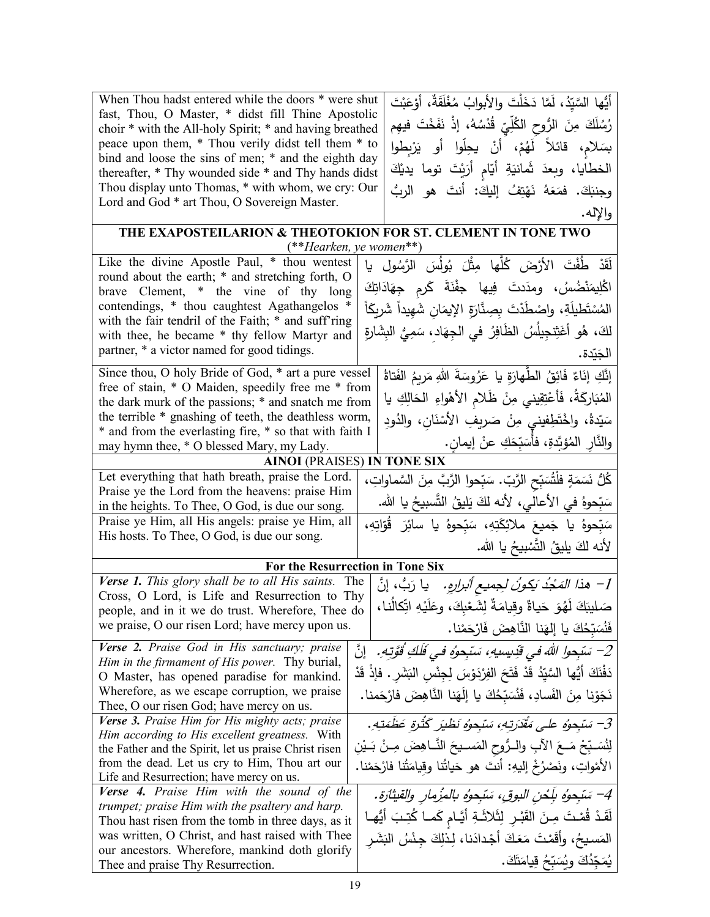| When Thou hadst entered while the doors * were shut<br>fast, Thou, O Master, * didst fill Thine Apostolic<br>choir * with the All-holy Spirit; * and having breathed<br>peace upon them, * Thou verily didst tell them * to<br>bind and loose the sins of men; * and the eighth day<br>thereafter, * Thy wounded side * and Thy hands didst | أَيُّها السَّيِّدُ، لَمَّا دَخَلْتَ والأبوابُ مُغْلَقَةٌ، أَوْعَبْتَ<br>رُسُلَكَ مِنَ الرُّوحِ الكُلِّيِّ قُدْسُهُ، إذْ نَفَخْتَ فيهِم<br>بسَلامٍ، قائلاً لَهُمْ، أَنْ يحِلّوا أَو يَرْبِطُوا<br>الخطايا، وبعدَ ثَمانيَةِ أيّامِ أرَيْتَ توما يديْكَ |
|---------------------------------------------------------------------------------------------------------------------------------------------------------------------------------------------------------------------------------------------------------------------------------------------------------------------------------------------|------------------------------------------------------------------------------------------------------------------------------------------------------------------------------------------------------------------------------------------------------|
| Thou display unto Thomas, * with whom, we cry: Our<br>Lord and God * art Thou, O Sovereign Master.                                                                                                                                                                                                                                          | وجنبَكَ. فمَعَهُ نَهْتِفُ إِليكَ: أنتَ هو الربُ                                                                                                                                                                                                      |
|                                                                                                                                                                                                                                                                                                                                             | والإله.                                                                                                                                                                                                                                              |
| THE EXAPOSTEILARION & THEOTOKION FOR ST. CLEMENT IN TONE TWO<br>$(**Hearken, ye women**)$                                                                                                                                                                                                                                                   |                                                                                                                                                                                                                                                      |
| Like the divine Apostle Paul, * thou wentest                                                                                                                                                                                                                                                                                                | لَقَدْ طُفْتَ الأَرْضَ كُلَّها مِثْلَ بُولُسَ الرَّسُولِ يا                                                                                                                                                                                          |
| round about the earth; * and stretching forth, O<br>brave Clement, * the vine of thy long                                                                                                                                                                                                                                                   | اكْلِيمَنْضُسُ، ومدَدتَ فِيها جفْنَةَ كَرِم جِهَادَاتِكَ                                                                                                                                                                                             |
| contendings, * thou caughtest Agathangelos *                                                                                                                                                                                                                                                                                                | المُسْتَطْيلَةِ، واصْطَدْتَ بِصِنَّارَةِ الإيمَانِ شَهِيداً شَرِيكَاً                                                                                                                                                                                |
| with the fair tendril of the Faith; * and suff'ring                                                                                                                                                                                                                                                                                         |                                                                                                                                                                                                                                                      |
| with thee, he became * thy fellow Martyr and                                                                                                                                                                                                                                                                                                | لكَ، هُو أَغَثِنجِيلُسُ الظَّافِرُ في الجِهَادِ، سَمِيُّ البِثَمَارةِ                                                                                                                                                                                |
| partner, * a victor named for good tidings.                                                                                                                                                                                                                                                                                                 | الجَيَّدة.                                                                                                                                                                                                                                           |
| Since thou, O holy Bride of God, * art a pure vessel                                                                                                                                                                                                                                                                                        | إِنَّكِ إِنَاءٌ فَائِقُ الطَّهارَةِ يا عَرُوسَةَ اللهِ مَرِيمُ الفَتاةُ                                                                                                                                                                              |
| free of stain, * O Maiden, speedily free me * from<br>the dark murk of the passions; * and snatch me from                                                                                                                                                                                                                                   | المُبَارِكَةُ، فَأَعْتِقِيني مِنْ ظَلامِ الأَهْواءِ الحَالِكِ يا                                                                                                                                                                                     |
| the terrible * gnashing of teeth, the deathless worm,                                                                                                                                                                                                                                                                                       | سَيّدةُ، واخْتَطِفيني مِنْ صَرِيفِ الأَسْنَانِ، والذُودِ                                                                                                                                                                                             |
| * and from the everlasting fire, * so that with faith I                                                                                                                                                                                                                                                                                     |                                                                                                                                                                                                                                                      |
| may hymn thee, * O blessed Mary, my Lady.                                                                                                                                                                                                                                                                                                   | والنَّارِ المُؤبَّدةِ، فأُسَبِّحَكِ عنْ إيمانٍ.                                                                                                                                                                                                      |
| <b>AINOI</b> (PRAISES) IN TONE SIX                                                                                                                                                                                                                                                                                                          |                                                                                                                                                                                                                                                      |
| Let everything that hath breath, praise the Lord.                                                                                                                                                                                                                                                                                           | كُلُّ نَسَمَةٍ فلْتُسَبِّحِ الرَّبِّ. سَبِّحوا الزَّبَّ مِنَ السَّماواتِ،                                                                                                                                                                            |
| Praise ye the Lord from the heavens: praise Him<br>in the heights. To Thee, O God, is due our song.                                                                                                                                                                                                                                         | سَبِّحوهُ في الأعالي، لأنه لكَ يَليقُ التَّسبيحُ يا الله.                                                                                                                                                                                            |
| Praise ye Him, all His angels: praise ye Him, all                                                                                                                                                                                                                                                                                           | سَبّحوهُ يا جَميعَ ملائِكَتِهِ، سَبّحوهُ يا سائِرَ قُوّاتِهِ،                                                                                                                                                                                        |
| His hosts. To Thee, O God, is due our song.                                                                                                                                                                                                                                                                                                 | لأنه لكَ يليقُ التَّسْبِيحُ يا الله.                                                                                                                                                                                                                 |
| For the Resurrection in Tone Six                                                                                                                                                                                                                                                                                                            |                                                                                                                                                                                                                                                      |
| Verse 1. This glory shall be to all His saints. The                                                                                                                                                                                                                                                                                         |                                                                                                                                                                                                                                                      |
| Cross, O Lord, is Life and Resurrection to Thy                                                                                                                                                                                                                                                                                              | 1– هذا المَجْدُ بَك <i>ونُ لجميع أبرارهِ.</i> يا رَبُّ، إنَّ                                                                                                                                                                                         |
| people, and in it we do trust. Wherefore, Thee do                                                                                                                                                                                                                                                                                           | صَلِيبَكَ لَهُوَ حَياةٌ وقِيامَةٌ لِشَعْبِكَ، وعَلَيْهِ اتِّكالُنا،                                                                                                                                                                                  |
| we praise, O our risen Lord; have mercy upon us.                                                                                                                                                                                                                                                                                            | فَنُسَبِّحُكَ يا إِلهَنا النَّاهِضَ فَارْحَمْنا.                                                                                                                                                                                                     |
| Verse 2. Praise God in His sanctuary; praise                                                                                                                                                                                                                                                                                                | 2– سَبْحوا اللهَ في قَدِّيسِيهِ، سَبْحوُهِ في فَلَكِ قُوَّتِهِ. ﴿نَّ                                                                                                                                                                                 |
| Him in the firmament of His power. Thy burial,                                                                                                                                                                                                                                                                                              | دَفْنَكَ أَيُّها السَّيّدُ قَدْ فَتَحَ الفِرْدَوْسَ لِجِنْسِ البَشَرِ . فإذْ قَدْ                                                                                                                                                                    |
| O Master, has opened paradise for mankind.<br>Wherefore, as we escape corruption, we praise                                                                                                                                                                                                                                                 |                                                                                                                                                                                                                                                      |
| Thee, O our risen God; have mercy on us.                                                                                                                                                                                                                                                                                                    | نَجَوْنا مِنَ الفَسادِ، فَنُسَبِّحُكَ يا إِلَهَنا النَّاهِضَ فارْحَمنا.                                                                                                                                                                              |
| Verse 3. Praise Him for His mighty acts; praise                                                                                                                                                                                                                                                                                             | 3– سَبْحِوُهِ على مَقْدَرِتِهِ، سَبْحوُهِ نَظْيَرِ كَثْرَةِ عَظَمَتِهِ.                                                                                                                                                                              |
| Him according to His excellent greatness. With                                                                                                                                                                                                                                                                                              |                                                                                                                                                                                                                                                      |
| the Father and the Spirit, let us praise Christ risen                                                                                                                                                                                                                                                                                       | لِثُسَـبِّحْ مَــعَ الآبِ والـرُّوحِ المَسـيحَ النَّــاهِضَ مِــنْ بَــيْنِ                                                                                                                                                                          |
| from the dead. Let us cry to Him, Thou art our<br>Life and Resurrection; have mercy on us.                                                                                                                                                                                                                                                  | الأَمْواتِ، ونَصْرُخْ إليهِ: أنتَ هو حَياتُنا وقِيامَتُنا فارْحَمْنا.                                                                                                                                                                                |
| Verse 4. Praise Him with the sound of the                                                                                                                                                                                                                                                                                                   | 4– سَبْحوُه بِلْحْنِ البوقِ، سَبْحوُهِ بِالمِزْمارِ والقيثارةِ.                                                                                                                                                                                      |
| trumpet; praise Him with the psaltery and harp.                                                                                                                                                                                                                                                                                             | لَقَدْ قُمْتَ مِنَ القَبْرِ لِثَلاثَةِ أَيَّامٍ كَمـا كُتِـبَ أَيُّهـا                                                                                                                                                                               |
| Thou hast risen from the tomb in three days, as it<br>was written, O Christ, and hast raised with Thee                                                                                                                                                                                                                                      |                                                                                                                                                                                                                                                      |
| our ancestors. Wherefore, mankind doth glorify                                                                                                                                                                                                                                                                                              | المَسيحُ، وأقَمْتَ مَعَكَ أَجْدادَنا، لِذلِكَ جِنْسُ النَشَرِ                                                                                                                                                                                        |
| Thee and praise Thy Resurrection.                                                                                                                                                                                                                                                                                                           | يُمَجِّدُكَ وِيُسَبِّحُ قِيامَتَكَ.                                                                                                                                                                                                                  |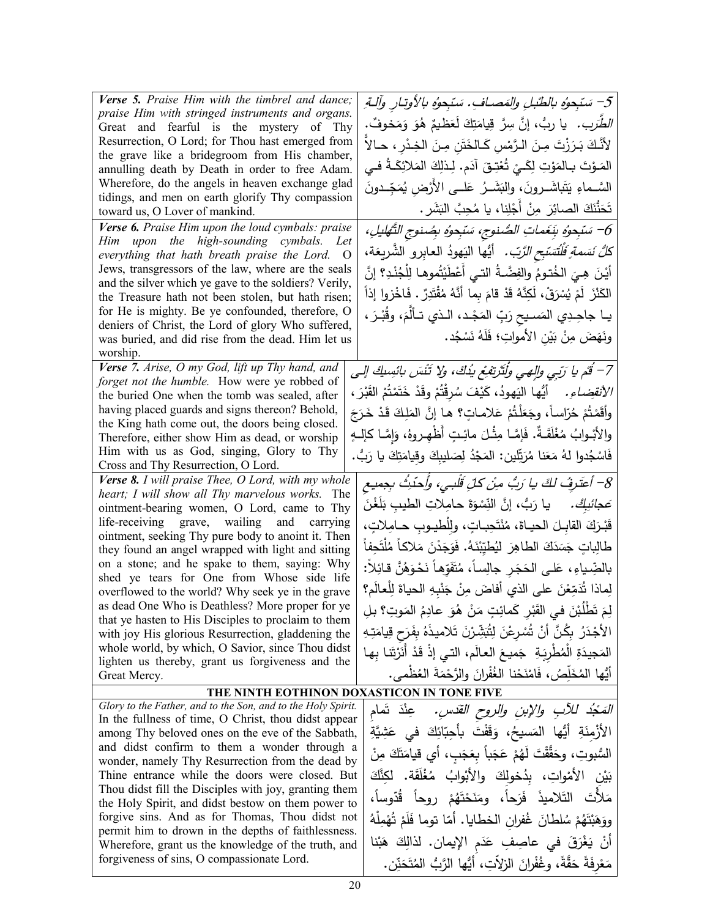| Verse 5. Praise Him with the timbrel and dance;                                                              | 5– سَبْحوُه بالطُبلِ والمَصـافِ. سَبْحوُه بالأوتـارِ وآلـةِ                           |
|--------------------------------------------------------------------------------------------------------------|---------------------------------------------------------------------------------------|
| praise Him with stringed instruments and organs.                                                             | <i>الطَّرَب.</i> يا ربُّ، إنَّ سِرَّ قِيامَتِكَ لَعَظْيمٌ هُوَ وَمَحْوفٌ.             |
| Great and fearful is the mystery of Thy<br>Resurrection, O Lord; for Thou hast emerged from                  |                                                                                       |
| the grave like a bridegroom from His chamber,                                                                | لأَنَّكَ بَرَزْتَ مِنَ الرَّمْسِ كَـالْخَتَنِ مِـنَ الْخِـدْرِ ، حـالاً               |
| annulling death by Death in order to free Adam.                                                              | المَـوْتَ بـالمَوْتِ لِكَـيْ تُعْتِـقَ آدَم. لِـذلِكَ المَلائِكَـةُ فــى              |
| Wherefore, do the angels in heaven exchange glad                                                             | السَّـماءِ يَتَباشَــرونَ، والبَشَــرُ  عَلــى الأَرْضِ يُمَجِّــدونَ                 |
| tidings, and men on earth glorify Thy compassion<br>toward us, O Lover of mankind.                           | تَحَنُّنَكَ الصائِرَ مِنْ أَجْلِنا، يا مُحِبَّ النَشَرِ .                             |
| Verse 6. Praise Him upon the loud cymbals: praise                                                            | 6– سَبْحِوُه بِنَغَماتِ الصُّنوجِ، سَبْحِوُه بِصُنوجِ التَّهْليلِ،                    |
| Him upon the high-sounding cymbals. Let                                                                      |                                                                                       |
| everything that hath breath praise the Lord.<br>– O                                                          | ك <i>َّلٌ نَسَمةٍ فَلْتَسَبِّحِ الرَّبِّ.</i> أَيُّها اليَهودُ العابِرو الشَّريعَة،   |
| Jews, transgressors of the law, where are the seals<br>and the silver which ye gave to the soldiers? Verily, | أَيْنَ هِيَ الْخُتومُ والفِضَّـةُ التي أَعْطَيْتُموهـا لِلْجُنْدِ؟ إِنَّ              |
| the Treasure hath not been stolen, but hath risen;                                                           | الكَنْزَ لَمْ يُسْرَقْ، لَكِنَّهُ قَدْ قامَ بِما أَنَّهُ مُقْتَدِرٌ . فَاخْزوا إذاً   |
| for He is mighty. Be ye confounded, therefore, O                                                             | يــا جاحِـدِي المَسـيح رَبِّ المَجْـد، الـذي تـألْمَ، وقَبْـرَ ،                      |
| deniers of Christ, the Lord of glory Who suffered,                                                           |                                                                                       |
| was buried, and did rise from the dead. Him let us                                                           | ونَهَضَ مِنْ بَيْنِ الأَمواتِ؛ فَلَهُ نَسْجُد.                                        |
| worship.                                                                                                     |                                                                                       |
| Verse 7. Arise, O my God, lift up Thy hand, and<br>forget not the humble. How were ye robbed of              | 7– قُمْ يا رَبِّي والِهِي ولْتَرْتِفِعْ يُدُكَ، ولا تَنْسَ بائِسِيكَ إلى              |
| the buried One when the tomb was sealed, after                                                               | الأنقضـاءِ.      أَيُّها الّيَهودُ، كَيْفَ سُرِقْتُمْ وقَدْ خَتَمْتُمْ القَبْرَ ،     |
| having placed guards and signs thereon? Behold,                                                              | وأقَمْتُمْ حُرّاساً، وجَعَلْتُمْ عَلاماتٍ؟ ها إنَّ المَلِكَ قَدْ خَرَجَ               |
| the King hath come out, the doors being closed.                                                              |                                                                                       |
| Therefore, either show Him as dead, or worship                                                               | والأَبْـوابُ مُغْلَقَـةٌ. فَإِمَّـا مِثْـلَ مائِـتٍ أَظْهِـروهُ، وَإِمَّـا كَإِلْــهٍ |
| Him with us as God, singing, Glory to Thy<br>Cross and Thy Resurrection, O Lord.                             | فَاسْجُدوا لهُ مَعَنا مُرَتِّلين: المَجْدُ لِصَليبِكَ وقِيامَتِكَ يا رَبُّ.           |
| <b>Verse 8.</b> I will praise Thee, O Lord, with my whole                                                    | 8– أَعتَرِفُ لكَ يا رَبُّ مِنْ كلِّ قَلْبِي، وأَحدَثُ بِجميع                          |
| heart; I will show all Thy marvelous works. The                                                              |                                                                                       |
| ointment-bearing women, O Lord, came to Thy                                                                  | عَج <i>ائِيِكْ.</i> يا رَبُّ، إنَّ النِّسْوَةَ حامِلاتِ الطيبِ بَلَغْنَ               |
| life-receiving grave, wailing and carrying                                                                   | قَبْرَكَ القابِـلَ الحيـاةَ، مُنْتَحِبـاتٍ، ولِلْطيـوبِ حـامِلاتٍ،                    |
| ointment, seeking Thy pure body to anoint it. Then<br>they found an angel wrapped with light and sitting     | طَالِباتٍ جَسَدَكَ الطاهِرَ ۖ لَيُطيِّبْنَهُ. فَوَجَدْنَ مَلاكاً مُلْتَحِفاً          |
| on a stone; and he spake to them, saying: Why                                                                | بالضِّياءِ ، عَلـى الحَجَرِ جالِساً، مُتَفَوّهاً نَحْوَهُنَّ قائِلاً:                 |
| shed ye tears for One from Whose side life                                                                   |                                                                                       |
| overflowed to the world? Why seek ye in the grave                                                            | لِماذا تُدَمِّعْنَ على الذي أفاضَ مِنْ جَنْبِهِ الحياةَ لِلْعالَمِ؟                   |
| as dead One Who is Deathless? More proper for ye<br>that ye hasten to His Disciples to proclaim to them      | لِمَ تَطْلُبْنَ في القَبْرِ كَمائِتٍ مَنْ هُوَ عادِمُ المَوتِ؟ بلِ                    |
| with joy His glorious Resurrection, gladdening the                                                           | الأَجْدَرُ بِكُنَّ أَنْ شُرِعْنَ لِتُبَشِّرْنَ تَلامِيذَهُ بِفَرَحٍ قِيامَتِهِ        |
| whole world, by which, O Savior, since Thou didst                                                            | المَجِيدَةِ الْمُطْرِبَةِ ۖ جَمِيعَ العالَمِ، التي إِذْ قَدْ أَنَرْتَنا بِها          |
| lighten us thereby, grant us forgiveness and the                                                             | أَيُّها المُخَلِّصُ، فَامْنَحْنا الغُفْرانَ والرَّحْمَةَ العُظْمى.                    |
| Great Mercy.                                                                                                 |                                                                                       |
| THE NINTH EOTHINON DOXASTICON IN TONE FIVE<br>Glory to the Father, and to the Son, and to the Holy Spirit.   |                                                                                       |
| In the fullness of time, O Christ, thou didst appear                                                         | الْمَجْدُ للأَبِ والإبنِ والروحِ القَدَسِ.<br>عِنْدَ تَمام                            |
| among Thy beloved ones on the eve of the Sabbath,                                                            | الأَزْمِنَةِ أَيُّها المَسيحُ، وَقَفْتَ بأَحِبّائِكَ في عَشِيَّةِ                     |
| and didst confirm to them a wonder through a                                                                 | السُّبوتِ، وحَقَّقْتَ لَهُمْ عَجَباً بِعَجَبٍ، أي قيامَتَكَ مِنْ                      |
| wonder, namely Thy Resurrection from the dead by                                                             |                                                                                       |
| Thine entrance while the doors were closed. But<br>Thou didst fill the Disciples with joy, granting them     | بَيْنِ الأَمْواتِ، بِدُخولِكَ والأَبْوابُ مُغْلَقَة. لكِنَّكَ                         |
| the Holy Spirit, and didst bestow on them power to                                                           | مَلأتَ التَلاميذَ فَرَحاً، ومَنَحْتَهُمْ روحاً قُدّوساً،                              |
| forgive sins. And as for Thomas, Thou didst not                                                              | ووَهَبْتَهُمْ سُلطانَ غُفرانِ الخطايا. أمّا توما فَلَمْ تُهْمِلْهُ                    |
| permit him to drown in the depths of faithlessness.                                                          |                                                                                       |
| Wherefore, grant us the knowledge of the truth, and                                                          | أَنْ يَغْرَقَ في عاصِفِ عَدَمِ الإِيمانِ. لذالِكَ هَبْنا                              |
| forgiveness of sins, O compassionate Lord.                                                                   | مَعْرِفَةً حَقَّةً، وغُفْرانَ الزلاّتِ، أَيُّها الرَّبُّ المُتَحَنِّن.                |
|                                                                                                              |                                                                                       |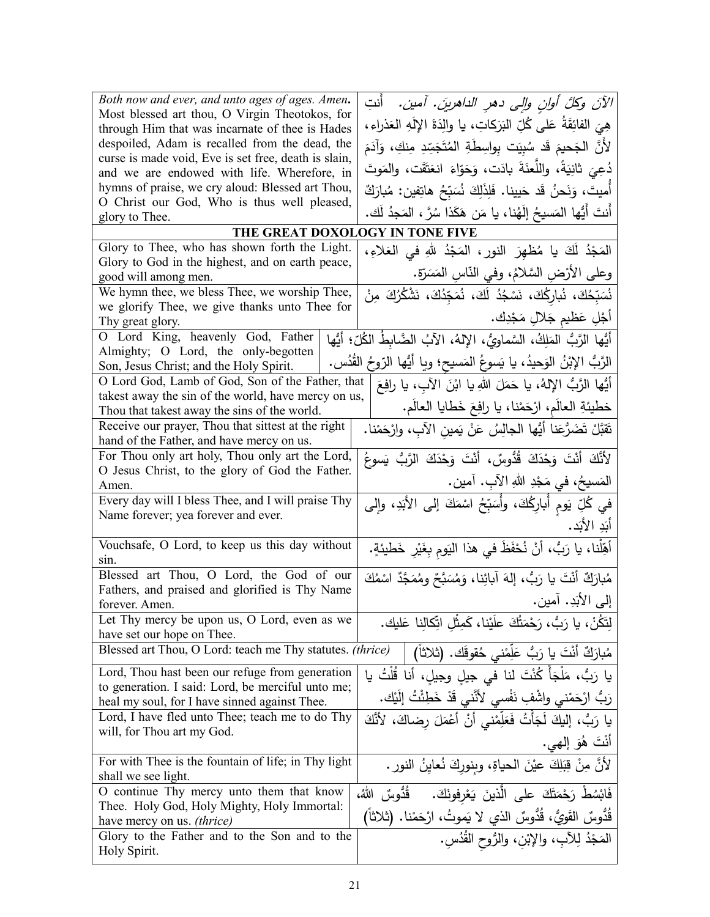| Both now and ever, and unto ages of ages. Amen.<br>Most blessed art thou, O Virgin Theotokos, for<br>through Him that was incarnate of thee is Hades<br>despoiled, Adam is recalled from the dead, the<br>curse is made void, Eve is set free, death is slain,<br>and we are endowed with life. Wherefore, in<br>hymns of praise, we cry aloud: Blessed art Thou,<br>O Christ our God, Who is thus well pleased,<br>glory to Thee. | الآنَ وكلَّ أُوانِ وإلى دهرِ الداهرينَ. آمين.   أنتِ<br>هِيَ الفائِقَةُ عَلى كُلِّ النِرَكاتِ، يا والِدَةَ الإِلَهِ العَذراءِ،<br>لأنَّ الجَحيمَ قَد سُبِيَت بِواسِطَةِ المُتَجَسِّدِ مِنكِ، وَآدَمَ<br>دُعِيَ ثَانِيَةً، واللُّعنَةَ بادَت، وَحَوّاءَ انعَتّقَت، والمَوتَ<br>أَميتَ، وَنَحنُ قَد حَيينا. فَلِذَلِكَ نُسَبِّحُ هاتِفين: مُبارَكٌ<br>أنتَ أَيُّها المَسيحُ إِلَهُنا، يا مَن هَكَذا سُرَّ ، المَجدُ لَك. |
|------------------------------------------------------------------------------------------------------------------------------------------------------------------------------------------------------------------------------------------------------------------------------------------------------------------------------------------------------------------------------------------------------------------------------------|------------------------------------------------------------------------------------------------------------------------------------------------------------------------------------------------------------------------------------------------------------------------------------------------------------------------------------------------------------------------------------------------------------------------|
| THE GREAT DOXOLOGY IN TONE FIVE                                                                                                                                                                                                                                                                                                                                                                                                    |                                                                                                                                                                                                                                                                                                                                                                                                                        |
| Glory to Thee, who has shown forth the Light.                                                                                                                                                                                                                                                                                                                                                                                      | المَجْدُ لَكَ يا مُظْهِرَ النورِ ، المَجْدُ للهِ في العَلاءِ،                                                                                                                                                                                                                                                                                                                                                          |
| Glory to God in the highest, and on earth peace,                                                                                                                                                                                                                                                                                                                                                                                   | وعلى الأرْضِ السَّلامُ، وفي النَّاسِ المَسَرَّةِ.                                                                                                                                                                                                                                                                                                                                                                      |
| good will among men.<br>We hymn thee, we bless Thee, we worship Thee,                                                                                                                                                                                                                                                                                                                                                              |                                                                                                                                                                                                                                                                                                                                                                                                                        |
| we glorify Thee, we give thanks unto Thee for                                                                                                                                                                                                                                                                                                                                                                                      | نُسَبّحُكَ، نُبارِكُكَ، نَسْجُدُ لَكَ، نُمَجّدُكَ، نَشْكُرُكَ مِنْ                                                                                                                                                                                                                                                                                                                                                     |
| Thy great glory.                                                                                                                                                                                                                                                                                                                                                                                                                   | أَجْلِ عَظيم جَلالٍ مَجْدِك.                                                                                                                                                                                                                                                                                                                                                                                           |
| O Lord King, heavenly God, Father                                                                                                                                                                                                                                                                                                                                                                                                  | أَيُّها الرَّبُّ المَلِكُ، السَّماويُّ، الإلهُ، الآبُ الضَّابطُ الكُلِّ؛ أيُّها                                                                                                                                                                                                                                                                                                                                        |
| Almighty; O Lord, the only-begotten                                                                                                                                                                                                                                                                                                                                                                                                |                                                                                                                                                                                                                                                                                                                                                                                                                        |
| Son, Jesus Christ; and the Holy Spirit.                                                                                                                                                                                                                                                                                                                                                                                            | الرَّبُّ الإبْنُ الوَحيدُ، يا يَسوعُ المَسيح؛ ويا أَيُّها الرّوحُ القُدُس.                                                                                                                                                                                                                                                                                                                                             |
| O Lord God, Lamb of God, Son of the Father, that                                                                                                                                                                                                                                                                                                                                                                                   | أَيُّها الرَّبُّ اﻹلهُ، يا حَمَلَ اللهِ يا ابْنَ اﻵبٍ، يا رافِعَ                                                                                                                                                                                                                                                                                                                                                       |
| takest away the sin of the world, have mercy on us,                                                                                                                                                                                                                                                                                                                                                                                | خطيئةِ العالَم، ارْحَمْنا، يا رافِعَ خَطايا العالَم.                                                                                                                                                                                                                                                                                                                                                                   |
| Thou that takest away the sins of the world.<br>Receive our prayer, Thou that sittest at the right                                                                                                                                                                                                                                                                                                                                 |                                                                                                                                                                                                                                                                                                                                                                                                                        |
| hand of the Father, and have mercy on us.                                                                                                                                                                                                                                                                                                                                                                                          | نَقَبَّلْ تَضَرُّعَنا أَيُّها الْجالِسُ عَنْ يَمين الآب، وارْحَمْنا.                                                                                                                                                                                                                                                                                                                                                   |
| For Thou only art holy, Thou only art the Lord,                                                                                                                                                                                                                                                                                                                                                                                    | لأَنَّكَ أَنْتَ وَحْذَكَ قُدُّوسٌ، أَنْتَ وَحْذَكَ الرَّبُّ يَسوعُ                                                                                                                                                                                                                                                                                                                                                     |
| O Jesus Christ, to the glory of God the Father.                                                                                                                                                                                                                                                                                                                                                                                    |                                                                                                                                                                                                                                                                                                                                                                                                                        |
| Amen.                                                                                                                                                                                                                                                                                                                                                                                                                              | المَسيحُ، في مَجْدِ اللهِ الآبِ. آمين.                                                                                                                                                                                                                                                                                                                                                                                 |
| Every day will I bless Thee, and I will praise Thy                                                                                                                                                                                                                                                                                                                                                                                 | في كُلِّ يَومٍ أَبارِكُكَ، وأَسَبِّحُ اسْمَكَ إلى الأَبَدِ، وإِلى                                                                                                                                                                                                                                                                                                                                                      |
| Name forever; yea forever and ever.                                                                                                                                                                                                                                                                                                                                                                                                | أَبَدِ الأَبَد.                                                                                                                                                                                                                                                                                                                                                                                                        |
| Vouchsafe, O Lord, to keep us this day without                                                                                                                                                                                                                                                                                                                                                                                     |                                                                                                                                                                                                                                                                                                                                                                                                                        |
| sin.                                                                                                                                                                                                                                                                                                                                                                                                                               | أَهِّلْنا، يا رَبُّ، أَنْ نُحْفَظَ في هذا اليَوم بِغَيْرِ خَطيئةٍ.                                                                                                                                                                                                                                                                                                                                                     |
| Blessed art Thou, O Lord, the God of our                                                                                                                                                                                                                                                                                                                                                                                           | مُبارَكٌ أَنْتَ يا رَبُّ، إلهَ آبائِنا، وَمُسَبَّحٌ ومُمَجَّدٌ اسْمُكَ                                                                                                                                                                                                                                                                                                                                                 |
| Fathers, and praised and glorified is Thy Name                                                                                                                                                                                                                                                                                                                                                                                     |                                                                                                                                                                                                                                                                                                                                                                                                                        |
| forever. Amen.                                                                                                                                                                                                                                                                                                                                                                                                                     | إلى الأبَدِ. آمين.                                                                                                                                                                                                                                                                                                                                                                                                     |
| Let Thy mercy be upon us, O Lord, even as we                                                                                                                                                                                                                                                                                                                                                                                       | لتَكُنْ، يا رَبُّ، رَحْمَتُكَ علَيْنا، كَمِثْلِ اتِّكالِنا عَليك.                                                                                                                                                                                                                                                                                                                                                      |
| have set our hope on Thee.<br>Blessed art Thou, O Lord: teach me Thy statutes. (thrice)                                                                                                                                                                                                                                                                                                                                            |                                                                                                                                                                                                                                                                                                                                                                                                                        |
|                                                                                                                                                                                                                                                                                                                                                                                                                                    | مُبارَكٌ أَنْتَ يا رَبُّ عَلِّمْني حُقوقَك. (ثلاثاً)                                                                                                                                                                                                                                                                                                                                                                   |
| Lord, Thou hast been our refuge from generation                                                                                                                                                                                                                                                                                                                                                                                    | يا رَبُّ، مَلْجَأً كُنْتَ لنا في جيلِ وجيلِ، أنا قُلْتُ يا                                                                                                                                                                                                                                                                                                                                                             |
| to generation. I said: Lord, be merciful unto me;                                                                                                                                                                                                                                                                                                                                                                                  | رَبُّ ارْحَمْني واشْفِ نَفْسي لأنَّني قَدْ خَطِئْتُ إِلَيْك.                                                                                                                                                                                                                                                                                                                                                           |
| heal my soul, for I have sinned against Thee.<br>Lord, I have fled unto Thee; teach me to do Thy                                                                                                                                                                                                                                                                                                                                   |                                                                                                                                                                                                                                                                                                                                                                                                                        |
| will, for Thou art my God.                                                                                                                                                                                                                                                                                                                                                                                                         | يا رَبُّ، إليكَ لَجَأْتُ فَعَلِّمْني أَنْ أَعْمَلَ رِضاكَ، لأَنَّكَ                                                                                                                                                                                                                                                                                                                                                    |
|                                                                                                                                                                                                                                                                                                                                                                                                                                    | أَنْتَ هُوَ إِلَهِي.                                                                                                                                                                                                                                                                                                                                                                                                   |
| For with Thee is the fountain of life; in Thy light                                                                                                                                                                                                                                                                                                                                                                                | لأنَّ مِنْ قِبَلِكَ عيْنَ الحياةِ، وبِنوركَ نُعايِنُ النورِ .                                                                                                                                                                                                                                                                                                                                                          |
| shall we see light.                                                                                                                                                                                                                                                                                                                                                                                                                |                                                                                                                                                                                                                                                                                                                                                                                                                        |
| O continue Thy mercy unto them that know                                                                                                                                                                                                                                                                                                                                                                                           | فَابْسُطْ رَحْمَتَكَ على الَّذينَ يَعْرِفونَكَ.<br>قُدُّوسٌ اللّٰهُ،                                                                                                                                                                                                                                                                                                                                                   |
| Thee. Holy God, Holy Mighty, Holy Immortal:                                                                                                                                                                                                                                                                                                                                                                                        | قُدُوسٌ القَوِيُّ، قُدُوسٌ الذي لا يَموتُ، ارْحَمْنا. (ثلاثاً)                                                                                                                                                                                                                                                                                                                                                         |
| have mercy on us. <i>(thrice)</i>                                                                                                                                                                                                                                                                                                                                                                                                  |                                                                                                                                                                                                                                                                                                                                                                                                                        |
| Glory to the Father and to the Son and to the<br>Holy Spirit.                                                                                                                                                                                                                                                                                                                                                                      | الْمَجْدُ لِلآبِ، والإِبْنِ، والرُّوحِ القُدُسِ.                                                                                                                                                                                                                                                                                                                                                                       |
|                                                                                                                                                                                                                                                                                                                                                                                                                                    |                                                                                                                                                                                                                                                                                                                                                                                                                        |